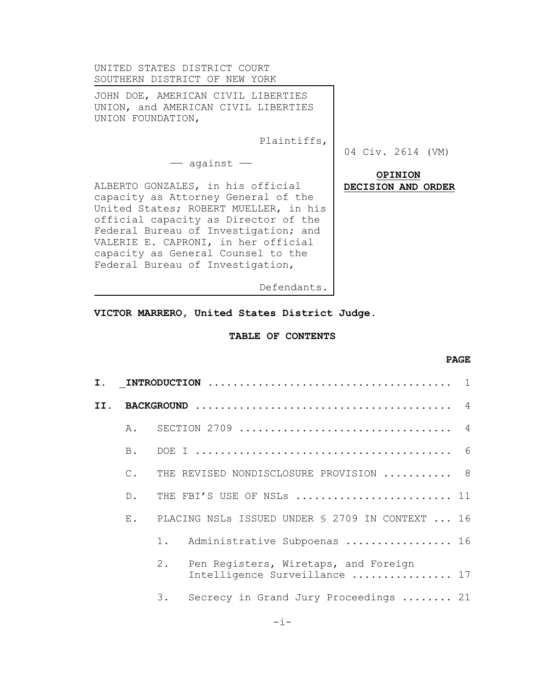| UNITED STATES DISTRICT COURT<br>SOUTHERN DISTRICT OF NEW YORK                                                                                                                                                                                                                                                      |                    |
|--------------------------------------------------------------------------------------------------------------------------------------------------------------------------------------------------------------------------------------------------------------------------------------------------------------------|--------------------|
| JOHN DOE, AMERICAN CIVIL LIBERTIES<br>UNION, and AMERICAN CIVIL LIBERTIES<br>UNION FOUNDATION,                                                                                                                                                                                                                     |                    |
| Plaintiffs,                                                                                                                                                                                                                                                                                                        | 04 Civ. 2614 (VM)  |
| $-$ against $-$                                                                                                                                                                                                                                                                                                    | <b>OPINION</b>     |
| ALBERTO GONZALES, in his official<br>capacity as Attorney General of the<br>United States; ROBERT MUELLER, in his<br>official capacity as Director of the<br>Federal Bureau of Investigation; and<br>VALERIE E. CAPRONI, in her official<br>capacity as General Counsel to the<br>Federal Bureau of Investigation, | DECISION AND ORDER |
| Defendants.                                                                                                                                                                                                                                                                                                        |                    |

**VICTOR MARRERO, United States District Judge.**

# **TABLE OF CONTENTS**

## **PAGE**

| Ι.  |               | $\overline{1}$                                                              |
|-----|---------------|-----------------------------------------------------------------------------|
| II. |               | $\overline{4}$                                                              |
|     | $A$ .         | SECTION 2709<br>$\overline{4}$                                              |
|     | B.            | - 6                                                                         |
|     | $C_{\bullet}$ | THE REVISED NONDISCLOSURE PROVISION  8                                      |
|     | $D$ .         | THE FBI'S USE OF NSLs  11                                                   |
|     | $E$ .         | PLACING NSLs ISSUED UNDER § 2709 IN CONTEXT  16                             |
|     |               | Administrative Subpoenas  16<br>$1$ .                                       |
|     |               | 2.<br>Pen Registers, Wiretaps, and Foreign<br>Intelligence Surveillance  17 |
|     |               | 3.<br>Secrecy in Grand Jury Proceedings  21                                 |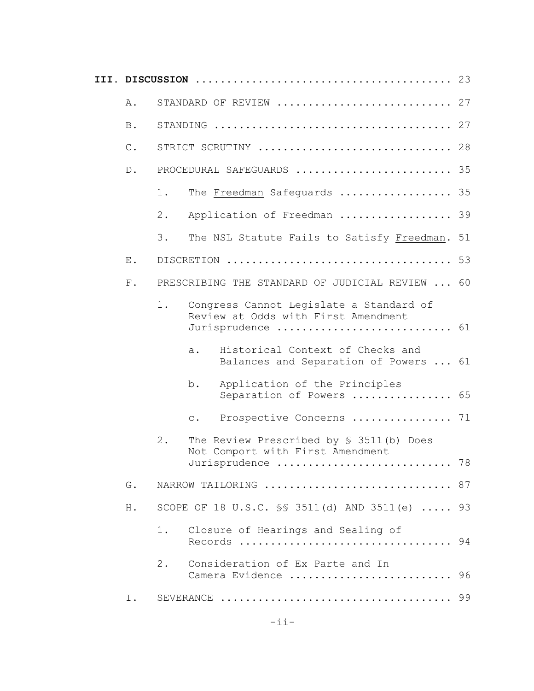| Α.             | STANDARD OF REVIEW  27                                                                                       |    |
|----------------|--------------------------------------------------------------------------------------------------------------|----|
| $\, {\bf B}$ . |                                                                                                              |    |
| $\mathbb C$ .  | STRICT SCRUTINY  28                                                                                          |    |
| $D$ .          | PROCEDURAL SAFEGUARDS  35                                                                                    |    |
|                | The Freedman Safequards  35<br>1.                                                                            |    |
|                | Application of Freedman  39<br>$2$ .                                                                         |    |
|                | 3.<br>The NSL Statute Fails to Satisfy Freedman. 51                                                          |    |
| ${\bf E}$ .    |                                                                                                              |    |
| ${\bf F}$ .    | PRESCRIBING THE STANDARD OF JUDICIAL REVIEW  60                                                              |    |
|                | Congress Cannot Legislate a Standard of<br>$1$ .<br>Review at Odds with First Amendment<br>Jurisprudence  61 |    |
|                | Historical Context of Checks and<br>a.<br>Balances and Separation of Powers  61                              |    |
|                | Application of the Principles<br>b.<br>Separation of Powers  65                                              |    |
|                | Prospective Concerns  71<br>$\mathsf{C}$ .                                                                   |    |
|                | $2$ .<br>The Review Prescribed by $\S$ 3511(b) Does<br>Not Comport with First Amendment<br>Jurisprudence  78 |    |
| G.             | NARROW TAILORING  87                                                                                         |    |
| H.             | SCOPE OF 18 U.S.C. SS 3511(d) AND 3511(e)  93                                                                |    |
|                | $1$ .<br>Closure of Hearings and Sealing of<br>Records                                                       | 94 |
|                | Consideration of Ex Parte and In<br>2.<br>Camera Evidence  96                                                |    |
| Ι.             |                                                                                                              |    |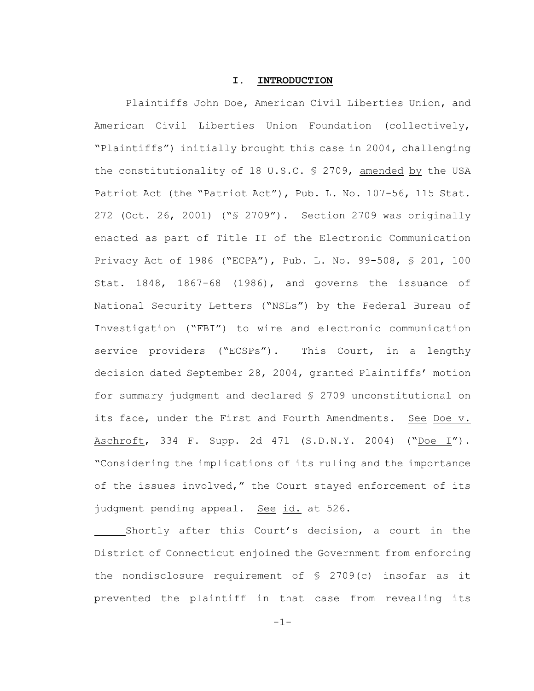### **I. INTRODUCTION**

Plaintiffs John Doe, American Civil Liberties Union, and American Civil Liberties Union Foundation (collectively, "Plaintiffs") initially brought this case in 2004, challenging the constitutionality of 18 U.S.C. § 2709, amended by the USA Patriot Act (the "Patriot Act"), Pub. L. No. 107-56, 115 Stat. 272 (Oct. 26, 2001) ("§ 2709"). Section 2709 was originally enacted as part of Title II of the Electronic Communication Privacy Act of 1986 ("ECPA"), Pub. L. No. 99-508, § 201, 100 Stat. 1848, 1867-68 (1986), and governs the issuance of National Security Letters ("NSLs") by the Federal Bureau of Investigation ("FBI") to wire and electronic communication service providers ("ECSPs"). This Court, in a lengthy decision dated September 28, 2004, granted Plaintiffs' motion for summary judgment and declared § 2709 unconstitutional on its face, under the First and Fourth Amendments. See Doe v. Aschroft, 334 F. Supp. 2d 471 (S.D.N.Y. 2004) ("Doe I"). "Considering the implications of its ruling and the importance of the issues involved," the Court stayed enforcement of its judgment pending appeal. See id. at 526.

Shortly after this Court's decision, a court in the District of Connecticut enjoined the Government from enforcing the nondisclosure requirement of § 2709(c) insofar as it prevented the plaintiff in that case from revealing its

-1-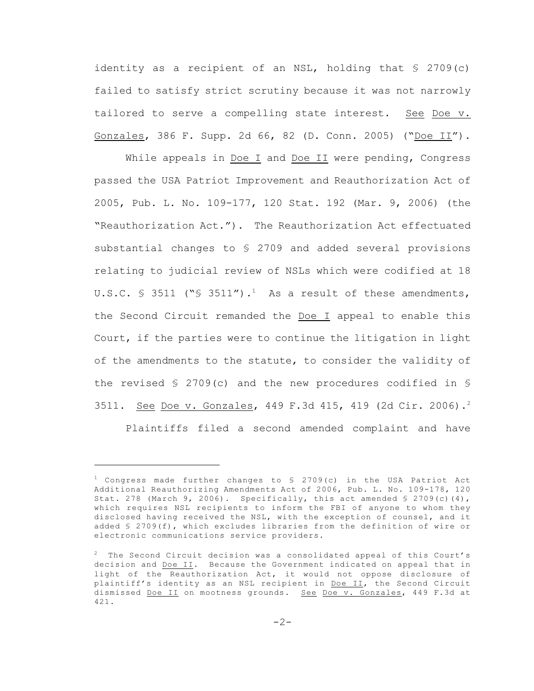identity as a recipient of an NSL, holding that § 2709(c) failed to satisfy strict scrutiny because it was not narrowly tailored to serve a compelling state interest. See Doe v. Gonzales, 386 F. Supp. 2d 66, 82 (D. Conn. 2005) ("Doe II").

While appeals in Doe I and Doe II were pending, Congress passed the USA Patriot Improvement and Reauthorization Act of 2005, Pub. L. No. 109-177, 120 Stat. 192 (Mar. 9, 2006) (the "Reauthorization Act."). The Reauthorization Act effectuated substantial changes to § 2709 and added several provisions relating to judicial review of NSLs which were codified at 18 U.S.C.  $\frac{1}{5}$  3511 (" $\frac{1}{5}$  3511").<sup>1</sup> As a result of these amendments, the Second Circuit remanded the Doe I appeal to enable this Court, if the parties were to continue the litigation in light of the amendments to the statute, to consider the validity of the revised  $\S$  2709(c) and the new procedures codified in  $\S$ 3511. See Doe v. Gonzales, 449 F.3d 415, 419 (2d Cir. 2006).<sup>2</sup> Plaintiffs filed a second amended complaint and have

 $1$  Congress made further changes to  $\frac{1}{2}$  2709(c) in the USA Patriot Act Additional Reauthorizing Amendments Act of 2006, Pub. L. No. 109-178, 120 Stat. 278 (March 9, 2006). Specifically, this act amended  $\frac{1}{5}$  2709(c)(4), which requires NSL recipients to inform the FBI of anyone to whom they disclosed having received the NSL, with the exception of counsel, and it added § 2709(f), which excludes libraries from the definition of wire or electronic communications service providers.

 $2^2$  The Second Circuit decision was a consolidated appeal of this Court's decision and Doe II. Because the Government indicated on appeal that in light of the Reauthorization Act, it would not oppose disclosure of plaintiff's identity as an NSL recipient in Doe II, the Second Circuit dismissed Doe II on mootness grounds. See Doe v. Gonzales, 449 F.3d at 421.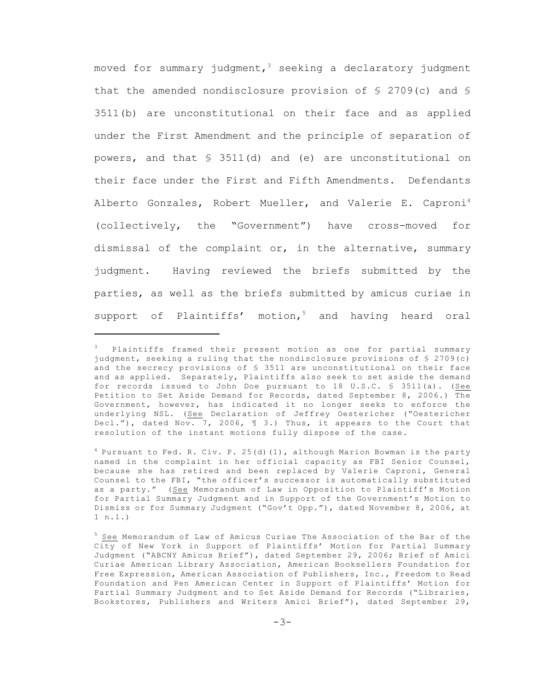moved for summary judgment,  $3$  seeking a declaratory judgment that the amended nondisclosure provision of § 2709(c) and § 3511(b) are unconstitutional on their face and as applied under the First Amendment and the principle of separation of powers, and that § 3511(d) and (e) are unconstitutional on their face under the First and Fifth Amendments. Defendants Alberto Gonzales, Robert Mueller, and Valerie E. Caproni<sup>4</sup> (collectively, the "Government") have cross-moved for dismissal of the complaint or, in the alternative, summary judgment. Having reviewed the briefs submitted by the parties, as well as the briefs submitted by amicus curiae in support of Plaintiffs' motion, $5$  and having heard oral

 $3$  Plaintiffs framed their present motion as one for partial summary judgment, seeking a ruling that the nondisclosure provisions of § 2709(c) and the secrecy provisions of § 3511 are unconstitutional on their face and as applied. Separately, Plaintiffs also seek to set aside the demand for records issued to John Doe pursuant to 18 U.S.C. § 3511(a). (See Petition to Set Aside Demand for Records, dated September 8, 2006.) The Government, however, has indicated it no longer seeks to enforce the underlying NSL. (See Declaration of Jeffrey Oestericher ("Oestericher Decl."), dated Nov. 7, 2006,  $\parallel$  3.) Thus, it appears to the Court that resolution of the instant motions fully dispose of the case.

 $^{4}$  Pursuant to Fed. R. Civ. P. 25(d)(1), although Marion Bowman is the party named in the complaint in her official capacity as FBI Senior Counsel, because she has retired and been replaced by Valerie Caproni, General Counsel to the FBI, "the officer's successor is automatically substituted as a party." (See Memorandum of Law in Opposition to Plaintiff's Motion for Partial Summary Judgment and in Support of the Government's Motion to Dismiss or for Summary Judgment ("Gov't Opp."), dated November 8, 2006, at 1 n.1.)

 $5$  See Memorandum of Law of Amicus Curiae The Association of the Bar of the City of New York in Support of Plaintiffs' Motion for Partial Summary Judgment ("ABCNY Amicus Brief"), dated September 29, 2006; Brief of Amici Curiae American Library Association, American Booksellers Foundation for Free Expression, American Association of Publishers, Inc., Freedom to Read Foundation and Pen American Center in Support of Plaintiffs' Motion for Partial Summary Judgment and to Set Aside Demand for Records ("Libraries, Bookstores, Publishers and Writers Amici Brief"), dated September 29,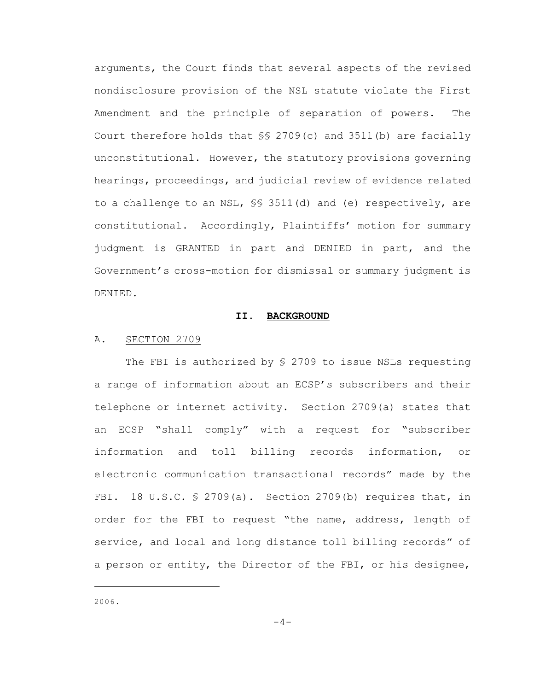arguments, the Court finds that several aspects of the revised nondisclosure provision of the NSL statute violate the First Amendment and the principle of separation of powers. The Court therefore holds that  $\S$  2709(c) and 3511(b) are facially unconstitutional. However, the statutory provisions governing hearings, proceedings, and judicial review of evidence related to a challenge to an NSL, §§ 3511(d) and (e) respectively, are constitutional. Accordingly, Plaintiffs' motion for summary judgment is GRANTED in part and DENIED in part, and the Government's cross-motion for dismissal or summary judgment is DENIED.

### **II. BACKGROUND**

### A. SECTION 2709

The FBI is authorized by § 2709 to issue NSLs requesting a range of information about an ECSP's subscribers and their telephone or internet activity. Section 2709(a) states that an ECSP "shall comply" with a request for "subscriber information and toll billing records information, or electronic communication transactional records" made by the FBI. 18 U.S.C.  $\frac{1}{5}$  2709(a). Section 2709(b) requires that, in order for the FBI to request "the name, address, length of service, and local and long distance toll billing records" of a person or entity, the Director of the FBI, or his designee,

2006.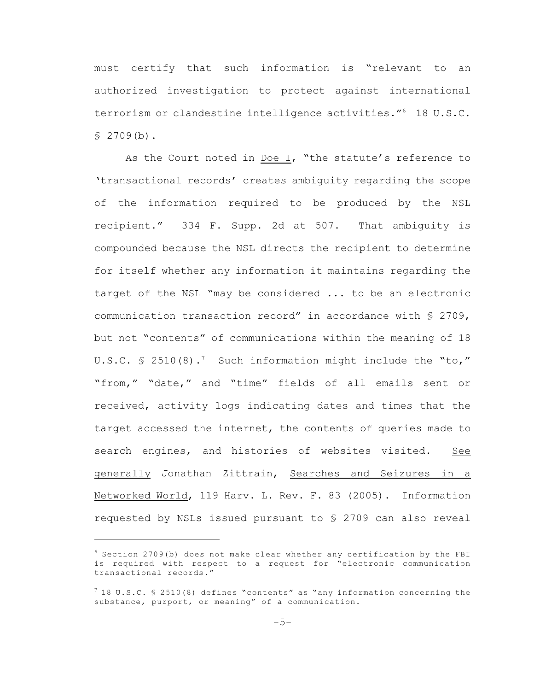must certify that such information is "relevant to an authorized investigation to protect against international terrorism or clandestine intelligence activities."<sup>6</sup> 18 U.S.C.  $$2709(b).$ 

As the Court noted in  $\underline{\text{Doe I}}$ , "the statute's reference to 'transactional records' creates ambiguity regarding the scope of the information required to be produced by the NSL recipient." 334 F. Supp. 2d at 507. That ambiguity is compounded because the NSL directs the recipient to determine for itself whether any information it maintains regarding the target of the NSL "may be considered ... to be an electronic communication transaction record" in accordance with § 2709, but not "contents" of communications within the meaning of 18 U.S.C.  $\leq$  2510(8).<sup>7</sup> Such information might include the "to," "from," "date," and "time" fields of all emails sent or received, activity logs indicating dates and times that the target accessed the internet, the contents of queries made to search engines, and histories of websites visited. See generally Jonathan Zittrain, Searches and Seizures in a Networked World, 119 Harv. L. Rev. F. 83 (2005). Information requested by NSLs issued pursuant to § 2709 can also reveal

 $6$  Section 2709(b) does not make clear whether any certification by the FBI is required with respect to a request for "electronic communication transactional records."

 $7$  18 U.S.C. § 2510(8) defines "contents" as "any information concerning the substance, purport, or meaning" of a communication.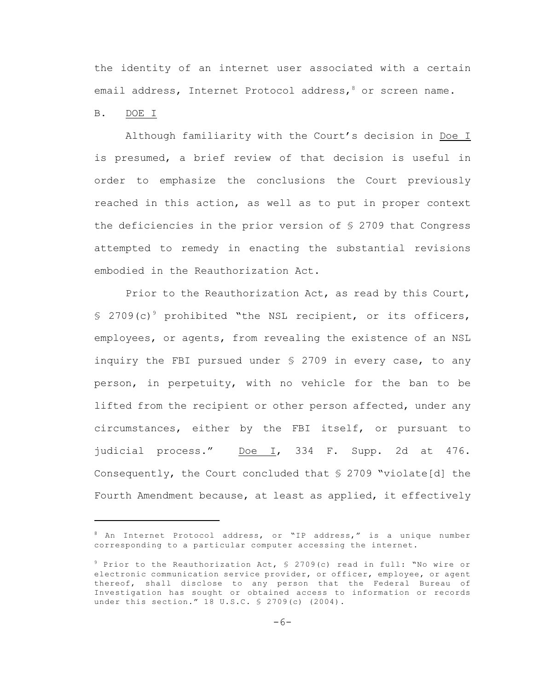the identity of an internet user associated with a certain email address, Internet Protocol address,  $\delta$  or screen name.

#### B. DOE I

Although familiarity with the Court's decision in Doe I is presumed, a brief review of that decision is useful in order to emphasize the conclusions the Court previously reached in this action, as well as to put in proper context the deficiencies in the prior version of § 2709 that Congress attempted to remedy in enacting the substantial revisions embodied in the Reauthorization Act.

Prior to the Reauthorization Act, as read by this Court,  $$ 2709(c)$  prohibited "the NSL recipient, or its officers, employees, or agents, from revealing the existence of an NSL inquiry the FBI pursued under § 2709 in every case, to any person, in perpetuity, with no vehicle for the ban to be lifted from the recipient or other person affected, under any circumstances, either by the FBI itself, or pursuant to judicial process." Doe I, 334 F. Supp. 2d at 476. Consequently, the Court concluded that  $\S$  2709 "violate[d] the Fourth Amendment because, at least as applied, it effectively

 $8$  An Internet Protocol address, or "IP address," is a unique number corresponding to a particular computer accessing the internet.

 $9$  Prior to the Reauthorization Act,  $\frac{1}{2}$  2709(c) read in full: "No wire or electronic communication service provider, or officer, employee, or agent thereof, shall disclose to any person that the Federal Bureau of Investigation has sought or obtained access to information or records under this section." 18 U.S.C. § 2709(c) (2004).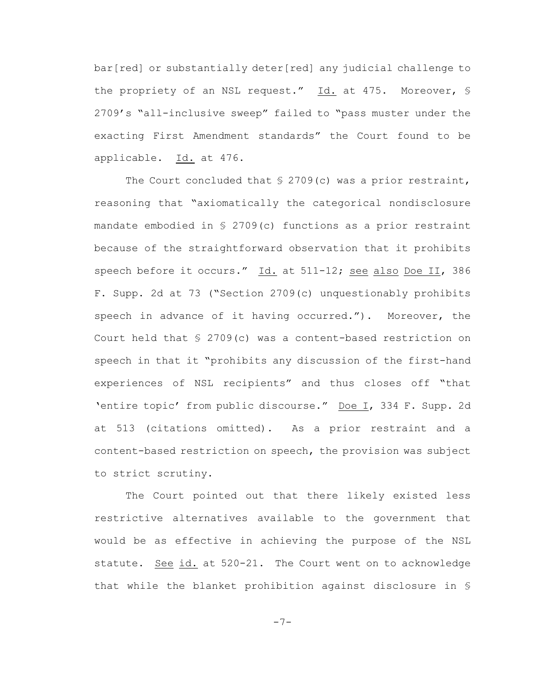bar[red] or substantially deter[red] any judicial challenge to the propriety of an NSL request." Id. at 475. Moreover, § 2709's "all-inclusive sweep" failed to "pass muster under the exacting First Amendment standards" the Court found to be applicable. Id. at 476.

The Court concluded that  $\S$  2709(c) was a prior restraint, reasoning that "axiomatically the categorical nondisclosure mandate embodied in § 2709(c) functions as a prior restraint because of the straightforward observation that it prohibits speech before it occurs." Id. at 511-12; see also Doe II, 386 F. Supp. 2d at 73 ("Section 2709(c) unquestionably prohibits speech in advance of it having occurred."). Moreover, the Court held that § 2709(c) was a content-based restriction on speech in that it "prohibits any discussion of the first-hand experiences of NSL recipients" and thus closes off "that 'entire topic' from public discourse." Doe I, 334 F. Supp. 2d at 513 (citations omitted). As a prior restraint and a content-based restriction on speech, the provision was subject to strict scrutiny.

The Court pointed out that there likely existed less restrictive alternatives available to the government that would be as effective in achieving the purpose of the NSL statute. See id. at 520-21. The Court went on to acknowledge that while the blanket prohibition against disclosure in §

-7-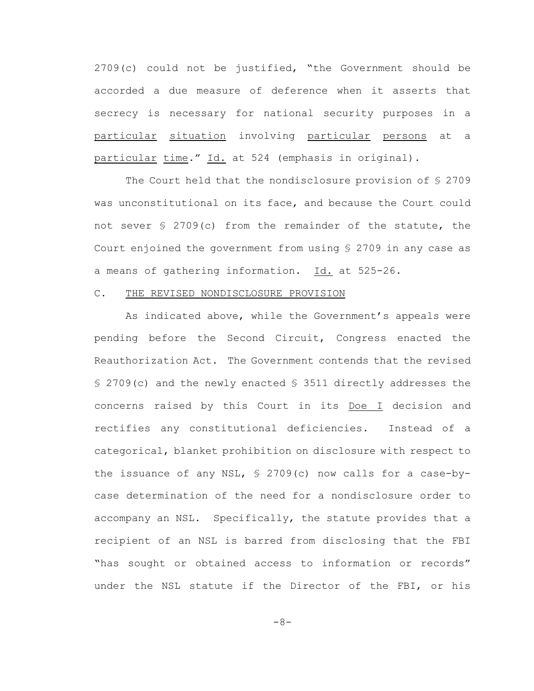2709(c) could not be justified, "the Government should be accorded a due measure of deference when it asserts that secrecy is necessary for national security purposes in a particular situation involving particular persons at a particular time." Id. at 524 (emphasis in original).

The Court held that the nondisclosure provision of § 2709 was unconstitutional on its face, and because the Court could not sever § 2709(c) from the remainder of the statute, the Court enjoined the government from using § 2709 in any case as a means of gathering information. Id. at 525-26.

### C. THE REVISED NONDISCLOSURE PROVISION

As indicated above, while the Government's appeals were pending before the Second Circuit, Congress enacted the Reauthorization Act. The Government contends that the revised § 2709(c) and the newly enacted § 3511 directly addresses the concerns raised by this Court in its Doe I decision and rectifies any constitutional deficiencies. Instead of a categorical, blanket prohibition on disclosure with respect to the issuance of any NSL, § 2709(c) now calls for a case-bycase determination of the need for a nondisclosure order to accompany an NSL. Specifically, the statute provides that a recipient of an NSL is barred from disclosing that the FBI "has sought or obtained access to information or records" under the NSL statute if the Director of the FBI, or his

 $-8-$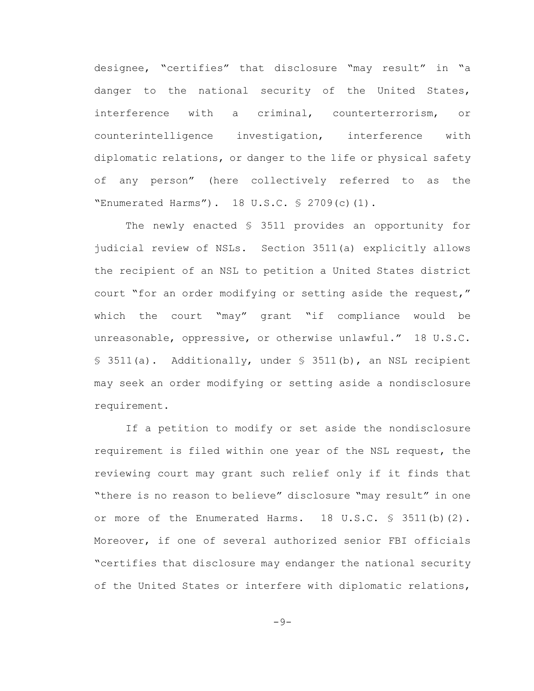designee, "certifies" that disclosure "may result" in "a danger to the national security of the United States, interference with a criminal, counterterrorism, or counterintelligence investigation, interference with diplomatic relations, or danger to the life or physical safety of any person" (here collectively referred to as the "Enumerated Harms"). 18 U.S.C. § 2709(c)(1).

The newly enacted § 3511 provides an opportunity for judicial review of NSLs. Section 3511(a) explicitly allows the recipient of an NSL to petition a United States district court "for an order modifying or setting aside the request," which the court "may" grant "if compliance would be unreasonable, oppressive, or otherwise unlawful." 18 U.S.C. § 3511(a). Additionally, under § 3511(b), an NSL recipient may seek an order modifying or setting aside a nondisclosure requirement.

If a petition to modify or set aside the nondisclosure requirement is filed within one year of the NSL request, the reviewing court may grant such relief only if it finds that "there is no reason to believe" disclosure "may result" in one or more of the Enumerated Harms.  $18 \text{ U.S.C. }$   $\frac{1}{5}$  3511(b)(2). Moreover, if one of several authorized senior FBI officials "certifies that disclosure may endanger the national security of the United States or interfere with diplomatic relations,

 $-9-$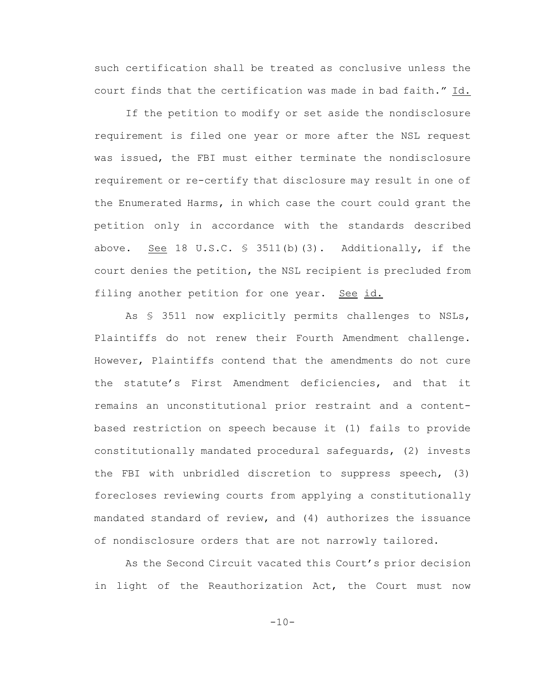such certification shall be treated as conclusive unless the court finds that the certification was made in bad faith." Id.

If the petition to modify or set aside the nondisclosure requirement is filed one year or more after the NSL request was issued, the FBI must either terminate the nondisclosure requirement or re-certify that disclosure may result in one of the Enumerated Harms, in which case the court could grant the petition only in accordance with the standards described above. See 18 U.S.C. § 3511(b)(3). Additionally, if the court denies the petition, the NSL recipient is precluded from filing another petition for one year. See id.

As § 3511 now explicitly permits challenges to NSLs, Plaintiffs do not renew their Fourth Amendment challenge. However, Plaintiffs contend that the amendments do not cure the statute's First Amendment deficiencies, and that it remains an unconstitutional prior restraint and a contentbased restriction on speech because it (1) fails to provide constitutionally mandated procedural safeguards, (2) invests the FBI with unbridled discretion to suppress speech, (3) forecloses reviewing courts from applying a constitutionally mandated standard of review, and (4) authorizes the issuance of nondisclosure orders that are not narrowly tailored.

As the Second Circuit vacated this Court's prior decision in light of the Reauthorization Act, the Court must now

 $-10-$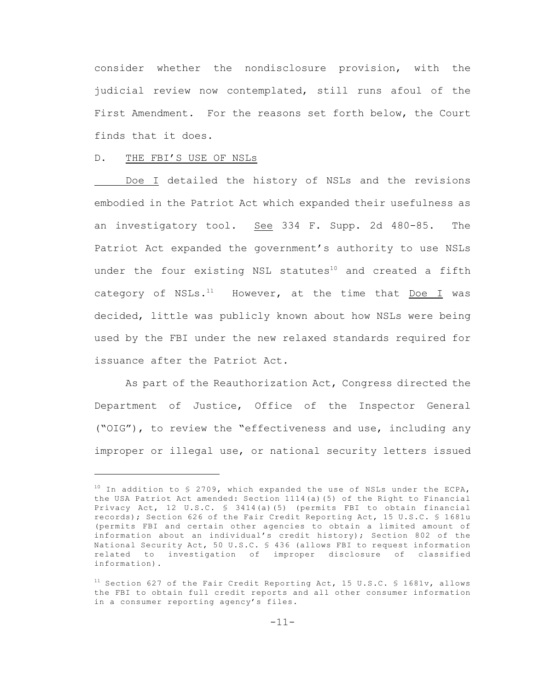consider whether the nondisclosure provision, with the judicial review now contemplated, still runs afoul of the First Amendment. For the reasons set forth below, the Court finds that it does.

### D. THE FBI'S USE OF NSLs

Doe I detailed the history of NSLs and the revisions embodied in the Patriot Act which expanded their usefulness as an investigatory tool. See 334 F. Supp. 2d 480-85. The Patriot Act expanded the government's authority to use NSLs under the four existing NSL statutes<sup>10</sup> and created a fifth category of NSLs. $<sup>11</sup>$  However, at the time that Doe I was</sup> decided, little was publicly known about how NSLs were being used by the FBI under the new relaxed standards required for issuance after the Patriot Act.

As part of the Reauthorization Act, Congress directed the Department of Justice, Office of the Inspector General ("OIG"), to review the "effectiveness and use, including any improper or illegal use, or national security letters issued

<sup>&</sup>lt;sup>10</sup> In addition to \$ 2709, which expanded the use of NSLs under the ECPA, the USA Patriot Act amended: Section 1114(a)(5) of the Right to Financial Privacy Act, 12 U.S.C. § 3414(a)(5) (permits FBI to obtain financial records); Section 626 of the Fair Credit Reporting Act, 15 U.S.C. § 1681u (permits FBI and certain other agencies to obtain a limited amount of information about an individual's credit history); Section 802 of the National Security Act, 50 U.S.C. § 436 (allows FBI to request information related to investigation of improper disclosure of classified information).

 $11$  Section 627 of the Fair Credit Reporting Act, 15 U.S.C. § 1681v, allows the FBI to obtain full credit reports and all other consumer information in a consumer reporting agency's files.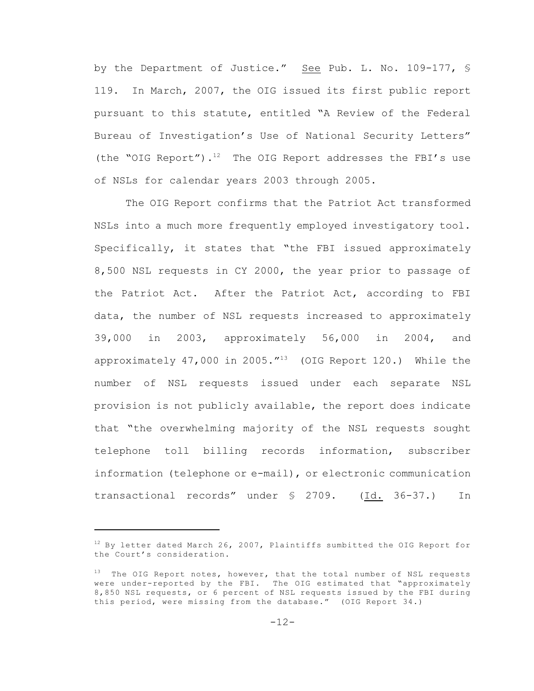by the Department of Justice." See Pub. L. No. 109-177, § 119. In March, 2007, the OIG issued its first public report pursuant to this statute, entitled "A Review of the Federal Bureau of Investigation's Use of National Security Letters" (the "OIG Report").<sup>12</sup> The OIG Report addresses the FBI's use of NSLs for calendar years 2003 through 2005.

The OIG Report confirms that the Patriot Act transformed NSLs into a much more frequently employed investigatory tool. Specifically, it states that "the FBI issued approximately 8,500 NSL requests in CY 2000, the year prior to passage of the Patriot Act. After the Patriot Act, according to FBI data, the number of NSL requests increased to approximately 39,000 in 2003, approximately 56,000 in 2004, and approximately 47,000 in 2005. $^{\prime\prime}$ <sup>13</sup> (OIG Report 120.) While the number of NSL requests issued under each separate NSL provision is not publicly available, the report does indicate that "the overwhelming majority of the NSL requests sought telephone toll billing records information, subscriber information (telephone or e-mail), or electronic communication transactional records" under § 2709. (Id. 36-37.) In

 $12$  By letter dated March 26, 2007, Plaintiffs sumbitted the OIG Report for the Court's consideration.

 $13$  The OIG Report notes, however, that the total number of NSL requests were under-reported by the FBI. The OIG estimated that "approximately 8,850 NSL requests, or 6 percent of NSL requests issued by the FBI during this period, were missing from the database." (OIG Report 34.)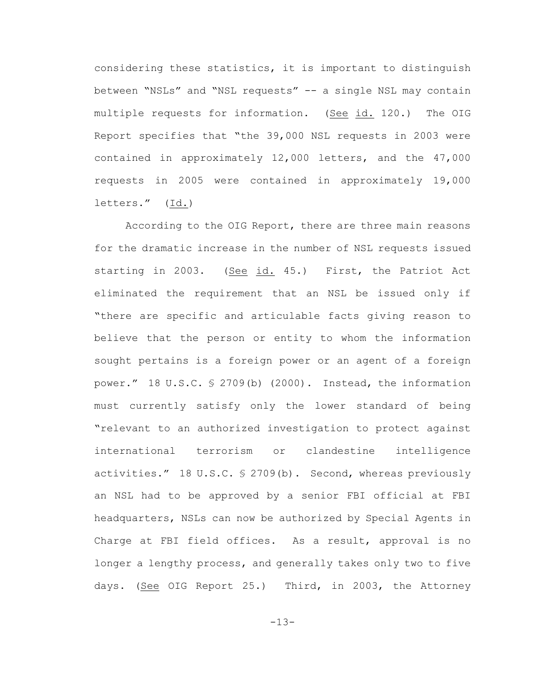considering these statistics, it is important to distinguish between "NSLs" and "NSL requests" -- a single NSL may contain multiple requests for information. (See id. 120.) The OIG Report specifies that "the 39,000 NSL requests in 2003 were contained in approximately 12,000 letters, and the 47,000 requests in 2005 were contained in approximately 19,000 letters." (Id.)

According to the OIG Report, there are three main reasons for the dramatic increase in the number of NSL requests issued starting in 2003. (See id. 45.) First, the Patriot Act eliminated the requirement that an NSL be issued only if "there are specific and articulable facts giving reason to believe that the person or entity to whom the information sought pertains is a foreign power or an agent of a foreign power." 18 U.S.C. § 2709(b) (2000). Instead, the information must currently satisfy only the lower standard of being "relevant to an authorized investigation to protect against international terrorism or clandestine intelligence activities." 18 U.S.C. § 2709(b). Second, whereas previously an NSL had to be approved by a senior FBI official at FBI headquarters, NSLs can now be authorized by Special Agents in Charge at FBI field offices. As a result, approval is no longer a lengthy process, and generally takes only two to five days. (See OIG Report 25.) Third, in 2003, the Attorney

-13-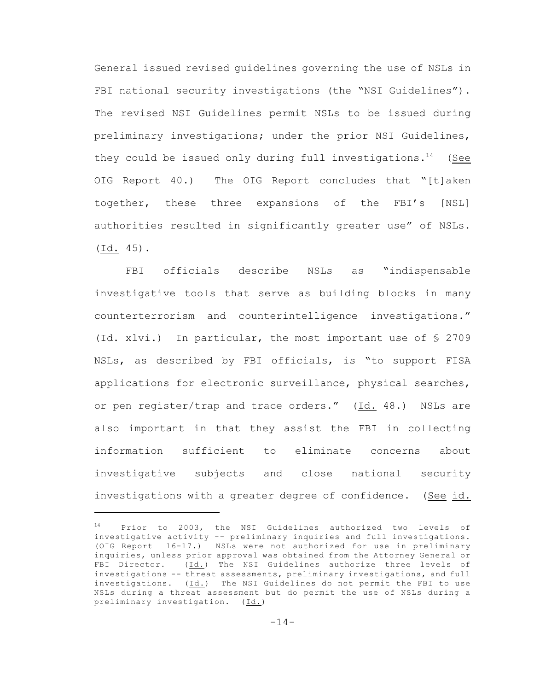General issued revised guidelines governing the use of NSLs in FBI national security investigations (the "NSI Guidelines"). The revised NSI Guidelines permit NSLs to be issued during preliminary investigations; under the prior NSI Guidelines, they could be issued only during full investigations.<sup>14</sup> (See OIG Report 40.) The OIG Report concludes that "[t]aken together, these three expansions of the FBI's [NSL] authorities resulted in significantly greater use" of NSLs. (Id. 45).

FBI officials describe NSLs as "indispensable investigative tools that serve as building blocks in many counterterrorism and counterintelligence investigations." (Id. xlvi.) In particular, the most important use of § 2709 NSLs, as described by FBI officials, is "to support FISA applications for electronic surveillance, physical searches, or pen register/trap and trace orders." (Id. 48.) NSLs are also important in that they assist the FBI in collecting information sufficient to eliminate concerns about investigative subjects and close national security investigations with a greater degree of confidence. (See id.

 $14$  Prior to 2003, the NSI Guidelines authorized two levels of investigative activity -- preliminary inquiries and full investigations. (OIG Report 16-17.) NSLs were not authorized for use in preliminary inquiries, unless prior approval was obtained from the Attorney General or FBI Director. (Id.) The NSI Guidelines authorize three levels of investigations -- threat assessments, preliminary investigations, and full investigations. (Id.) The NSI Guidelines do not permit the FBI to use NSLs during a threat assessment but do permit the use of NSLs during a preliminary investigation. (Id.)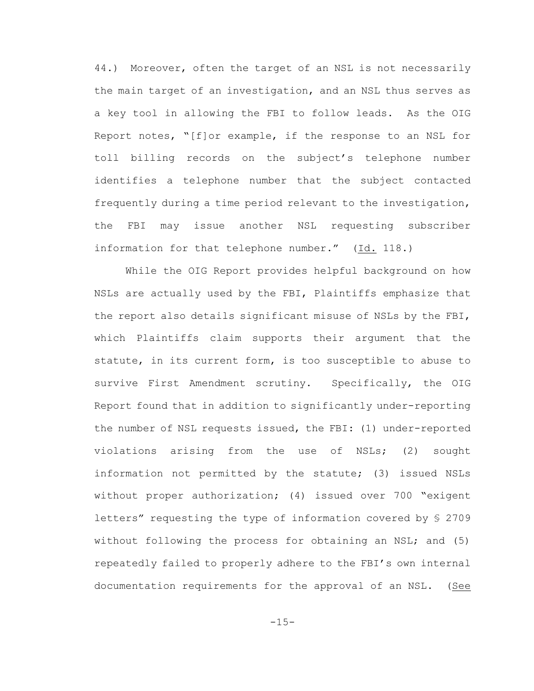44.) Moreover, often the target of an NSL is not necessarily the main target of an investigation, and an NSL thus serves as a key tool in allowing the FBI to follow leads. As the OIG Report notes, "[f]or example, if the response to an NSL for toll billing records on the subject's telephone number identifies a telephone number that the subject contacted frequently during a time period relevant to the investigation, the FBI may issue another NSL requesting subscriber information for that telephone number." (Id. 118.)

While the OIG Report provides helpful background on how NSLs are actually used by the FBI, Plaintiffs emphasize that the report also details significant misuse of NSLs by the FBI, which Plaintiffs claim supports their argument that the statute, in its current form, is too susceptible to abuse to survive First Amendment scrutiny. Specifically, the OIG Report found that in addition to significantly under-reporting the number of NSL requests issued, the FBI: (1) under-reported violations arising from the use of NSLs; (2) sought information not permitted by the statute; (3) issued NSLs without proper authorization; (4) issued over 700 "exigent letters" requesting the type of information covered by § 2709 without following the process for obtaining an NSL; and (5) repeatedly failed to properly adhere to the FBI's own internal documentation requirements for the approval of an NSL. (See

-15-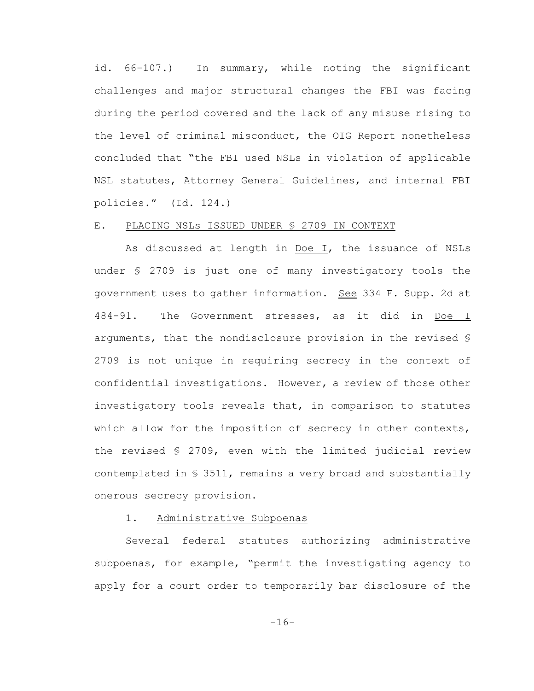id. 66-107.) In summary, while noting the significant challenges and major structural changes the FBI was facing during the period covered and the lack of any misuse rising to the level of criminal misconduct, the OIG Report nonetheless concluded that "the FBI used NSLs in violation of applicable NSL statutes, Attorney General Guidelines, and internal FBI policies." (Id. 124.)

## E. PLACING NSLS ISSUED UNDER § 2709 IN CONTEXT

As discussed at length in Doe I, the issuance of NSLs under § 2709 is just one of many investigatory tools the government uses to gather information. See 334 F. Supp. 2d at 484-91. The Government stresses, as it did in Doe I arguments, that the nondisclosure provision in the revised § 2709 is not unique in requiring secrecy in the context of confidential investigations. However, a review of those other investigatory tools reveals that, in comparison to statutes which allow for the imposition of secrecy in other contexts, the revised § 2709, even with the limited judicial review contemplated in § 3511, remains a very broad and substantially onerous secrecy provision.

### 1. Administrative Subpoenas

Several federal statutes authorizing administrative subpoenas, for example, "permit the investigating agency to apply for a court order to temporarily bar disclosure of the

-16-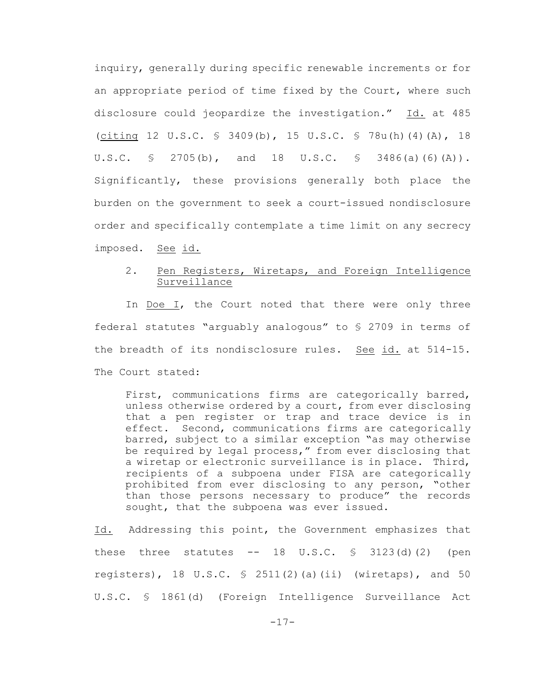inquiry, generally during specific renewable increments or for an appropriate period of time fixed by the Court, where such disclosure could jeopardize the investigation." Id. at 485 (citing 12 U.S.C. § 3409(b), 15 U.S.C. § 78u(h)(4)(A), 18 U.S.C. § 2705(b), and 18 U.S.C. § 3486(a)(6)(A)). Significantly, these provisions generally both place the burden on the government to seek a court-issued nondisclosure order and specifically contemplate a time limit on any secrecy imposed. See id.

# 2. Pen Registers, Wiretaps, and Foreign Intelligence Surveillance

In Doe I, the Court noted that there were only three federal statutes "arguably analogous" to § 2709 in terms of the breadth of its nondisclosure rules. See id. at 514-15. The Court stated:

First, communications firms are categorically barred, unless otherwise ordered by a court, from ever disclosing that a pen register or trap and trace device is in effect. Second, communications firms are categorically barred, subject to a similar exception "as may otherwise be required by legal process," from ever disclosing that a wiretap or electronic surveillance is in place. Third, recipients of a subpoena under FISA are categorically prohibited from ever disclosing to any person, "other than those persons necessary to produce" the records sought, that the subpoena was ever issued.

Id. Addressing this point, the Government emphasizes that these three statutes  $--$  18 U.S.C.  $\frac{1}{5}$  3123(d)(2) (pen registers), 18 U.S.C.  $\frac{1}{2}$  2511(2)(a)(ii) (wiretaps), and 50 U.S.C. § 1861(d) (Foreign Intelligence Surveillance Act

 $-17-$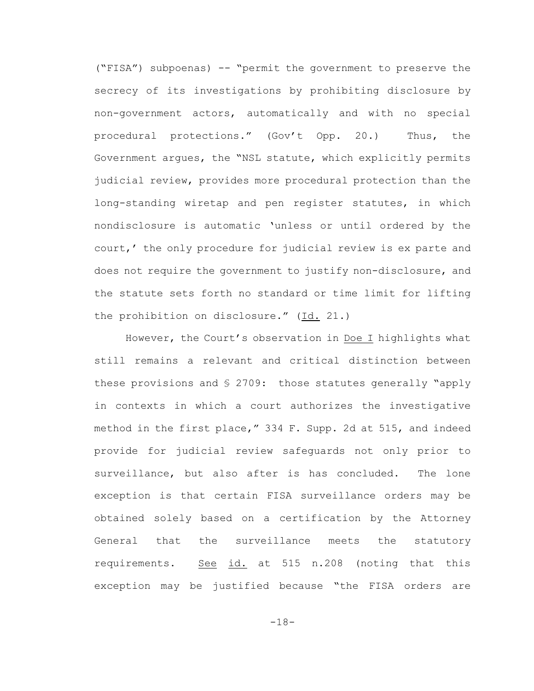("FISA") subpoenas) -- "permit the government to preserve the secrecy of its investigations by prohibiting disclosure by non-government actors, automatically and with no special procedural protections." (Gov't Opp. 20.) Thus, the Government argues, the "NSL statute, which explicitly permits judicial review, provides more procedural protection than the long-standing wiretap and pen register statutes, in which nondisclosure is automatic 'unless or until ordered by the court,' the only procedure for judicial review is ex parte and does not require the government to justify non-disclosure, and the statute sets forth no standard or time limit for lifting the prohibition on disclosure." (Id. 21.)

However, the Court's observation in Doe I highlights what still remains a relevant and critical distinction between these provisions and § 2709: those statutes generally "apply in contexts in which a court authorizes the investigative method in the first place," 334 F. Supp. 2d at 515, and indeed provide for judicial review safeguards not only prior to surveillance, but also after is has concluded. The lone exception is that certain FISA surveillance orders may be obtained solely based on a certification by the Attorney General that the surveillance meets the statutory requirements. See id. at 515 n.208 (noting that this exception may be justified because "the FISA orders are

-18-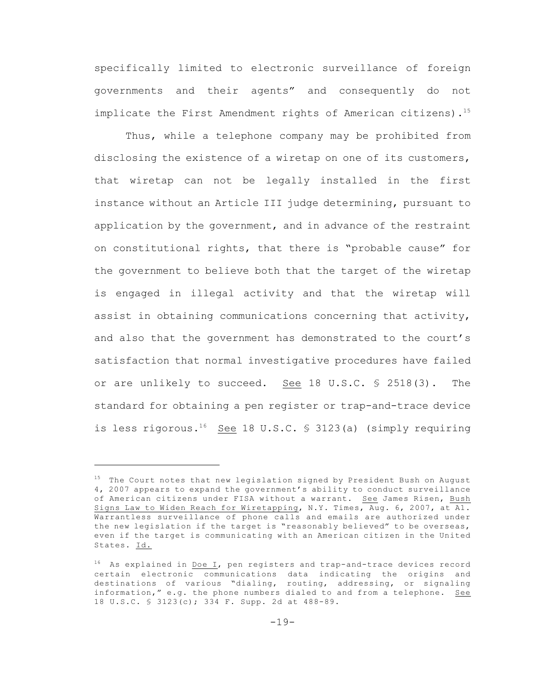specifically limited to electronic surveillance of foreign governments and their agents" and consequently do not implicate the First Amendment rights of American citizens).<sup>15</sup>

Thus, while a telephone company may be prohibited from disclosing the existence of a wiretap on one of its customers, that wiretap can not be legally installed in the first instance without an Article III judge determining, pursuant to application by the government, and in advance of the restraint on constitutional rights, that there is "probable cause" for the government to believe both that the target of the wiretap is engaged in illegal activity and that the wiretap will assist in obtaining communications concerning that activity, and also that the government has demonstrated to the court's satisfaction that normal investigative procedures have failed or are unlikely to succeed. See 18 U.S.C. § 2518(3). The standard for obtaining a pen register or trap-and-trace device is less rigorous.<sup>16</sup> See 18 U.S.C. § 3123(a) (simply requiring

 $15$  The Court notes that new legislation signed by President Bush on August 4, 2007 appears to expand the government's ability to conduct surveillance of American citizens under FISA without a warrant. See James Risen, Bush Signs Law to Widen Reach for Wiretapping, N.Y. Times, Aug. 6, 2007, at A1. Warrantless surveillance of phone calls and emails are authorized under the new legislation if the target is "reasonably believed" to be overseas, even if the target is communicating with an American citizen in the United States. Id.

 $16$  As explained in <u>Doe I</u>, pen registers and trap-and-trace devices record certain electronic communications data indicating the origins and destinations of various "dialing, routing, addressing, or signaling information," e.g. the phone numbers dialed to and from a telephone. See 18 U.S.C. § 3123(c); 334 F. Supp. 2d at 488-89.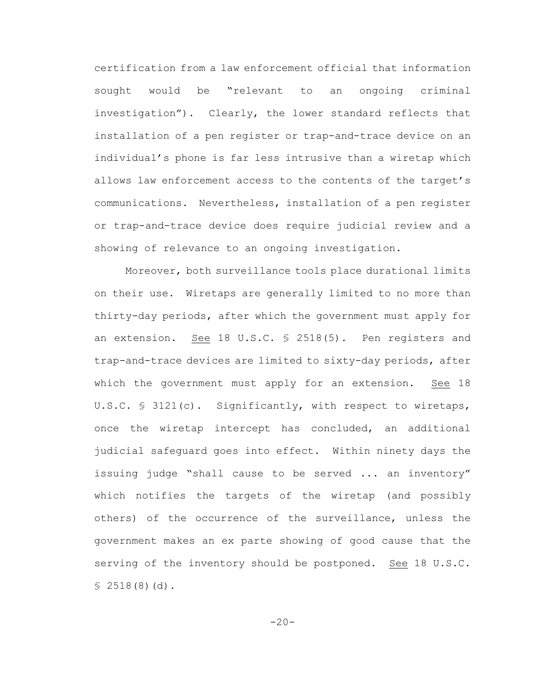certification from a law enforcement official that information sought would be "relevant to an ongoing criminal investigation"). Clearly, the lower standard reflects that installation of a pen register or trap-and-trace device on an individual's phone is far less intrusive than a wiretap which allows law enforcement access to the contents of the target's communications. Nevertheless, installation of a pen register or trap-and-trace device does require judicial review and a showing of relevance to an ongoing investigation.

Moreover, both surveillance tools place durational limits on their use. Wiretaps are generally limited to no more than thirty-day periods, after which the government must apply for an extension. See 18 U.S.C. § 2518(5). Pen registers and trap-and-trace devices are limited to sixty-day periods, after which the government must apply for an extension. See 18 U.S.C. § 3121(c). Significantly, with respect to wiretaps, once the wiretap intercept has concluded, an additional judicial safeguard goes into effect. Within ninety days the issuing judge "shall cause to be served ... an inventory" which notifies the targets of the wiretap (and possibly others) of the occurrence of the surveillance, unless the government makes an ex parte showing of good cause that the serving of the inventory should be postponed. See 18 U.S.C.  $$2518(8)(d).$ 

 $-20-$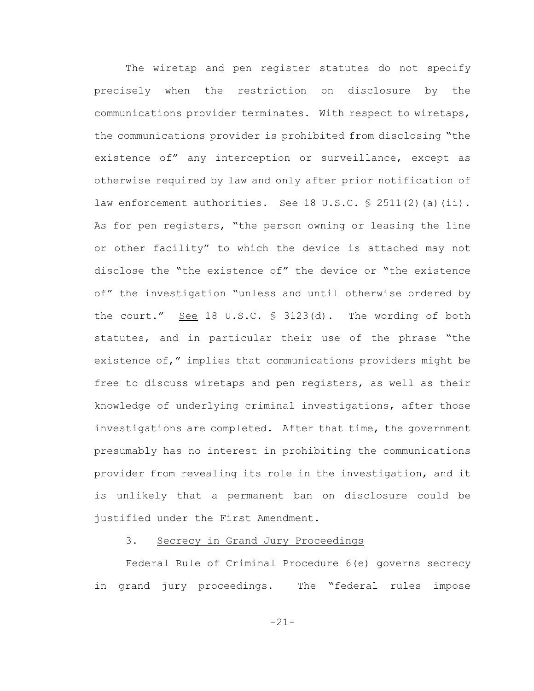The wiretap and pen register statutes do not specify precisely when the restriction on disclosure by the communications provider terminates. With respect to wiretaps, the communications provider is prohibited from disclosing "the existence of" any interception or surveillance, except as otherwise required by law and only after prior notification of law enforcement authorities. See 18 U.S.C. § 2511(2)(a)(ii). As for pen registers, "the person owning or leasing the line or other facility" to which the device is attached may not disclose the "the existence of" the device or "the existence of" the investigation "unless and until otherwise ordered by the court." See 18 U.S.C. § 3123(d). The wording of both statutes, and in particular their use of the phrase "the existence of," implies that communications providers might be free to discuss wiretaps and pen registers, as well as their knowledge of underlying criminal investigations, after those investigations are completed. After that time, the government presumably has no interest in prohibiting the communications provider from revealing its role in the investigation, and it is unlikely that a permanent ban on disclosure could be justified under the First Amendment.

### 3. Secrecy in Grand Jury Proceedings

Federal Rule of Criminal Procedure 6(e) governs secrecy in grand jury proceedings. The "federal rules impose

-21-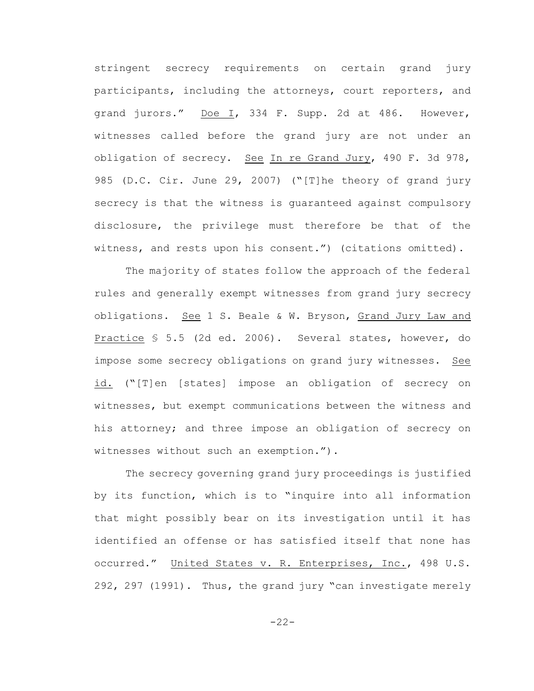stringent secrecy requirements on certain grand jury participants, including the attorneys, court reporters, and grand jurors." Doe I, 334 F. Supp. 2d at 486. However, witnesses called before the grand jury are not under an obligation of secrecy. See In re Grand Jury, 490 F. 3d 978, 985 (D.C. Cir. June 29, 2007) ("[T]he theory of grand jury secrecy is that the witness is guaranteed against compulsory disclosure, the privilege must therefore be that of the witness, and rests upon his consent.") (citations omitted).

The majority of states follow the approach of the federal rules and generally exempt witnesses from grand jury secrecy obligations. See 1 S. Beale & W. Bryson, Grand Jury Law and Practice § 5.5 (2d ed. 2006). Several states, however, do impose some secrecy obligations on grand jury witnesses. See id. ("[T]en [states] impose an obligation of secrecy on witnesses, but exempt communications between the witness and his attorney; and three impose an obligation of secrecy on witnesses without such an exemption.").

The secrecy governing grand jury proceedings is justified by its function, which is to "inquire into all information that might possibly bear on its investigation until it has identified an offense or has satisfied itself that none has occurred." United States v. R. Enterprises, Inc., 498 U.S. 292, 297 (1991). Thus, the grand jury "can investigate merely

-22-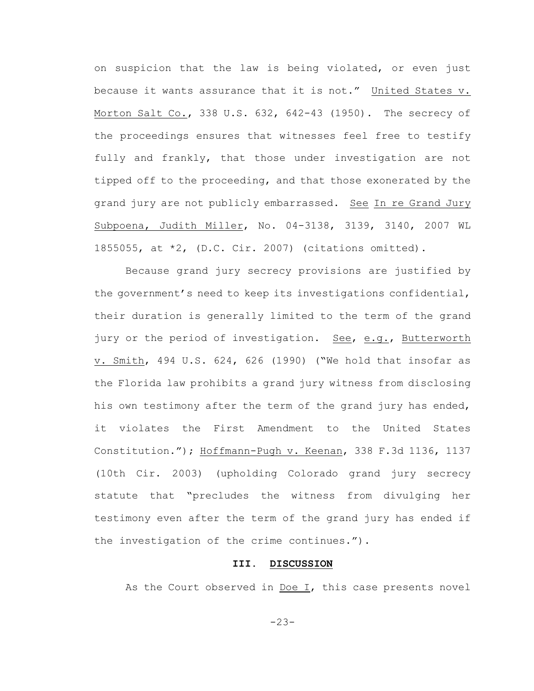on suspicion that the law is being violated, or even just because it wants assurance that it is not." United States v. Morton Salt Co., 338 U.S. 632, 642-43 (1950). The secrecy of the proceedings ensures that witnesses feel free to testify fully and frankly, that those under investigation are not tipped off to the proceeding, and that those exonerated by the grand jury are not publicly embarrassed. See In re Grand Jury Subpoena, Judith Miller, No. 04-3138, 3139, 3140, 2007 WL 1855055, at \*2, (D.C. Cir. 2007) (citations omitted).

Because grand jury secrecy provisions are justified by the government's need to keep its investigations confidential, their duration is generally limited to the term of the grand jury or the period of investigation. See, e.g., Butterworth v. Smith, 494 U.S. 624, 626 (1990) ("We hold that insofar as the Florida law prohibits a grand jury witness from disclosing his own testimony after the term of the grand jury has ended, it violates the First Amendment to the United States Constitution."); Hoffmann-Pugh v. Keenan, 338 F.3d 1136, 1137 (10th Cir. 2003) (upholding Colorado grand jury secrecy statute that "precludes the witness from divulging her testimony even after the term of the grand jury has ended if the investigation of the crime continues.").

#### **III. DISCUSSION**

As the Court observed in Doe I, this case presents novel

-23-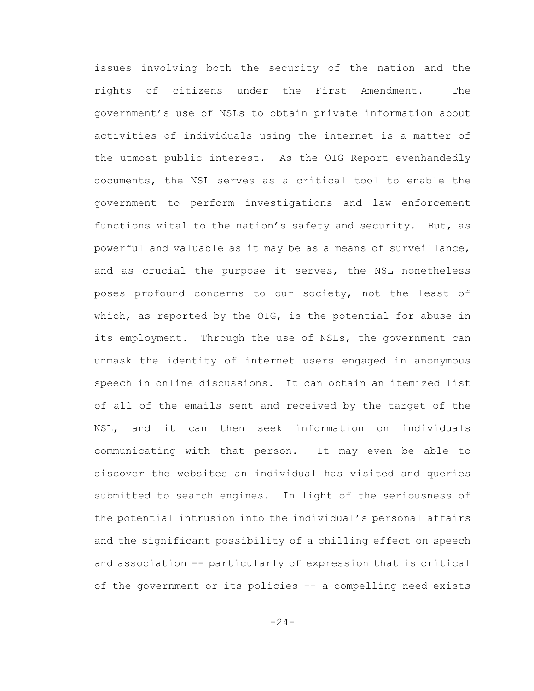issues involving both the security of the nation and the rights of citizens under the First Amendment. The government's use of NSLs to obtain private information about activities of individuals using the internet is a matter of the utmost public interest. As the OIG Report evenhandedly documents, the NSL serves as a critical tool to enable the government to perform investigations and law enforcement functions vital to the nation's safety and security. But, as powerful and valuable as it may be as a means of surveillance, and as crucial the purpose it serves, the NSL nonetheless poses profound concerns to our society, not the least of which, as reported by the OIG, is the potential for abuse in its employment. Through the use of NSLs, the government can unmask the identity of internet users engaged in anonymous speech in online discussions. It can obtain an itemized list of all of the emails sent and received by the target of the NSL, and it can then seek information on individuals communicating with that person. It may even be able to discover the websites an individual has visited and queries submitted to search engines. In light of the seriousness of the potential intrusion into the individual's personal affairs and the significant possibility of a chilling effect on speech and association -- particularly of expression that is critical of the government or its policies -- a compelling need exists

 $-24-$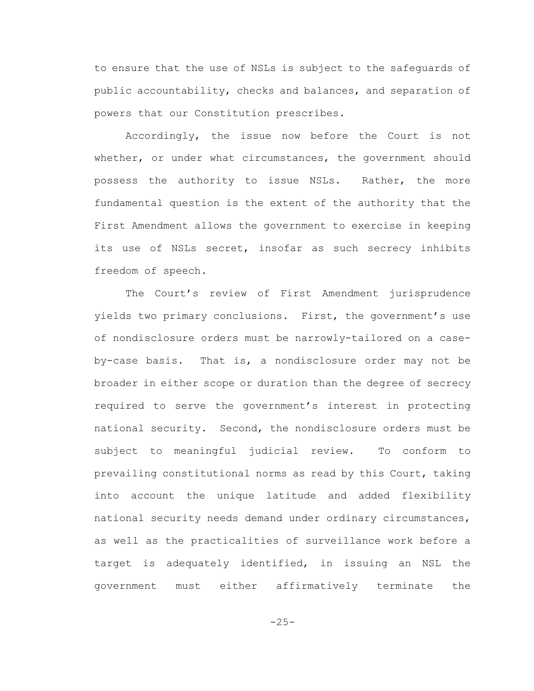to ensure that the use of NSLs is subject to the safeguards of public accountability, checks and balances, and separation of powers that our Constitution prescribes.

Accordingly, the issue now before the Court is not whether, or under what circumstances, the government should possess the authority to issue NSLs. Rather, the more fundamental question is the extent of the authority that the First Amendment allows the government to exercise in keeping its use of NSLs secret, insofar as such secrecy inhibits freedom of speech.

The Court's review of First Amendment jurisprudence yields two primary conclusions. First, the government's use of nondisclosure orders must be narrowly-tailored on a caseby-case basis. That is, a nondisclosure order may not be broader in either scope or duration than the degree of secrecy required to serve the government's interest in protecting national security. Second, the nondisclosure orders must be subject to meaningful judicial review. To conform to prevailing constitutional norms as read by this Court, taking into account the unique latitude and added flexibility national security needs demand under ordinary circumstances, as well as the practicalities of surveillance work before a target is adequately identified, in issuing an NSL the government must either affirmatively terminate the

 $-25-$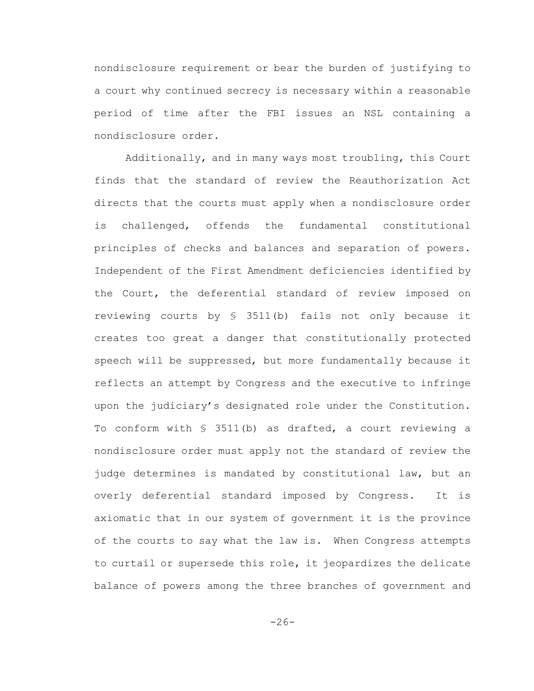nondisclosure requirement or bear the burden of justifying to a court why continued secrecy is necessary within a reasonable period of time after the FBI issues an NSL containing a nondisclosure order.

Additionally, and in many ways most troubling, this Court finds that the standard of review the Reauthorization Act directs that the courts must apply when a nondisclosure order is challenged, offends the fundamental constitutional principles of checks and balances and separation of powers. Independent of the First Amendment deficiencies identified by the Court, the deferential standard of review imposed on reviewing courts by § 3511(b) fails not only because it creates too great a danger that constitutionally protected speech will be suppressed, but more fundamentally because it reflects an attempt by Congress and the executive to infringe upon the judiciary's designated role under the Constitution. To conform with  $S$  3511(b) as drafted, a court reviewing a nondisclosure order must apply not the standard of review the judge determines is mandated by constitutional law, but an overly deferential standard imposed by Congress. It is axiomatic that in our system of government it is the province of the courts to say what the law is. When Congress attempts to curtail or supersede this role, it jeopardizes the delicate balance of powers among the three branches of government and

 $-26-$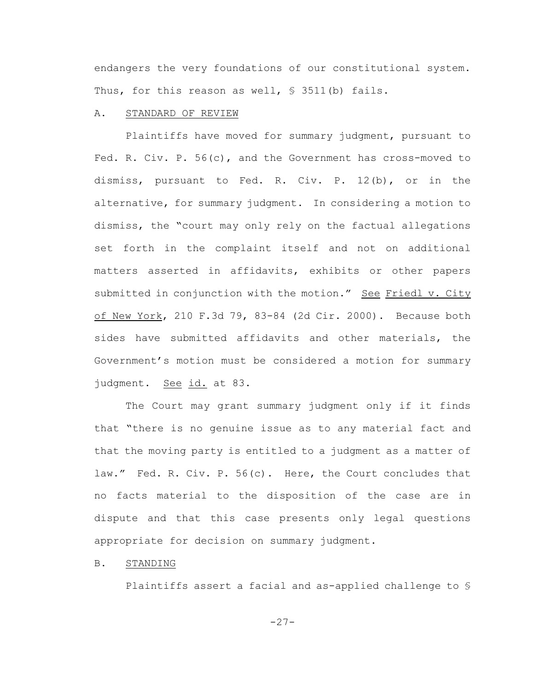endangers the very foundations of our constitutional system. Thus, for this reason as well,  $\S$  3511(b) fails.

### A. STANDARD OF REVIEW

Plaintiffs have moved for summary judgment, pursuant to Fed. R. Civ. P. 56(c), and the Government has cross-moved to dismiss, pursuant to Fed. R. Civ. P. 12(b), or in the alternative, for summary judgment. In considering a motion to dismiss, the "court may only rely on the factual allegations set forth in the complaint itself and not on additional matters asserted in affidavits, exhibits or other papers submitted in conjunction with the motion." See Friedl v. City of New York, 210 F.3d 79, 83-84 (2d Cir. 2000). Because both sides have submitted affidavits and other materials, the Government's motion must be considered a motion for summary judgment. See id. at 83.

The Court may grant summary judgment only if it finds that "there is no genuine issue as to any material fact and that the moving party is entitled to a judgment as a matter of law." Fed. R. Civ. P. 56(c). Here, the Court concludes that no facts material to the disposition of the case are in dispute and that this case presents only legal questions appropriate for decision on summary judgment.

B. STANDING

Plaintiffs assert a facial and as-applied challenge to §

-27-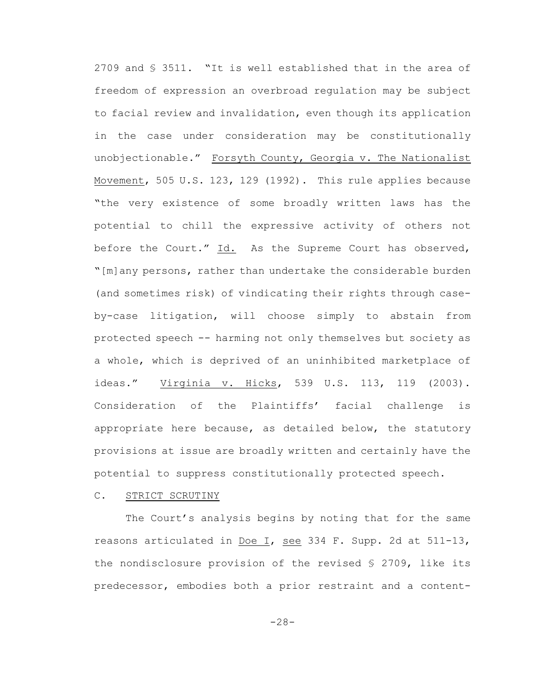2709 and § 3511. "It is well established that in the area of freedom of expression an overbroad regulation may be subject to facial review and invalidation, even though its application in the case under consideration may be constitutionally unobjectionable." Forsyth County, Georgia v. The Nationalist Movement, 505 U.S. 123, 129 (1992). This rule applies because "the very existence of some broadly written laws has the potential to chill the expressive activity of others not before the Court." Id. As the Supreme Court has observed, "[m]any persons, rather than undertake the considerable burden (and sometimes risk) of vindicating their rights through caseby-case litigation, will choose simply to abstain from protected speech -- harming not only themselves but society as a whole, which is deprived of an uninhibited marketplace of ideas." Virginia v. Hicks, 539 U.S. 113, 119 (2003). Consideration of the Plaintiffs' facial challenge is appropriate here because, as detailed below, the statutory provisions at issue are broadly written and certainly have the potential to suppress constitutionally protected speech.

### C. STRICT SCRUTINY

The Court's analysis begins by noting that for the same reasons articulated in Doe I, see 334 F. Supp. 2d at 511-13, the nondisclosure provision of the revised  $\S$  2709, like its predecessor, embodies both a prior restraint and a content-

-28-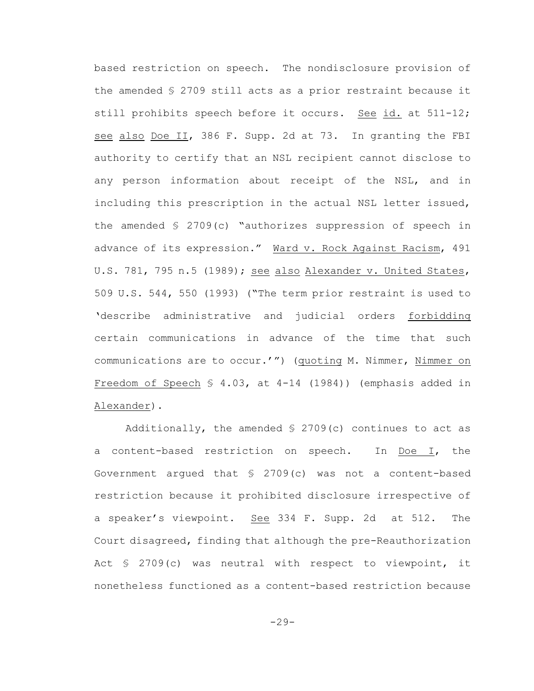based restriction on speech. The nondisclosure provision of the amended § 2709 still acts as a prior restraint because it still prohibits speech before it occurs. See id. at 511-12; see also Doe II, 386 F. Supp. 2d at 73. In granting the FBI authority to certify that an NSL recipient cannot disclose to any person information about receipt of the NSL, and in including this prescription in the actual NSL letter issued, the amended § 2709(c) "authorizes suppression of speech in advance of its expression." Ward v. Rock Against Racism, 491 U.S. 781, 795 n.5 (1989); see also Alexander v. United States, 509 U.S. 544, 550 (1993) ("The term prior restraint is used to 'describe administrative and judicial orders forbidding certain communications in advance of the time that such communications are to occur.'") (quoting M. Nimmer, Nimmer on Freedom of Speech § 4.03, at 4-14 (1984)) (emphasis added in Alexander).

Additionally, the amended  $\S$  2709(c) continues to act as a content-based restriction on speech. In Doe I, the Government argued that § 2709(c) was not a content-based restriction because it prohibited disclosure irrespective of a speaker's viewpoint. See 334 F. Supp. 2d at 512. The Court disagreed, finding that although the pre-Reauthorization Act § 2709(c) was neutral with respect to viewpoint, it nonetheless functioned as a content-based restriction because

 $-29-$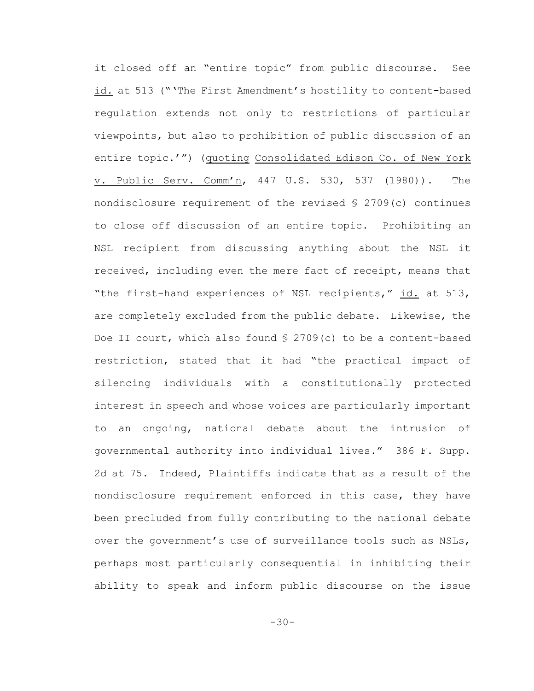it closed off an "entire topic" from public discourse. See id. at 513 ("'The First Amendment's hostility to content-based regulation extends not only to restrictions of particular viewpoints, but also to prohibition of public discussion of an entire topic.'") (quoting Consolidated Edison Co. of New York v. Public Serv. Comm'n, 447 U.S. 530, 537 (1980)). The nondisclosure requirement of the revised § 2709(c) continues to close off discussion of an entire topic. Prohibiting an NSL recipient from discussing anything about the NSL it received, including even the mere fact of receipt, means that "the first-hand experiences of NSL recipients," id. at 513, are completely excluded from the public debate. Likewise, the Doe II court, which also found § 2709(c) to be a content-based restriction, stated that it had "the practical impact of silencing individuals with a constitutionally protected interest in speech and whose voices are particularly important to an ongoing, national debate about the intrusion of governmental authority into individual lives." 386 F. Supp. 2d at 75. Indeed, Plaintiffs indicate that as a result of the nondisclosure requirement enforced in this case, they have been precluded from fully contributing to the national debate over the government's use of surveillance tools such as NSLs, perhaps most particularly consequential in inhibiting their ability to speak and inform public discourse on the issue

-30-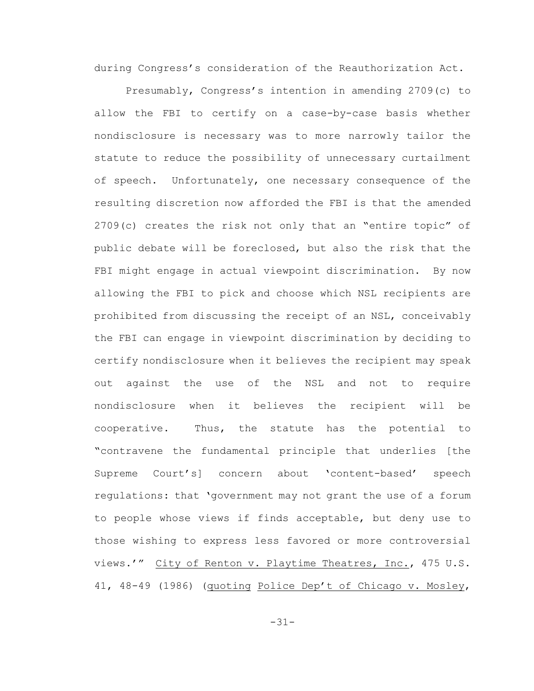during Congress's consideration of the Reauthorization Act.

Presumably, Congress's intention in amending 2709(c) to allow the FBI to certify on a case-by-case basis whether nondisclosure is necessary was to more narrowly tailor the statute to reduce the possibility of unnecessary curtailment of speech. Unfortunately, one necessary consequence of the resulting discretion now afforded the FBI is that the amended 2709(c) creates the risk not only that an "entire topic" of public debate will be foreclosed, but also the risk that the FBI might engage in actual viewpoint discrimination. By now allowing the FBI to pick and choose which NSL recipients are prohibited from discussing the receipt of an NSL, conceivably the FBI can engage in viewpoint discrimination by deciding to certify nondisclosure when it believes the recipient may speak out against the use of the NSL and not to require nondisclosure when it believes the recipient will be cooperative. Thus, the statute has the potential to "contravene the fundamental principle that underlies [the Supreme Court's] concern about 'content-based' speech regulations: that 'government may not grant the use of a forum to people whose views if finds acceptable, but deny use to those wishing to express less favored or more controversial views.'" City of Renton v. Playtime Theatres, Inc., 475 U.S. 41, 48-49 (1986) (quoting Police Dep't of Chicago v. Mosley,

-31-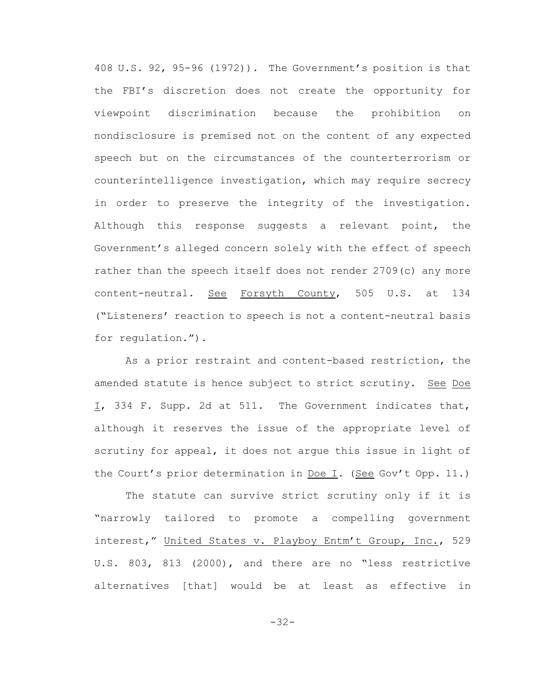408 U.S. 92, 95-96 (1972)). The Government's position is that the FBI's discretion does not create the opportunity for viewpoint discrimination because the prohibition on nondisclosure is premised not on the content of any expected speech but on the circumstances of the counterterrorism or counterintelligence investigation, which may require secrecy in order to preserve the integrity of the investigation. Although this response suggests a relevant point, the Government's alleged concern solely with the effect of speech rather than the speech itself does not render 2709(c) any more content-neutral. See Forsyth County, 505 U.S. at 134 ("Listeners' reaction to speech is not a content-neutral basis for regulation.").

As a prior restraint and content-based restriction, the amended statute is hence subject to strict scrutiny. See Doe I, 334 F. Supp. 2d at 511. The Government indicates that, although it reserves the issue of the appropriate level of scrutiny for appeal, it does not argue this issue in light of the Court's prior determination in Doe I. (See Gov't Opp. 11.)

The statute can survive strict scrutiny only if it is "narrowly tailored to promote a compelling government interest," United States v. Playboy Entm't Group, Inc., 529 U.S. 803, 813 (2000), and there are no "less restrictive alternatives [that] would be at least as effective in

-32-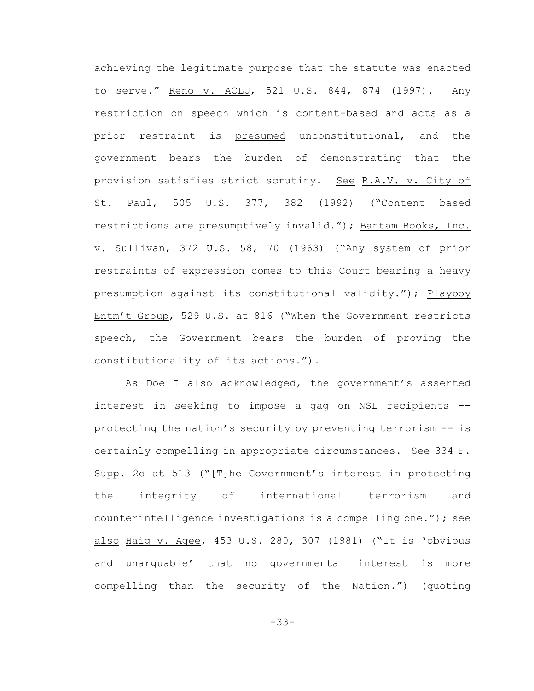achieving the legitimate purpose that the statute was enacted to serve." Reno v. ACLU, 521 U.S. 844, 874 (1997). Any restriction on speech which is content-based and acts as a prior restraint is presumed unconstitutional, and the government bears the burden of demonstrating that the provision satisfies strict scrutiny. See R.A.V. v. City of St. Paul, 505 U.S. 377, 382 (1992) ("Content based restrictions are presumptively invalid."); Bantam Books, Inc. v. Sullivan, 372 U.S. 58, 70 (1963) ("Any system of prior restraints of expression comes to this Court bearing a heavy presumption against its constitutional validity."); Playboy Entm't Group, 529 U.S. at 816 ("When the Government restricts speech, the Government bears the burden of proving the constitutionality of its actions.").

As Doe I also acknowledged, the government's asserted interest in seeking to impose a gag on NSL recipients - protecting the nation's security by preventing terrorism -- is certainly compelling in appropriate circumstances. See 334 F. Supp. 2d at 513 ("[T]he Government's interest in protecting the integrity of international terrorism and counterintelligence investigations is a compelling one."); see also Haig v. Agee, 453 U.S. 280, 307 (1981) ("It is 'obvious and unarguable' that no governmental interest is more compelling than the security of the Nation.") (quoting

-33-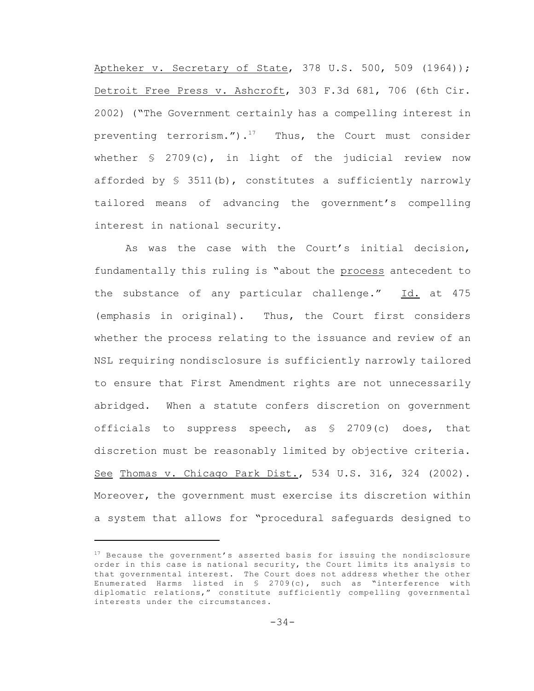Aptheker v. Secretary of State, 378 U.S. 500, 509 (1964)); Detroit Free Press v. Ashcroft, 303 F.3d 681, 706 (6th Cir. 2002) ("The Government certainly has a compelling interest in preventing terrorism.").<sup>17</sup> Thus, the Court must consider whether  $\frac{1}{2}$  2709(c), in light of the judicial review now afforded by  $\S$  3511(b), constitutes a sufficiently narrowly tailored means of advancing the government's compelling interest in national security.

As was the case with the Court's initial decision, fundamentally this ruling is "about the process antecedent to the substance of any particular challenge." Id. at 475 (emphasis in original). Thus, the Court first considers whether the process relating to the issuance and review of an NSL requiring nondisclosure is sufficiently narrowly tailored to ensure that First Amendment rights are not unnecessarily abridged. When a statute confers discretion on government officials to suppress speech, as  $\S$  2709(c) does, that discretion must be reasonably limited by objective criteria. See Thomas v. Chicago Park Dist., 534 U.S. 316, 324 (2002). Moreover, the government must exercise its discretion within a system that allows for "procedural safeguards designed to

 $17$  Because the government's asserted basis for issuing the nondisclosure order in this case is national security, the Court limits its analysis to that governmental interest. The Court does not address whether the other Enumerated Harms listed in § 2709(c), such as "interference with diplomatic relations," constitute sufficiently compelling governmental interests under the circumstances.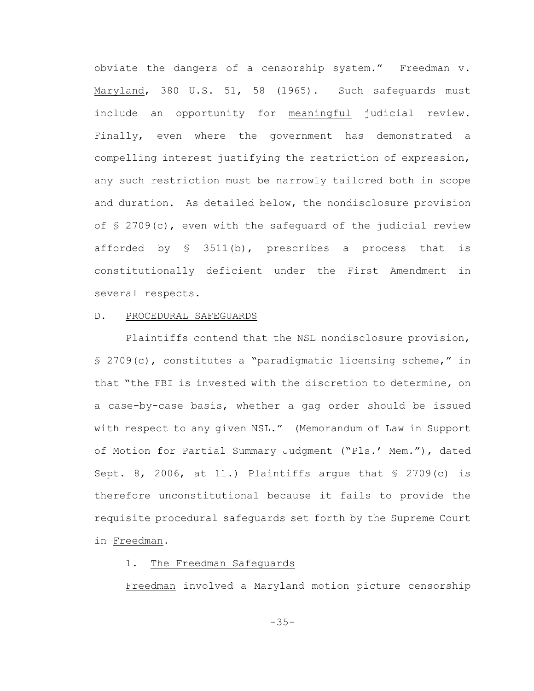obviate the dangers of a censorship system." Freedman v. Maryland, 380 U.S. 51, 58 (1965). Such safeguards must include an opportunity for meaningful judicial review. Finally, even where the government has demonstrated a compelling interest justifying the restriction of expression, any such restriction must be narrowly tailored both in scope and duration. As detailed below, the nondisclosure provision of § 2709(c), even with the safeguard of the judicial review afforded by § 3511(b), prescribes a process that is constitutionally deficient under the First Amendment in several respects.

## D. PROCEDURAL SAFEGUARDS

Plaintiffs contend that the NSL nondisclosure provision, § 2709(c), constitutes a "paradigmatic licensing scheme," in that "the FBI is invested with the discretion to determine, on a case-by-case basis, whether a gag order should be issued with respect to any given NSL." (Memorandum of Law in Support of Motion for Partial Summary Judgment ("Pls.' Mem."), dated Sept. 8, 2006, at 11.) Plaintiffs argue that  $\S$  2709(c) is therefore unconstitutional because it fails to provide the requisite procedural safeguards set forth by the Supreme Court in Freedman.

## 1. The Freedman Safeguards

Freedman involved a Maryland motion picture censorship

-35-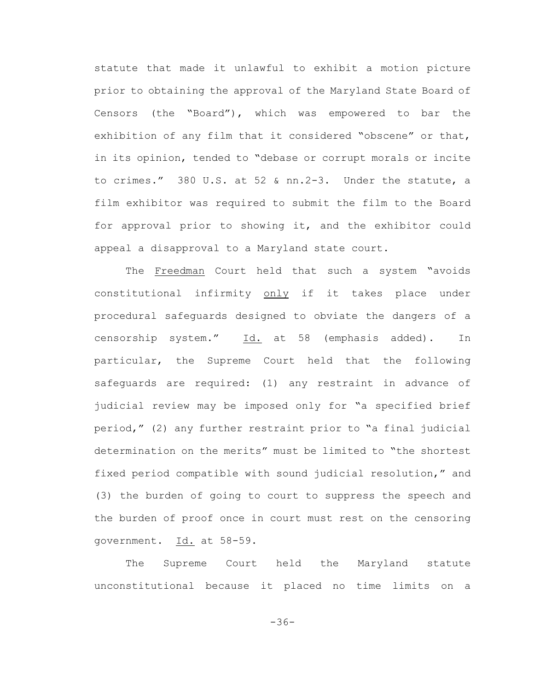statute that made it unlawful to exhibit a motion picture prior to obtaining the approval of the Maryland State Board of Censors (the "Board"), which was empowered to bar the exhibition of any film that it considered "obscene" or that, in its opinion, tended to "debase or corrupt morals or incite to crimes." 380 U.S. at 52 & nn.2-3. Under the statute, a film exhibitor was required to submit the film to the Board for approval prior to showing it, and the exhibitor could appeal a disapproval to a Maryland state court.

The Freedman Court held that such a system "avoids constitutional infirmity only if it takes place under procedural safeguards designed to obviate the dangers of a censorship system." Id. at 58 (emphasis added). In particular, the Supreme Court held that the following safeguards are required: (1) any restraint in advance of judicial review may be imposed only for "a specified brief period," (2) any further restraint prior to "a final judicial determination on the merits" must be limited to "the shortest fixed period compatible with sound judicial resolution," and (3) the burden of going to court to suppress the speech and the burden of proof once in court must rest on the censoring government. Id. at 58-59.

The Supreme Court held the Maryland statute unconstitutional because it placed no time limits on a

-36-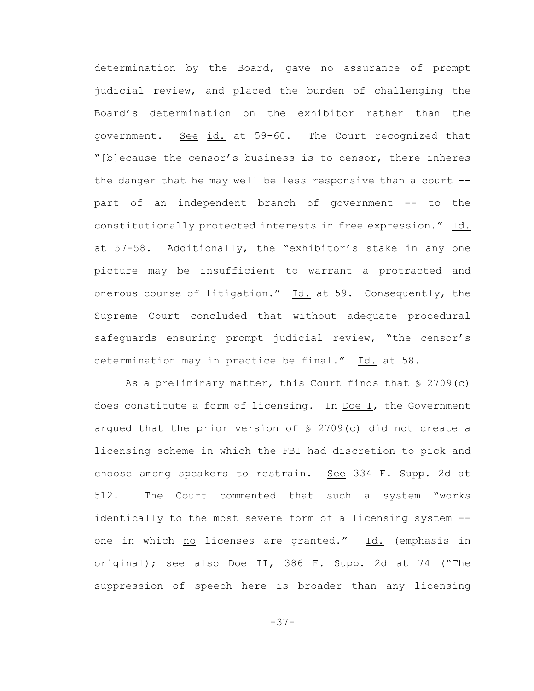determination by the Board, gave no assurance of prompt judicial review, and placed the burden of challenging the Board's determination on the exhibitor rather than the government. See id. at 59-60. The Court recognized that "[b]ecause the censor's business is to censor, there inheres the danger that he may well be less responsive than a court - part of an independent branch of government -- to the constitutionally protected interests in free expression." Id. at 57-58. Additionally, the "exhibitor's stake in any one picture may be insufficient to warrant a protracted and onerous course of litigation." Id. at 59. Consequently, the Supreme Court concluded that without adequate procedural safeguards ensuring prompt judicial review, "the censor's determination may in practice be final." Id. at 58.

As a preliminary matter, this Court finds that  $\S$  2709(c) does constitute a form of licensing. In Doe I, the Government arqued that the prior version of  $\frac{1}{2}$  2709(c) did not create a licensing scheme in which the FBI had discretion to pick and choose among speakers to restrain. See 334 F. Supp. 2d at 512. The Court commented that such a system "works identically to the most severe form of a licensing system - one in which no licenses are granted." Id. (emphasis in original); see also Doe II, 386 F. Supp. 2d at 74 ("The suppression of speech here is broader than any licensing

-37-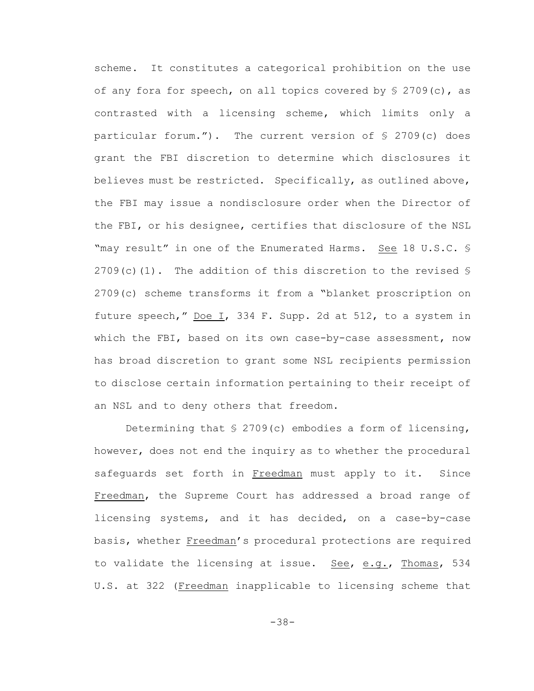scheme. It constitutes a categorical prohibition on the use of any fora for speech, on all topics covered by  $\S$  2709(c), as contrasted with a licensing scheme, which limits only a particular forum."). The current version of § 2709(c) does grant the FBI discretion to determine which disclosures it believes must be restricted. Specifically, as outlined above, the FBI may issue a nondisclosure order when the Director of the FBI, or his designee, certifies that disclosure of the NSL "may result" in one of the Enumerated Harms. See 18 U.S.C. § 2709(c)(1). The addition of this discretion to the revised  $\S$ 2709(c) scheme transforms it from a "blanket proscription on future speech," Doe I, 334 F. Supp. 2d at 512, to a system in which the FBI, based on its own case-by-case assessment, now has broad discretion to grant some NSL recipients permission to disclose certain information pertaining to their receipt of an NSL and to deny others that freedom.

Determining that  $\S$  2709(c) embodies a form of licensing, however, does not end the inquiry as to whether the procedural safeguards set forth in Freedman must apply to it. Since Freedman, the Supreme Court has addressed a broad range of licensing systems, and it has decided, on a case-by-case basis, whether Freedman's procedural protections are required to validate the licensing at issue. See, e.g., Thomas, 534 U.S. at 322 (Freedman inapplicable to licensing scheme that

-38-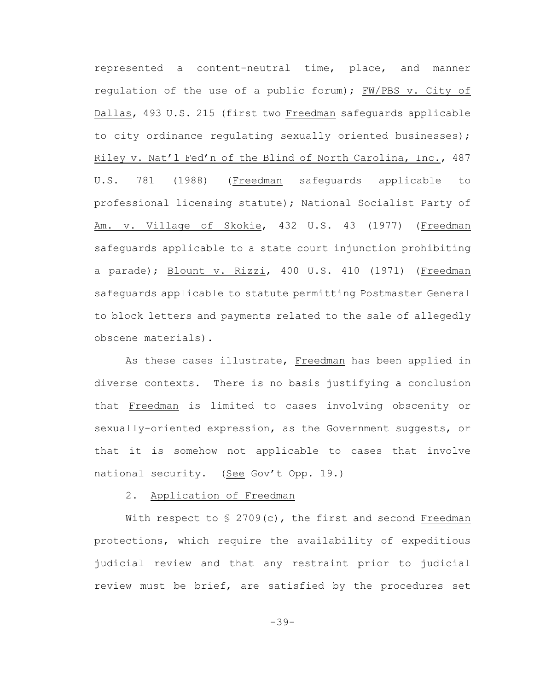represented a content-neutral time, place, and manner regulation of the use of a public forum); FW/PBS v. City of Dallas, 493 U.S. 215 (first two Freedman safeguards applicable to city ordinance regulating sexually oriented businesses); Riley v. Nat'l Fed'n of the Blind of North Carolina, Inc., 487 U.S. 781 (1988) (Freedman safeguards applicable to professional licensing statute); National Socialist Party of Am. v. Village of Skokie, 432 U.S. 43 (1977) (Freedman safeguards applicable to a state court injunction prohibiting a parade); Blount v. Rizzi, 400 U.S. 410 (1971) (Freedman safeguards applicable to statute permitting Postmaster General to block letters and payments related to the sale of allegedly obscene materials).

As these cases illustrate, Freedman has been applied in diverse contexts. There is no basis justifying a conclusion that Freedman is limited to cases involving obscenity or sexually-oriented expression, as the Government suggests, or that it is somehow not applicable to cases that involve national security. (See Gov't Opp. 19.)

## 2. Application of Freedman

With respect to  $\frac{1}{5}$  2709(c), the first and second Freedman protections, which require the availability of expeditious judicial review and that any restraint prior to judicial review must be brief, are satisfied by the procedures set

-39-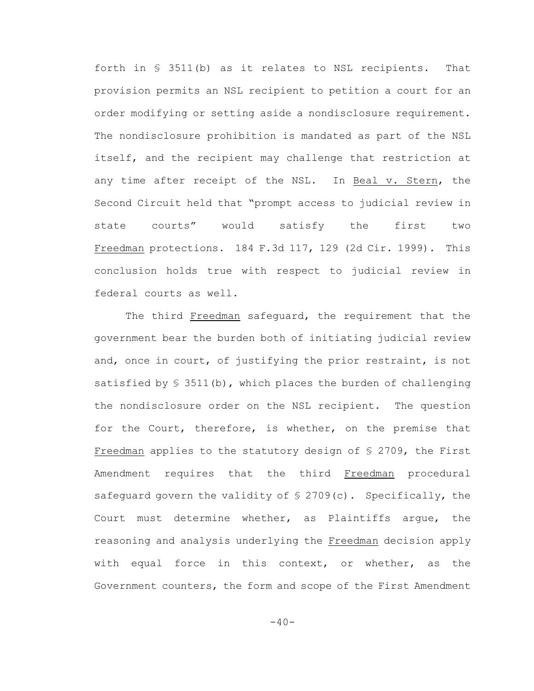forth in § 3511(b) as it relates to NSL recipients. That provision permits an NSL recipient to petition a court for an order modifying or setting aside a nondisclosure requirement. The nondisclosure prohibition is mandated as part of the NSL itself, and the recipient may challenge that restriction at any time after receipt of the NSL. In Beal v. Stern, the Second Circuit held that "prompt access to judicial review in state courts" would satisfy the first two Freedman protections. 184 F.3d 117, 129 (2d Cir. 1999). This conclusion holds true with respect to judicial review in federal courts as well.

The third Freedman safeguard, the requirement that the government bear the burden both of initiating judicial review and, once in court, of justifying the prior restraint, is not satisfied by § 3511(b), which places the burden of challenging the nondisclosure order on the NSL recipient. The question for the Court, therefore, is whether, on the premise that Freedman applies to the statutory design of § 2709, the First Amendment requires that the third Freedman procedural safequard govern the validity of  $\S$  2709(c). Specifically, the Court must determine whether, as Plaintiffs argue, the reasoning and analysis underlying the Freedman decision apply with equal force in this context, or whether, as the Government counters, the form and scope of the First Amendment

 $-40-$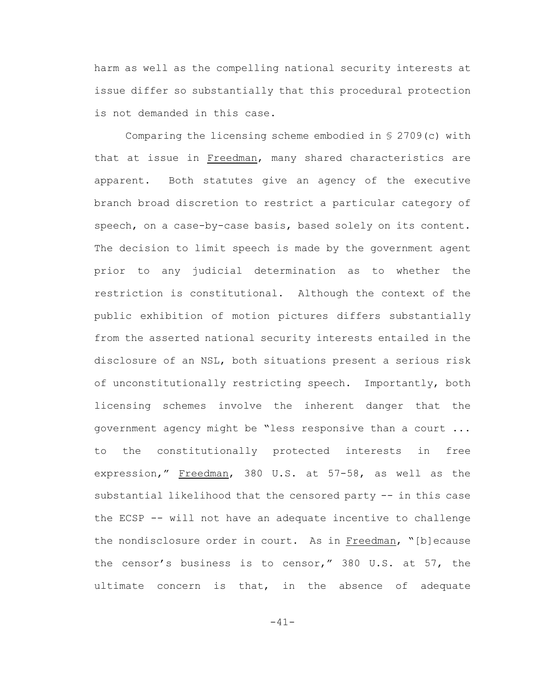harm as well as the compelling national security interests at issue differ so substantially that this procedural protection is not demanded in this case.

Comparing the licensing scheme embodied in § 2709(c) with that at issue in Freedman, many shared characteristics are apparent. Both statutes give an agency of the executive branch broad discretion to restrict a particular category of speech, on a case-by-case basis, based solely on its content. The decision to limit speech is made by the government agent prior to any judicial determination as to whether the restriction is constitutional. Although the context of the public exhibition of motion pictures differs substantially from the asserted national security interests entailed in the disclosure of an NSL, both situations present a serious risk of unconstitutionally restricting speech. Importantly, both licensing schemes involve the inherent danger that the government agency might be "less responsive than a court ... to the constitutionally protected interests in free expression," Freedman, 380 U.S. at 57-58, as well as the substantial likelihood that the censored party -- in this case the ECSP -- will not have an adequate incentive to challenge the nondisclosure order in court. As in Freedman, "[b]ecause the censor's business is to censor," 380 U.S. at 57, the ultimate concern is that, in the absence of adequate

-41-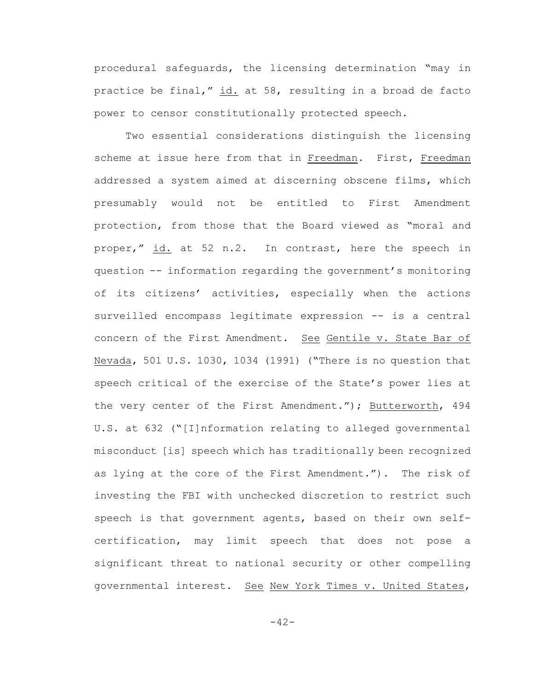procedural safeguards, the licensing determination "may in practice be final," id. at 58, resulting in a broad de facto power to censor constitutionally protected speech.

Two essential considerations distinguish the licensing scheme at issue here from that in Freedman. First, Freedman addressed a system aimed at discerning obscene films, which presumably would not be entitled to First Amendment protection, from those that the Board viewed as "moral and proper," id. at 52 n.2. In contrast, here the speech in question -- information regarding the government's monitoring of its citizens' activities, especially when the actions surveilled encompass legitimate expression -- is a central concern of the First Amendment. See Gentile v. State Bar of Nevada, 501 U.S. 1030, 1034 (1991) ("There is no question that speech critical of the exercise of the State's power lies at the very center of the First Amendment."); Butterworth, 494 U.S. at 632 ("[I]nformation relating to alleged governmental misconduct [is] speech which has traditionally been recognized as lying at the core of the First Amendment."). The risk of investing the FBI with unchecked discretion to restrict such speech is that government agents, based on their own selfcertification, may limit speech that does not pose a significant threat to national security or other compelling governmental interest. See New York Times v. United States,

-42-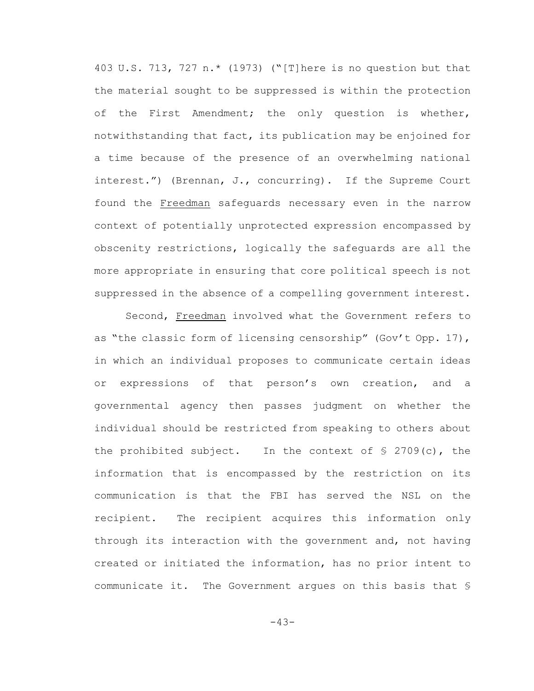403 U.S. 713, 727 n.\* (1973) ("[T]here is no question but that the material sought to be suppressed is within the protection of the First Amendment; the only question is whether, notwithstanding that fact, its publication may be enjoined for a time because of the presence of an overwhelming national interest.") (Brennan, J., concurring). If the Supreme Court found the Freedman safeguards necessary even in the narrow context of potentially unprotected expression encompassed by obscenity restrictions, logically the safeguards are all the more appropriate in ensuring that core political speech is not suppressed in the absence of a compelling government interest.

Second, Freedman involved what the Government refers to as "the classic form of licensing censorship" (Gov't Opp. 17), in which an individual proposes to communicate certain ideas or expressions of that person's own creation, and a governmental agency then passes judgment on whether the individual should be restricted from speaking to others about the prohibited subject. In the context of  $\S$  2709(c), the information that is encompassed by the restriction on its communication is that the FBI has served the NSL on the recipient. The recipient acquires this information only through its interaction with the government and, not having created or initiated the information, has no prior intent to communicate it. The Government argues on this basis that §

-43-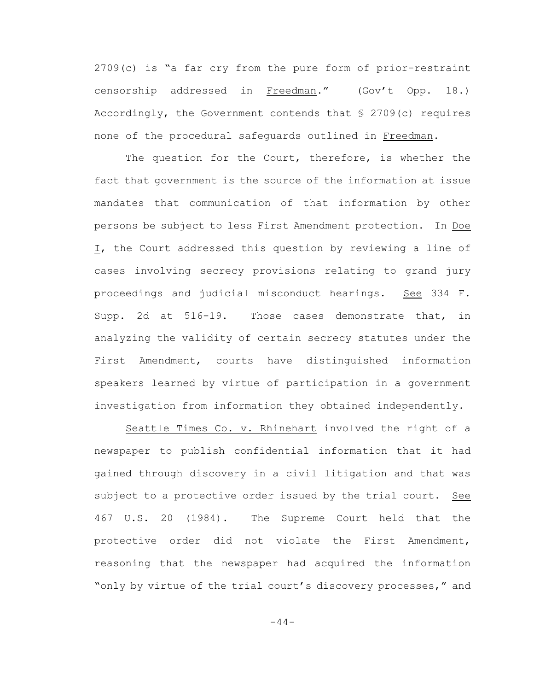2709(c) is "a far cry from the pure form of prior-restraint censorship addressed in Freedman." (Gov't Opp. 18.) Accordingly, the Government contends that § 2709(c) requires none of the procedural safeguards outlined in Freedman.

The question for the Court, therefore, is whether the fact that government is the source of the information at issue mandates that communication of that information by other persons be subject to less First Amendment protection. In Doe I, the Court addressed this question by reviewing a line of cases involving secrecy provisions relating to grand jury proceedings and judicial misconduct hearings. See 334 F. Supp. 2d at 516-19. Those cases demonstrate that, in analyzing the validity of certain secrecy statutes under the First Amendment, courts have distinguished information speakers learned by virtue of participation in a government investigation from information they obtained independently.

Seattle Times Co. v. Rhinehart involved the right of a newspaper to publish confidential information that it had gained through discovery in a civil litigation and that was subject to a protective order issued by the trial court. See 467 U.S. 20 (1984). The Supreme Court held that the protective order did not violate the First Amendment, reasoning that the newspaper had acquired the information "only by virtue of the trial court's discovery processes," and

-44-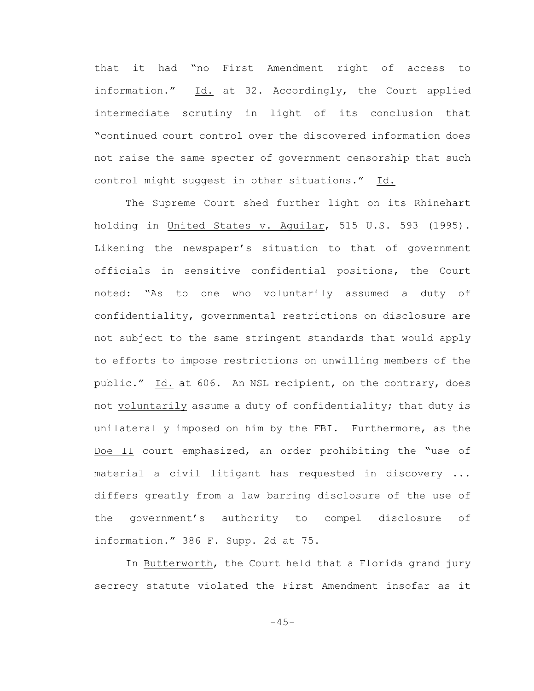that it had "no First Amendment right of access to information." Id. at 32. Accordingly, the Court applied intermediate scrutiny in light of its conclusion that "continued court control over the discovered information does not raise the same specter of government censorship that such control might suggest in other situations." Id.

The Supreme Court shed further light on its Rhinehart holding in United States v. Aguilar, 515 U.S. 593 (1995). Likening the newspaper's situation to that of government officials in sensitive confidential positions, the Court noted: "As to one who voluntarily assumed a duty of confidentiality, governmental restrictions on disclosure are not subject to the same stringent standards that would apply to efforts to impose restrictions on unwilling members of the public." Id. at 606. An NSL recipient, on the contrary, does not voluntarily assume a duty of confidentiality; that duty is unilaterally imposed on him by the FBI. Furthermore, as the Doe II court emphasized, an order prohibiting the "use of material a civil litigant has requested in discovery ... differs greatly from a law barring disclosure of the use of the government's authority to compel disclosure of information." 386 F. Supp. 2d at 75.

In Butterworth, the Court held that a Florida grand jury secrecy statute violated the First Amendment insofar as it

 $-45-$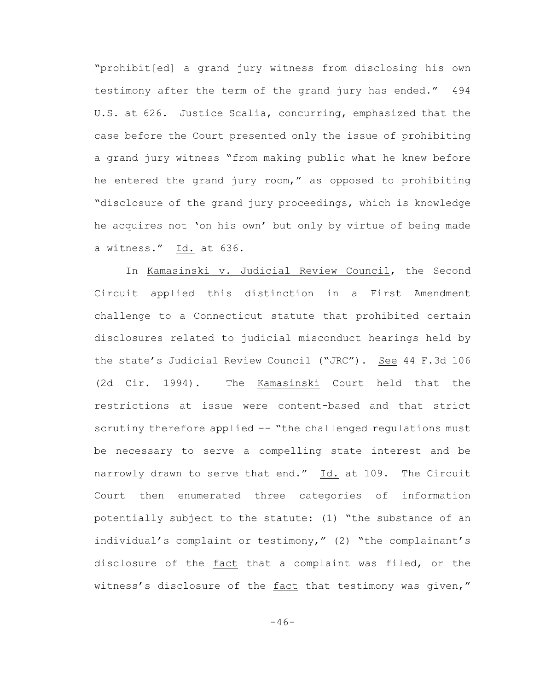"prohibit[ed] a grand jury witness from disclosing his own testimony after the term of the grand jury has ended." 494 U.S. at 626. Justice Scalia, concurring, emphasized that the case before the Court presented only the issue of prohibiting a grand jury witness "from making public what he knew before he entered the grand jury room," as opposed to prohibiting "disclosure of the grand jury proceedings, which is knowledge he acquires not 'on his own' but only by virtue of being made a witness." Id. at 636.

In Kamasinski v. Judicial Review Council, the Second Circuit applied this distinction in a First Amendment challenge to a Connecticut statute that prohibited certain disclosures related to judicial misconduct hearings held by the state's Judicial Review Council ("JRC"). See 44 F.3d 106 (2d Cir. 1994). The Kamasinski Court held that the restrictions at issue were content-based and that strict scrutiny therefore applied -- "the challenged regulations must be necessary to serve a compelling state interest and be narrowly drawn to serve that end." Id. at 109. The Circuit Court then enumerated three categories of information potentially subject to the statute: (1) "the substance of an individual's complaint or testimony," (2) "the complainant's disclosure of the fact that a complaint was filed, or the witness's disclosure of the fact that testimony was given,"

 $-46-$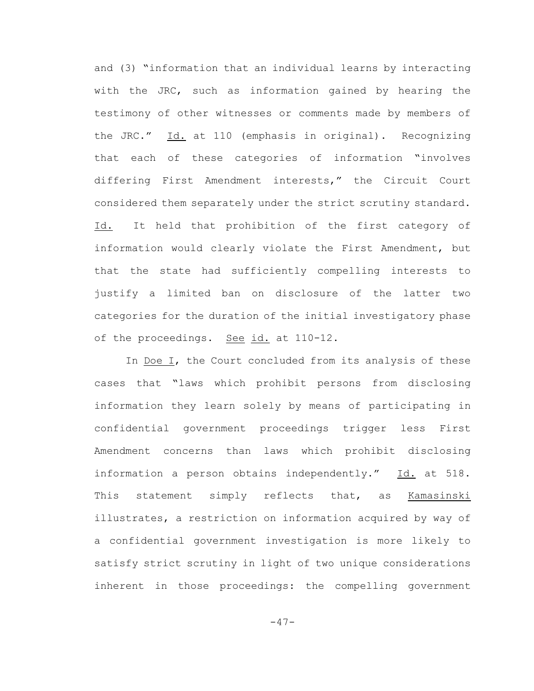and (3) "information that an individual learns by interacting with the JRC, such as information gained by hearing the testimony of other witnesses or comments made by members of the JRC." Id. at 110 (emphasis in original). Recognizing that each of these categories of information "involves differing First Amendment interests," the Circuit Court considered them separately under the strict scrutiny standard. Id. It held that prohibition of the first category of information would clearly violate the First Amendment, but that the state had sufficiently compelling interests to justify a limited ban on disclosure of the latter two categories for the duration of the initial investigatory phase of the proceedings. See id. at 110-12.

In Doe I, the Court concluded from its analysis of these cases that "laws which prohibit persons from disclosing information they learn solely by means of participating in confidential government proceedings trigger less First Amendment concerns than laws which prohibit disclosing information a person obtains independently." Id. at 518. This statement simply reflects that, as Kamasinski illustrates, a restriction on information acquired by way of a confidential government investigation is more likely to satisfy strict scrutiny in light of two unique considerations inherent in those proceedings: the compelling government

-47-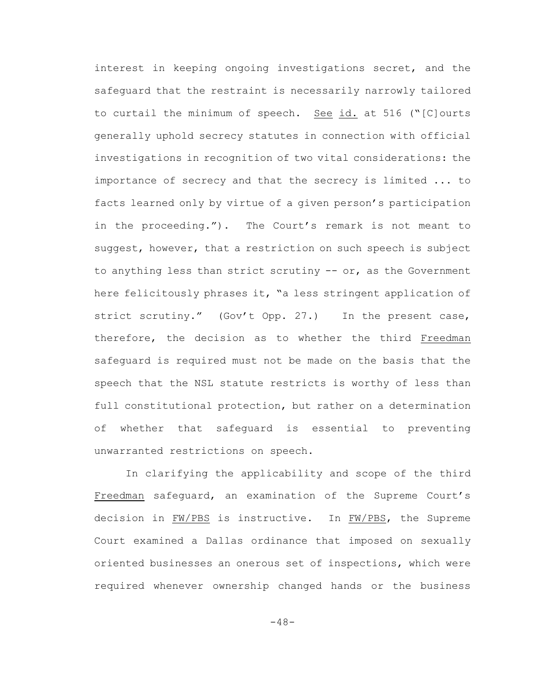interest in keeping ongoing investigations secret, and the safeguard that the restraint is necessarily narrowly tailored to curtail the minimum of speech. See id. at 516 ("[C]ourts generally uphold secrecy statutes in connection with official investigations in recognition of two vital considerations: the importance of secrecy and that the secrecy is limited ... to facts learned only by virtue of a given person's participation in the proceeding."). The Court's remark is not meant to suggest, however, that a restriction on such speech is subject to anything less than strict scrutiny -- or, as the Government here felicitously phrases it, "a less stringent application of strict scrutiny." (Gov't Opp. 27.) In the present case, therefore, the decision as to whether the third Freedman safeguard is required must not be made on the basis that the speech that the NSL statute restricts is worthy of less than full constitutional protection, but rather on a determination of whether that safeguard is essential to preventing unwarranted restrictions on speech.

In clarifying the applicability and scope of the third Freedman safeguard, an examination of the Supreme Court's decision in FW/PBS is instructive. In FW/PBS, the Supreme Court examined a Dallas ordinance that imposed on sexually oriented businesses an onerous set of inspections, which were required whenever ownership changed hands or the business

-48-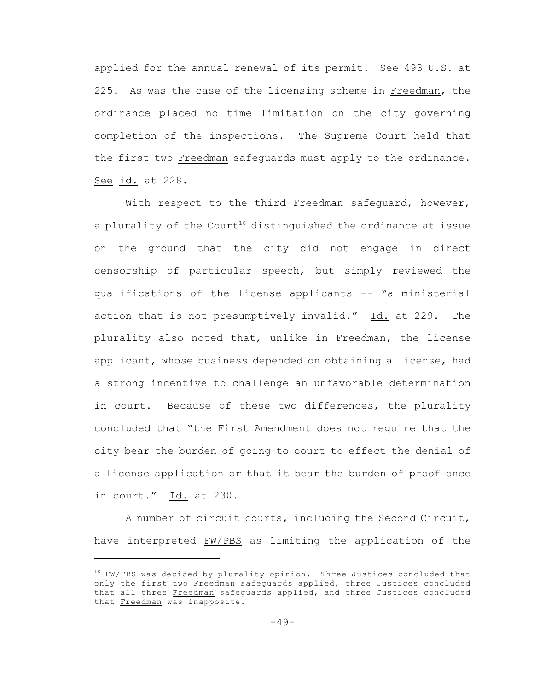applied for the annual renewal of its permit. See 493 U.S. at 225. As was the case of the licensing scheme in Freedman, the ordinance placed no time limitation on the city governing completion of the inspections. The Supreme Court held that the first two Freedman safeguards must apply to the ordinance. See id. at 228.

With respect to the third Freedman safequard, however, a plurality of the Court<sup>18</sup> distinguished the ordinance at issue on the ground that the city did not engage in direct censorship of particular speech, but simply reviewed the qualifications of the license applicants -- "a ministerial action that is not presumptively invalid." Id. at 229. The plurality also noted that, unlike in Freedman, the license applicant, whose business depended on obtaining a license, had a strong incentive to challenge an unfavorable determination in court. Because of these two differences, the plurality concluded that "the First Amendment does not require that the city bear the burden of going to court to effect the denial of a license application or that it bear the burden of proof once in court."  $Id.$  at 230.

A number of circuit courts, including the Second Circuit, have interpreted FW/PBS as limiting the application of the

 $18$  FW/PBS was decided by plurality opinion. Three Justices concluded that only the first two Freedman safeguards applied, three Justices concluded that all three Freedman safeguards applied, and three Justices concluded that Freedman was inapposite.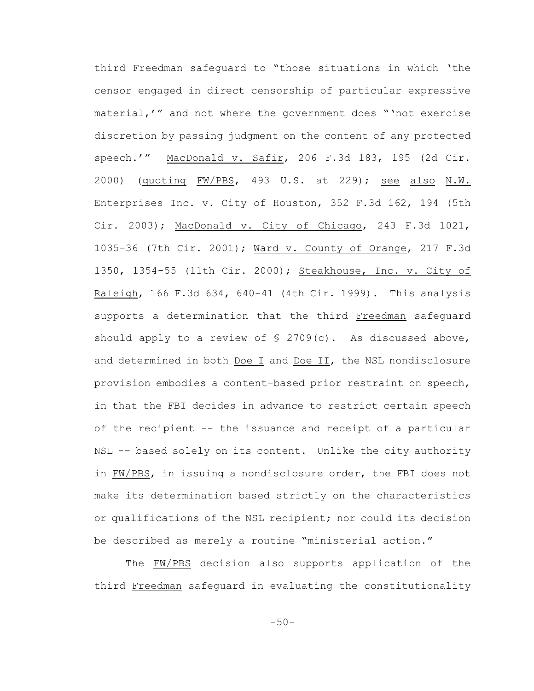third Freedman safeguard to "those situations in which 'the censor engaged in direct censorship of particular expressive material,'" and not where the government does "'not exercise discretion by passing judgment on the content of any protected speech.'" MacDonald v. Safir, 206 F.3d 183, 195 (2d Cir. 2000) (quoting FW/PBS, 493 U.S. at 229); see also N.W. Enterprises Inc. v. City of Houston, 352 F.3d 162, 194 (5th Cir. 2003); MacDonald v. City of Chicago, 243 F.3d 1021, 1035-36 (7th Cir. 2001); Ward v. County of Orange, 217 F.3d 1350, 1354-55 (11th Cir. 2000); Steakhouse, Inc. v. City of Raleigh, 166 F.3d 634, 640-41 (4th Cir. 1999). This analysis supports a determination that the third Freedman safeguard should apply to a review of  $\S$  2709(c). As discussed above, and determined in both Doe I and Doe II, the NSL nondisclosure provision embodies a content-based prior restraint on speech, in that the FBI decides in advance to restrict certain speech of the recipient -- the issuance and receipt of a particular NSL -- based solely on its content. Unlike the city authority in FW/PBS, in issuing a nondisclosure order, the FBI does not make its determination based strictly on the characteristics or qualifications of the NSL recipient; nor could its decision be described as merely a routine "ministerial action."

The FW/PBS decision also supports application of the third Freedman safeguard in evaluating the constitutionality

 $-50-$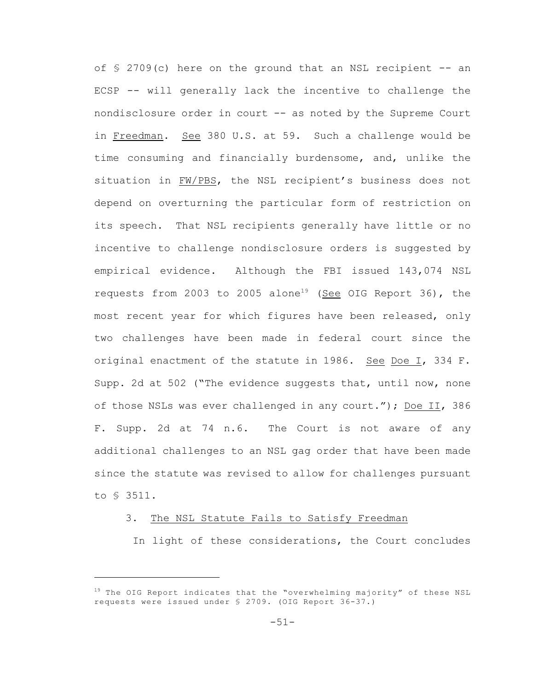of  $\S$  2709(c) here on the ground that an NSL recipient  $-$  an ECSP -- will generally lack the incentive to challenge the nondisclosure order in court -- as noted by the Supreme Court in Freedman. See 380 U.S. at 59. Such a challenge would be time consuming and financially burdensome, and, unlike the situation in FW/PBS, the NSL recipient's business does not depend on overturning the particular form of restriction on its speech. That NSL recipients generally have little or no incentive to challenge nondisclosure orders is suggested by empirical evidence. Although the FBI issued 143,074 NSL requests from 2003 to 2005 alone<sup>19</sup> (See OIG Report 36), the most recent year for which figures have been released, only two challenges have been made in federal court since the original enactment of the statute in 1986. See Doe I, 334 F. Supp. 2d at 502 ("The evidence suggests that, until now, none of those NSLs was ever challenged in any court."); Doe II, 386 F. Supp. 2d at 74 n.6. The Court is not aware of any additional challenges to an NSL gag order that have been made since the statute was revised to allow for challenges pursuant to § 3511.

## 3. The NSL Statute Fails to Satisfy Freedman

In light of these considerations, the Court concludes

 $19$  The OIG Report indicates that the "overwhelming majority" of these NSL requests were issued under § 2709. (OIG Report 36-37.)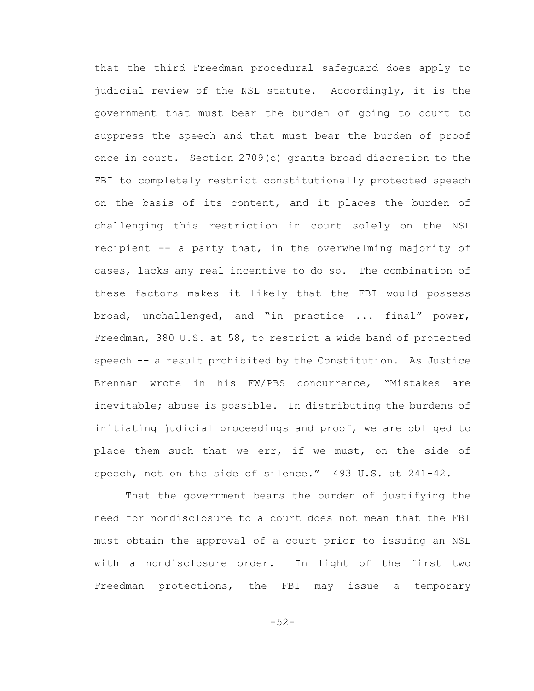that the third Freedman procedural safeguard does apply to judicial review of the NSL statute. Accordingly, it is the government that must bear the burden of going to court to suppress the speech and that must bear the burden of proof once in court. Section 2709(c) grants broad discretion to the FBI to completely restrict constitutionally protected speech on the basis of its content, and it places the burden of challenging this restriction in court solely on the NSL recipient -- a party that, in the overwhelming majority of cases, lacks any real incentive to do so. The combination of these factors makes it likely that the FBI would possess broad, unchallenged, and "in practice ... final" power, Freedman, 380 U.S. at 58, to restrict a wide band of protected speech -- a result prohibited by the Constitution. As Justice Brennan wrote in his FW/PBS concurrence, "Mistakes are inevitable; abuse is possible. In distributing the burdens of initiating judicial proceedings and proof, we are obliged to place them such that we err, if we must, on the side of speech, not on the side of silence." 493 U.S. at 241-42.

That the government bears the burden of justifying the need for nondisclosure to a court does not mean that the FBI must obtain the approval of a court prior to issuing an NSL with a nondisclosure order. In light of the first two Freedman protections, the FBI may issue a temporary

-52-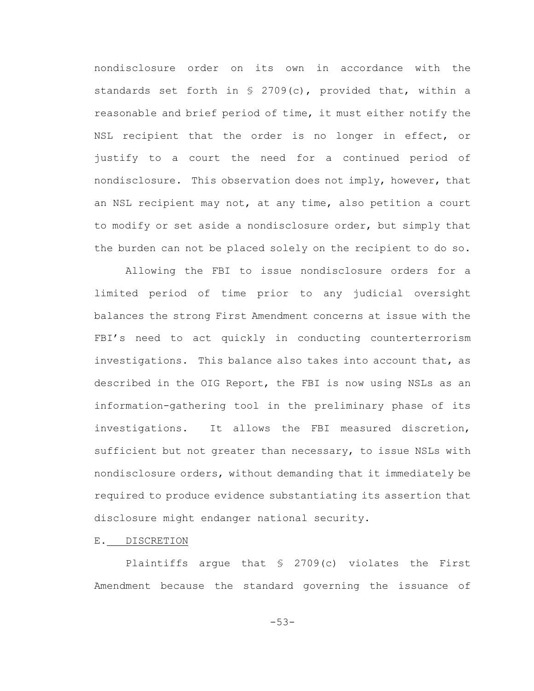nondisclosure order on its own in accordance with the standards set forth in § 2709(c), provided that, within a reasonable and brief period of time, it must either notify the NSL recipient that the order is no longer in effect, or justify to a court the need for a continued period of nondisclosure. This observation does not imply, however, that an NSL recipient may not, at any time, also petition a court to modify or set aside a nondisclosure order, but simply that the burden can not be placed solely on the recipient to do so.

Allowing the FBI to issue nondisclosure orders for a limited period of time prior to any judicial oversight balances the strong First Amendment concerns at issue with the FBI's need to act quickly in conducting counterterrorism investigations. This balance also takes into account that, as described in the OIG Report, the FBI is now using NSLs as an information-gathering tool in the preliminary phase of its investigations. It allows the FBI measured discretion, sufficient but not greater than necessary, to issue NSLs with nondisclosure orders, without demanding that it immediately be required to produce evidence substantiating its assertion that disclosure might endanger national security.

E. DISCRETION

Plaintiffs argue that § 2709(c) violates the First Amendment because the standard governing the issuance of

-53-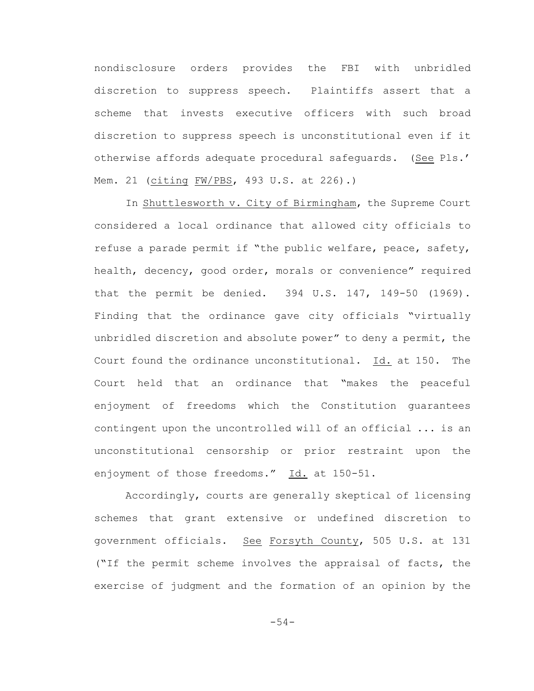nondisclosure orders provides the FBI with unbridled discretion to suppress speech. Plaintiffs assert that a scheme that invests executive officers with such broad discretion to suppress speech is unconstitutional even if it otherwise affords adequate procedural safeguards. (See Pls.' Mem. 21 (citing FW/PBS, 493 U.S. at 226).)

In Shuttlesworth v. City of Birmingham, the Supreme Court considered a local ordinance that allowed city officials to refuse a parade permit if "the public welfare, peace, safety, health, decency, good order, morals or convenience" required that the permit be denied. 394 U.S. 147, 149-50 (1969). Finding that the ordinance gave city officials "virtually unbridled discretion and absolute power" to deny a permit, the Court found the ordinance unconstitutional. Id. at 150. The Court held that an ordinance that "makes the peaceful enjoyment of freedoms which the Constitution guarantees contingent upon the uncontrolled will of an official ... is an unconstitutional censorship or prior restraint upon the enjoyment of those freedoms." Id. at 150-51.

Accordingly, courts are generally skeptical of licensing schemes that grant extensive or undefined discretion to government officials. See Forsyth County, 505 U.S. at 131 ("If the permit scheme involves the appraisal of facts, the exercise of judgment and the formation of an opinion by the

-54-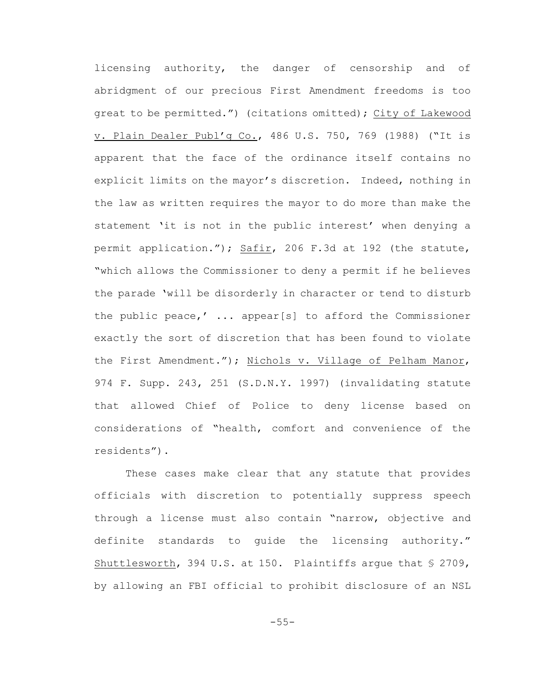licensing authority, the danger of censorship and of abridgment of our precious First Amendment freedoms is too great to be permitted.") (citations omitted); City of Lakewood v. Plain Dealer Publ'g Co., 486 U.S. 750, 769 (1988) ("It is apparent that the face of the ordinance itself contains no explicit limits on the mayor's discretion. Indeed, nothing in the law as written requires the mayor to do more than make the statement 'it is not in the public interest' when denying a permit application."); Safir, 206 F.3d at 192 (the statute, "which allows the Commissioner to deny a permit if he believes the parade 'will be disorderly in character or tend to disturb the public peace,' ... appear[s] to afford the Commissioner exactly the sort of discretion that has been found to violate the First Amendment."); Nichols v. Village of Pelham Manor, 974 F. Supp. 243, 251 (S.D.N.Y. 1997) (invalidating statute that allowed Chief of Police to deny license based on considerations of "health, comfort and convenience of the residents").

These cases make clear that any statute that provides officials with discretion to potentially suppress speech through a license must also contain "narrow, objective and definite standards to guide the licensing authority." Shuttlesworth, 394 U.S. at 150. Plaintiffs argue that  $\frac{1}{5}$  2709, by allowing an FBI official to prohibit disclosure of an NSL

-55-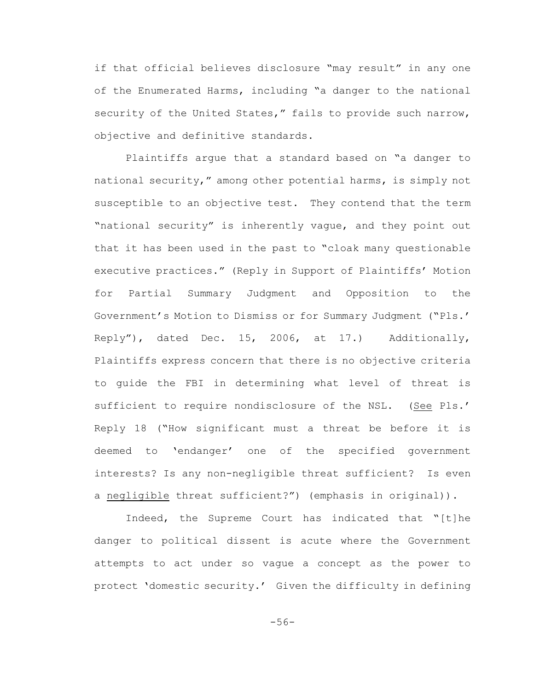if that official believes disclosure "may result" in any one of the Enumerated Harms, including "a danger to the national security of the United States," fails to provide such narrow, objective and definitive standards.

Plaintiffs argue that a standard based on "a danger to national security," among other potential harms, is simply not susceptible to an objective test. They contend that the term "national security" is inherently vague, and they point out that it has been used in the past to "cloak many questionable executive practices." (Reply in Support of Plaintiffs' Motion for Partial Summary Judgment and Opposition to the Government's Motion to Dismiss or for Summary Judgment ("Pls.' Reply"), dated Dec. 15, 2006, at 17.) Additionally, Plaintiffs express concern that there is no objective criteria to guide the FBI in determining what level of threat is sufficient to require nondisclosure of the NSL. (See Pls.' Reply 18 ("How significant must a threat be before it is deemed to 'endanger' one of the specified government interests? Is any non-negligible threat sufficient? Is even a negligible threat sufficient?") (emphasis in original)).

Indeed, the Supreme Court has indicated that "[t]he danger to political dissent is acute where the Government attempts to act under so vague a concept as the power to protect 'domestic security.' Given the difficulty in defining

-56-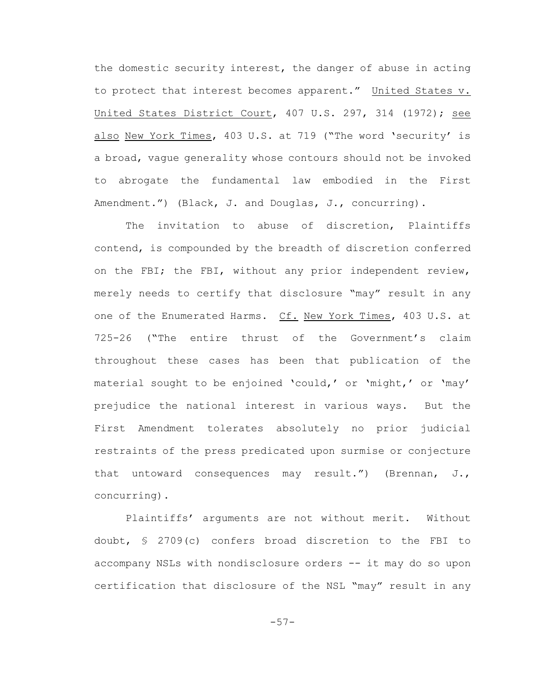the domestic security interest, the danger of abuse in acting to protect that interest becomes apparent." United States v. United States District Court, 407 U.S. 297, 314 (1972); see also New York Times, 403 U.S. at 719 ("The word 'security' is a broad, vague generality whose contours should not be invoked to abrogate the fundamental law embodied in the First Amendment.") (Black, J. and Douglas, J., concurring).

The invitation to abuse of discretion, Plaintiffs contend, is compounded by the breadth of discretion conferred on the FBI; the FBI, without any prior independent review, merely needs to certify that disclosure "may" result in any one of the Enumerated Harms. Cf. New York Times, 403 U.S. at 725-26 ("The entire thrust of the Government's claim throughout these cases has been that publication of the material sought to be enjoined 'could,' or 'might,' or 'may' prejudice the national interest in various ways. But the First Amendment tolerates absolutely no prior judicial restraints of the press predicated upon surmise or conjecture that untoward consequences may result.") (Brennan, J., concurring).

Plaintiffs' arguments are not without merit. Without doubt, § 2709(c) confers broad discretion to the FBI to accompany NSLs with nondisclosure orders -- it may do so upon certification that disclosure of the NSL "may" result in any

-57-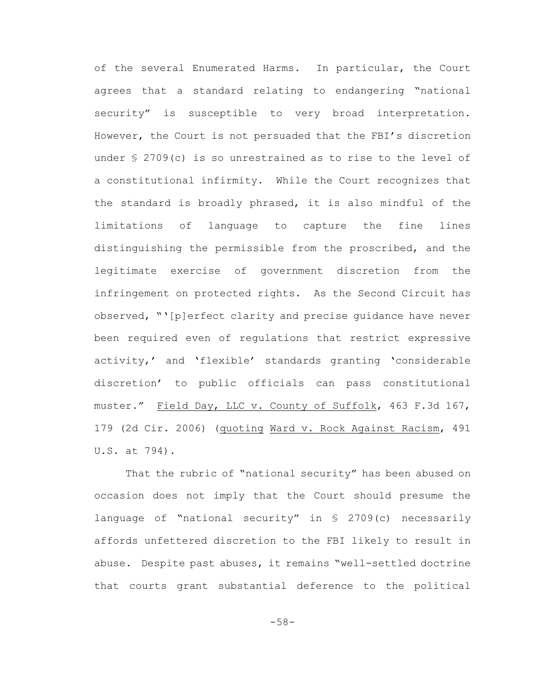of the several Enumerated Harms. In particular, the Court agrees that a standard relating to endangering "national security" is susceptible to very broad interpretation. However, the Court is not persuaded that the FBI's discretion under § 2709(c) is so unrestrained as to rise to the level of a constitutional infirmity. While the Court recognizes that the standard is broadly phrased, it is also mindful of the limitations of language to capture the fine lines distinguishing the permissible from the proscribed, and the legitimate exercise of government discretion from the infringement on protected rights. As the Second Circuit has observed, "'[p]erfect clarity and precise guidance have never been required even of regulations that restrict expressive activity,' and 'flexible' standards granting 'considerable discretion' to public officials can pass constitutional muster." Field Day, LLC v. County of Suffolk, 463 F.3d 167, 179 (2d Cir. 2006) (quoting Ward v. Rock Against Racism, 491 U.S. at 794).

That the rubric of "national security" has been abused on occasion does not imply that the Court should presume the language of "national security" in § 2709(c) necessarily affords unfettered discretion to the FBI likely to result in abuse. Despite past abuses, it remains "well-settled doctrine that courts grant substantial deference to the political

-58-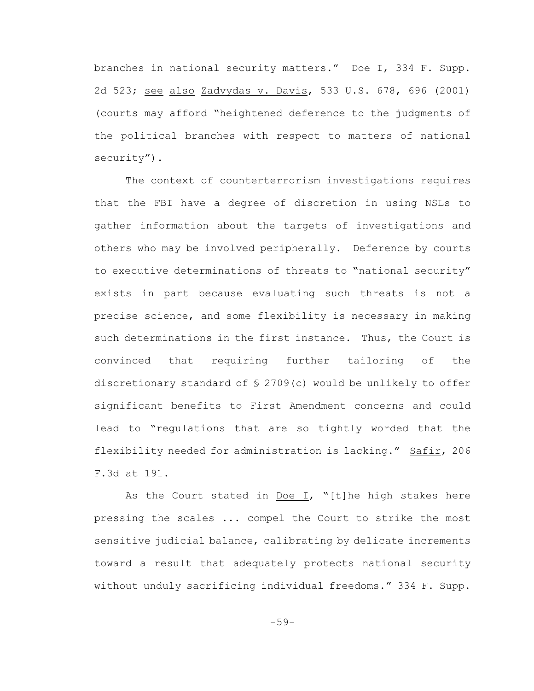branches in national security matters." Doe I, 334 F. Supp. 2d 523; see also Zadvydas v. Davis, 533 U.S. 678, 696 (2001) (courts may afford "heightened deference to the judgments of the political branches with respect to matters of national security").

The context of counterterrorism investigations requires that the FBI have a degree of discretion in using NSLs to gather information about the targets of investigations and others who may be involved peripherally. Deference by courts to executive determinations of threats to "national security" exists in part because evaluating such threats is not a precise science, and some flexibility is necessary in making such determinations in the first instance. Thus, the Court is convinced that requiring further tailoring of the discretionary standard of  $\S$  2709(c) would be unlikely to offer significant benefits to First Amendment concerns and could lead to "regulations that are so tightly worded that the flexibility needed for administration is lacking." Safir, 206 F.3d at 191.

As the Court stated in Doe I, "[t]he high stakes here pressing the scales ... compel the Court to strike the most sensitive judicial balance, calibrating by delicate increments toward a result that adequately protects national security without unduly sacrificing individual freedoms." 334 F. Supp.

-59-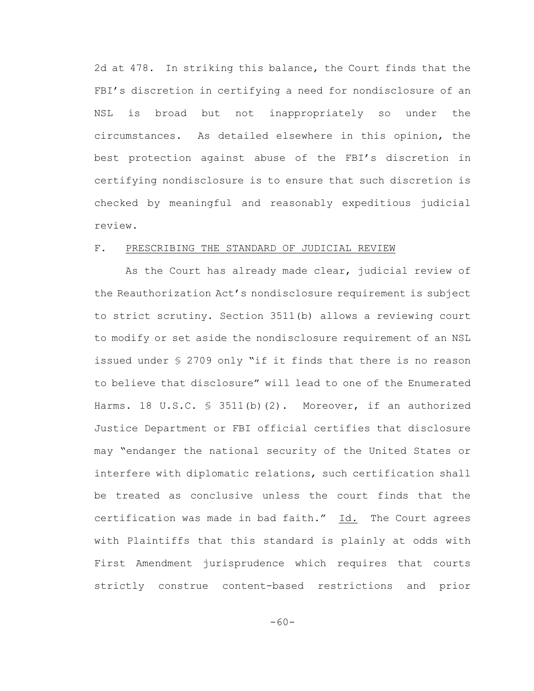2d at 478. In striking this balance, the Court finds that the FBI's discretion in certifying a need for nondisclosure of an NSL is broad but not inappropriately so under the circumstances. As detailed elsewhere in this opinion, the best protection against abuse of the FBI's discretion in certifying nondisclosure is to ensure that such discretion is checked by meaningful and reasonably expeditious judicial review.

#### F. PRESCRIBING THE STANDARD OF JUDICIAL REVIEW

As the Court has already made clear, judicial review of the Reauthorization Act's nondisclosure requirement is subject to strict scrutiny. Section 3511(b) allows a reviewing court to modify or set aside the nondisclosure requirement of an NSL issued under § 2709 only "if it finds that there is no reason to believe that disclosure" will lead to one of the Enumerated Harms. 18 U.S.C.  $\frac{1}{5}$  3511(b)(2). Moreover, if an authorized Justice Department or FBI official certifies that disclosure may "endanger the national security of the United States or interfere with diplomatic relations, such certification shall be treated as conclusive unless the court finds that the certification was made in bad faith." Id. The Court agrees with Plaintiffs that this standard is plainly at odds with First Amendment jurisprudence which requires that courts strictly construe content-based restrictions and prior

-60-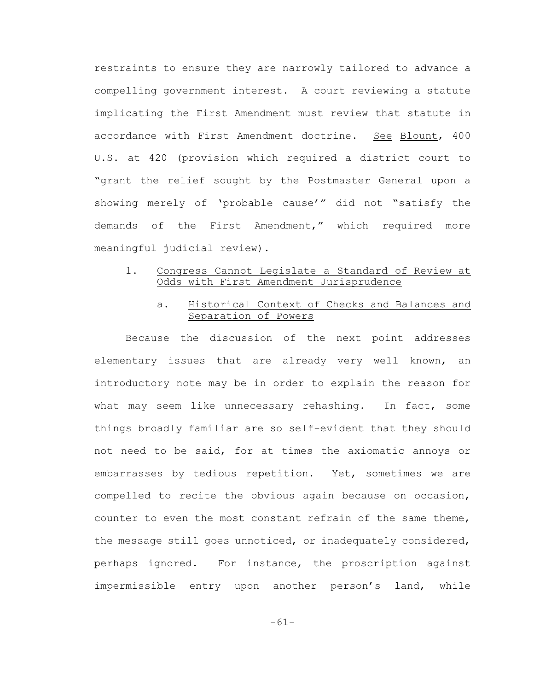restraints to ensure they are narrowly tailored to advance a compelling government interest. A court reviewing a statute implicating the First Amendment must review that statute in accordance with First Amendment doctrine. See Blount, 400 U.S. at 420 (provision which required a district court to "grant the relief sought by the Postmaster General upon a showing merely of 'probable cause'" did not "satisfy the demands of the First Amendment," which required more meaningful judicial review).

# 1. Congress Cannot Legislate a Standard of Review at Odds with First Amendment Jurisprudence

## a. Historical Context of Checks and Balances and Separation of Powers

Because the discussion of the next point addresses elementary issues that are already very well known, an introductory note may be in order to explain the reason for what may seem like unnecessary rehashing. In fact, some things broadly familiar are so self-evident that they should not need to be said, for at times the axiomatic annoys or embarrasses by tedious repetition. Yet, sometimes we are compelled to recite the obvious again because on occasion, counter to even the most constant refrain of the same theme, the message still goes unnoticed, or inadequately considered, perhaps ignored. For instance, the proscription against impermissible entry upon another person's land, while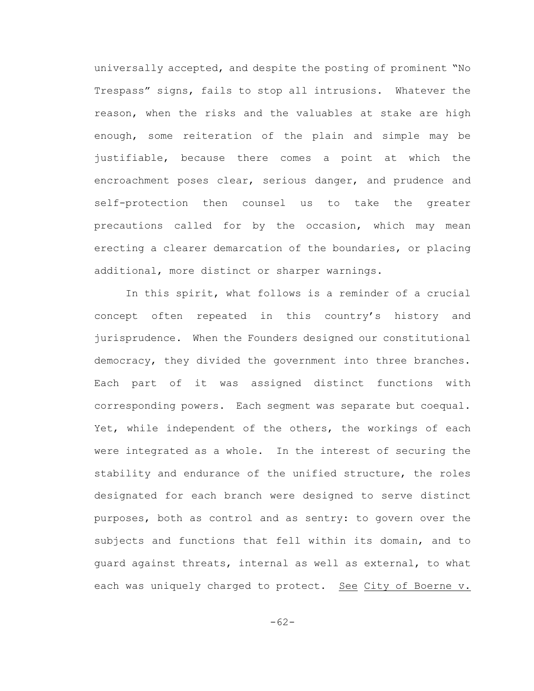universally accepted, and despite the posting of prominent "No Trespass" signs, fails to stop all intrusions. Whatever the reason, when the risks and the valuables at stake are high enough, some reiteration of the plain and simple may be justifiable, because there comes a point at which the encroachment poses clear, serious danger, and prudence and self-protection then counsel us to take the greater precautions called for by the occasion, which may mean erecting a clearer demarcation of the boundaries, or placing additional, more distinct or sharper warnings.

In this spirit, what follows is a reminder of a crucial concept often repeated in this country's history and jurisprudence. When the Founders designed our constitutional democracy, they divided the government into three branches. Each part of it was assigned distinct functions with corresponding powers. Each segment was separate but coequal. Yet, while independent of the others, the workings of each were integrated as a whole. In the interest of securing the stability and endurance of the unified structure, the roles designated for each branch were designed to serve distinct purposes, both as control and as sentry: to govern over the subjects and functions that fell within its domain, and to guard against threats, internal as well as external, to what each was uniquely charged to protect. See City of Boerne v.

-62-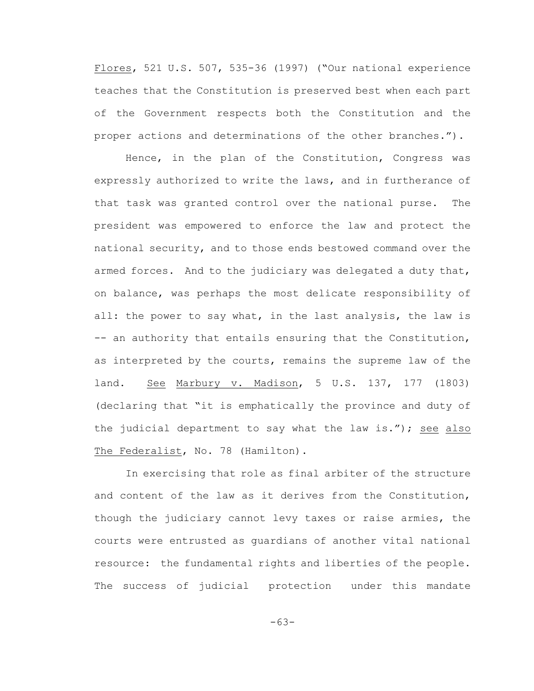Flores, 521 U.S. 507, 535-36 (1997) ("Our national experience teaches that the Constitution is preserved best when each part of the Government respects both the Constitution and the proper actions and determinations of the other branches.").

Hence, in the plan of the Constitution, Congress was expressly authorized to write the laws, and in furtherance of that task was granted control over the national purse. The president was empowered to enforce the law and protect the national security, and to those ends bestowed command over the armed forces. And to the judiciary was delegated a duty that, on balance, was perhaps the most delicate responsibility of all: the power to say what, in the last analysis, the law is -- an authority that entails ensuring that the Constitution, as interpreted by the courts, remains the supreme law of the land. See Marbury v. Madison, 5 U.S. 137, 177 (1803) (declaring that "it is emphatically the province and duty of the judicial department to say what the law is."); see also The Federalist, No. 78 (Hamilton).

In exercising that role as final arbiter of the structure and content of the law as it derives from the Constitution, though the judiciary cannot levy taxes or raise armies, the courts were entrusted as guardians of another vital national resource: the fundamental rights and liberties of the people. The success of judicial protection under this mandate

-63-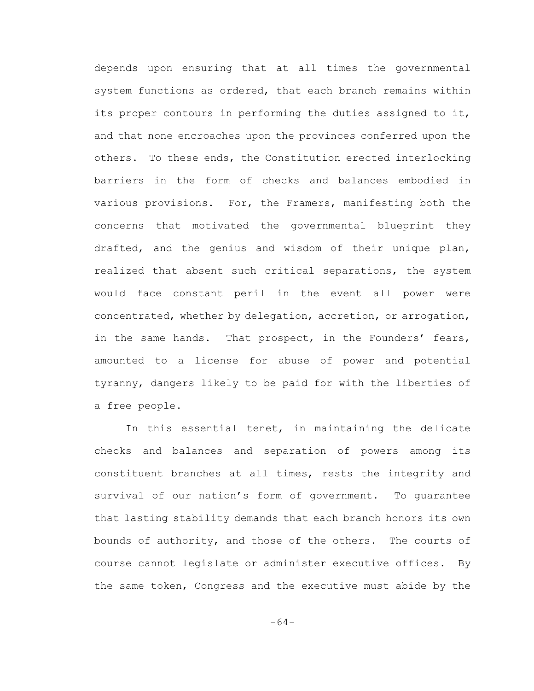depends upon ensuring that at all times the governmental system functions as ordered, that each branch remains within its proper contours in performing the duties assigned to it, and that none encroaches upon the provinces conferred upon the others. To these ends, the Constitution erected interlocking barriers in the form of checks and balances embodied in various provisions. For, the Framers, manifesting both the concerns that motivated the governmental blueprint they drafted, and the genius and wisdom of their unique plan, realized that absent such critical separations, the system would face constant peril in the event all power were concentrated, whether by delegation, accretion, or arrogation, in the same hands. That prospect, in the Founders' fears, amounted to a license for abuse of power and potential tyranny, dangers likely to be paid for with the liberties of a free people.

In this essential tenet, in maintaining the delicate checks and balances and separation of powers among its constituent branches at all times, rests the integrity and survival of our nation's form of government. To guarantee that lasting stability demands that each branch honors its own bounds of authority, and those of the others. The courts of course cannot legislate or administer executive offices. By the same token, Congress and the executive must abide by the

-64-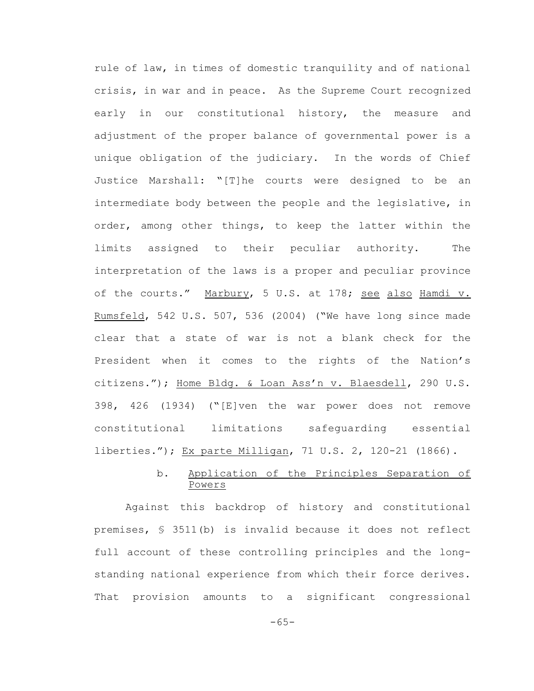rule of law, in times of domestic tranquility and of national crisis, in war and in peace. As the Supreme Court recognized early in our constitutional history, the measure and adjustment of the proper balance of governmental power is a unique obligation of the judiciary. In the words of Chief Justice Marshall: "[T]he courts were designed to be an intermediate body between the people and the legislative, in order, among other things, to keep the latter within the limits assigned to their peculiar authority. The interpretation of the laws is a proper and peculiar province of the courts." Marbury, 5 U.S. at 178; see also Hamdi v. Rumsfeld, 542 U.S. 507, 536 (2004) ("We have long since made clear that a state of war is not a blank check for the President when it comes to the rights of the Nation's citizens."); Home Bldg. & Loan Ass'n v. Blaesdell, 290 U.S. 398, 426 (1934) ("[E]ven the war power does not remove constitutional limitations safeguarding essential liberties."); Ex parte Milligan, 71 U.S. 2, 120-21 (1866).

# b. Application of the Principles Separation of Powers

Against this backdrop of history and constitutional premises, § 3511(b) is invalid because it does not reflect full account of these controlling principles and the longstanding national experience from which their force derives. That provision amounts to a significant congressional

-65-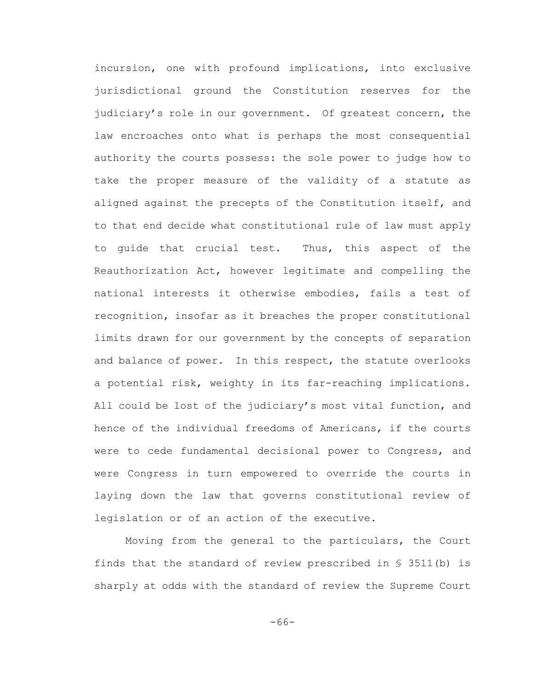incursion, one with profound implications, into exclusive jurisdictional ground the Constitution reserves for the judiciary's role in our government. Of greatest concern, the law encroaches onto what is perhaps the most consequential authority the courts possess: the sole power to judge how to take the proper measure of the validity of a statute as aligned against the precepts of the Constitution itself, and to that end decide what constitutional rule of law must apply to guide that crucial test. Thus, this aspect of the Reauthorization Act, however legitimate and compelling the national interests it otherwise embodies, fails a test of recognition, insofar as it breaches the proper constitutional limits drawn for our government by the concepts of separation and balance of power. In this respect, the statute overlooks a potential risk, weighty in its far-reaching implications. All could be lost of the judiciary's most vital function, and hence of the individual freedoms of Americans, if the courts were to cede fundamental decisional power to Congress, and were Congress in turn empowered to override the courts in laying down the law that governs constitutional review of legislation or of an action of the executive.

Moving from the general to the particulars, the Court finds that the standard of review prescribed in  $\S$  3511(b) is sharply at odds with the standard of review the Supreme Court

-66-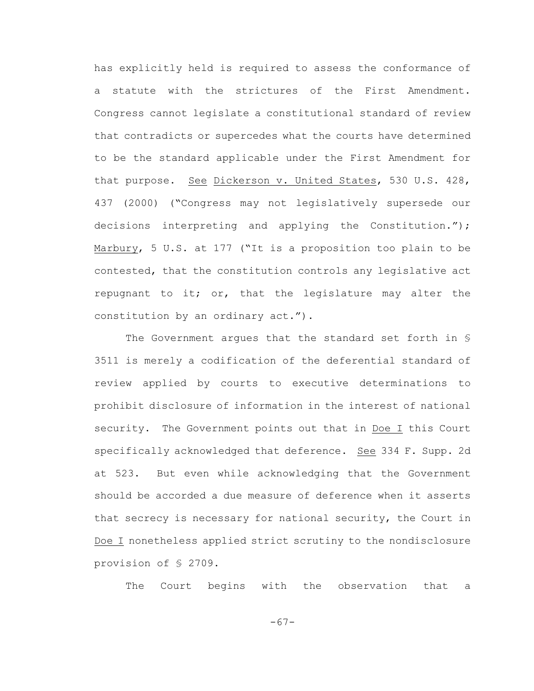has explicitly held is required to assess the conformance of a statute with the strictures of the First Amendment. Congress cannot legislate a constitutional standard of review that contradicts or supercedes what the courts have determined to be the standard applicable under the First Amendment for that purpose. See Dickerson v. United States, 530 U.S. 428, 437 (2000) ("Congress may not legislatively supersede our decisions interpreting and applying the Constitution."); Marbury, 5 U.S. at 177 ("It is a proposition too plain to be contested, that the constitution controls any legislative act repugnant to it; or, that the legislature may alter the constitution by an ordinary act.").

The Government argues that the standard set forth in § 3511 is merely a codification of the deferential standard of review applied by courts to executive determinations to prohibit disclosure of information in the interest of national security. The Government points out that in Doe I this Court specifically acknowledged that deference. See 334 F. Supp. 2d at 523. But even while acknowledging that the Government should be accorded a due measure of deference when it asserts that secrecy is necessary for national security, the Court in Doe I nonetheless applied strict scrutiny to the nondisclosure provision of § 2709.

The Court begins with the observation that a

-67-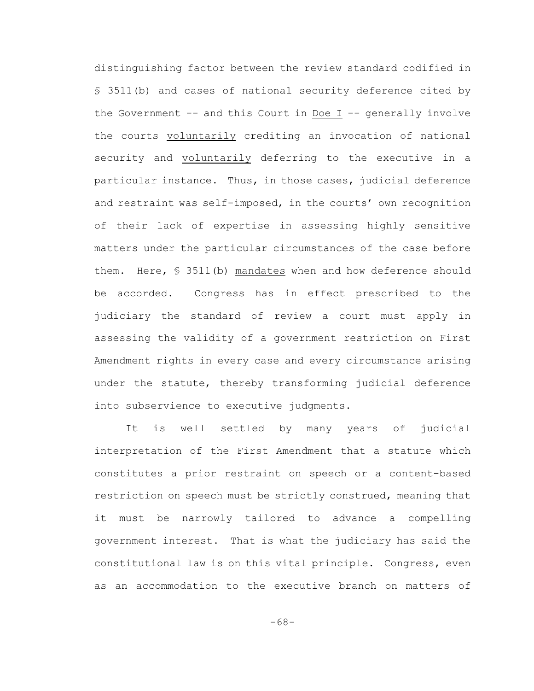distinguishing factor between the review standard codified in § 3511(b) and cases of national security deference cited by the Government -- and this Court in Doe I -- generally involve the courts voluntarily crediting an invocation of national security and voluntarily deferring to the executive in a particular instance. Thus, in those cases, judicial deference and restraint was self-imposed, in the courts' own recognition of their lack of expertise in assessing highly sensitive matters under the particular circumstances of the case before them. Here, § 3511(b) mandates when and how deference should be accorded. Congress has in effect prescribed to the judiciary the standard of review a court must apply in assessing the validity of a government restriction on First Amendment rights in every case and every circumstance arising under the statute, thereby transforming judicial deference into subservience to executive judgments.

It is well settled by many years of judicial interpretation of the First Amendment that a statute which constitutes a prior restraint on speech or a content-based restriction on speech must be strictly construed, meaning that it must be narrowly tailored to advance a compelling government interest. That is what the judiciary has said the constitutional law is on this vital principle. Congress, even as an accommodation to the executive branch on matters of

-68-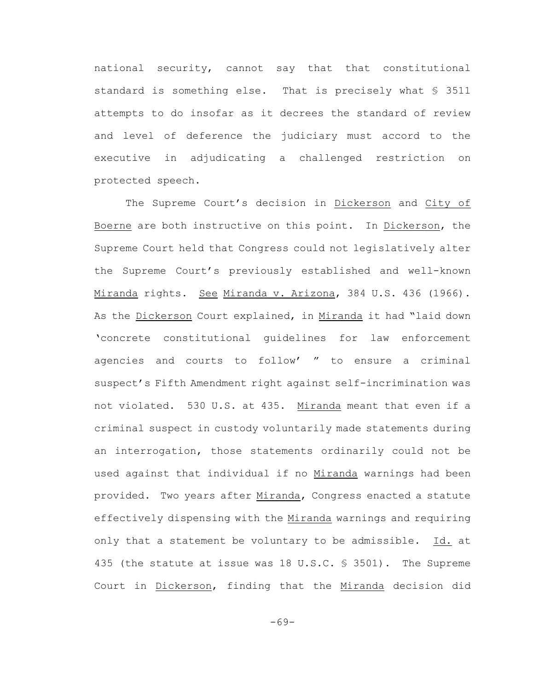national security, cannot say that that constitutional standard is something else. That is precisely what § 3511 attempts to do insofar as it decrees the standard of review and level of deference the judiciary must accord to the executive in adjudicating a challenged restriction on protected speech.

The Supreme Court's decision in Dickerson and City of Boerne are both instructive on this point. In Dickerson, the Supreme Court held that Congress could not legislatively alter the Supreme Court's previously established and well-known Miranda rights. See Miranda v. Arizona, 384 U.S. 436 (1966). As the Dickerson Court explained, in Miranda it had "laid down 'concrete constitutional guidelines for law enforcement agencies and courts to follow' " to ensure a criminal suspect's Fifth Amendment right against self-incrimination was not violated. 530 U.S. at 435. Miranda meant that even if a criminal suspect in custody voluntarily made statements during an interrogation, those statements ordinarily could not be used against that individual if no Miranda warnings had been provided. Two years after Miranda, Congress enacted a statute effectively dispensing with the Miranda warnings and requiring only that a statement be voluntary to be admissible. Id. at 435 (the statute at issue was 18 U.S.C. § 3501). The Supreme Court in Dickerson, finding that the Miranda decision did

-69-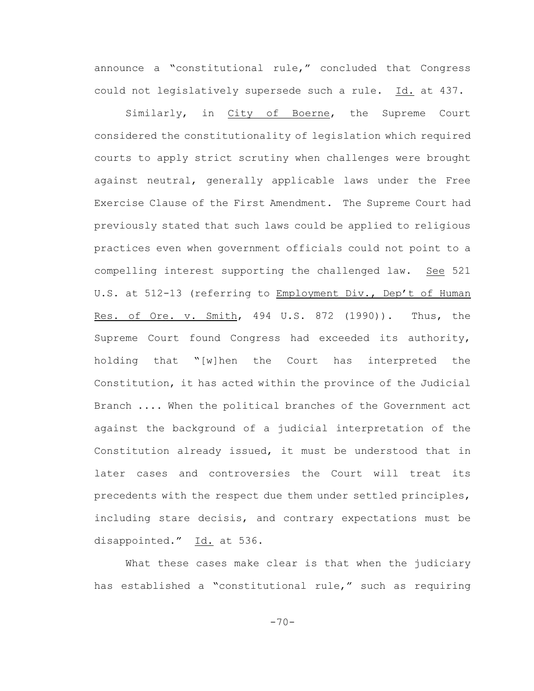announce a "constitutional rule," concluded that Congress could not legislatively supersede such a rule. Id. at 437.

Similarly, in City of Boerne, the Supreme Court considered the constitutionality of legislation which required courts to apply strict scrutiny when challenges were brought against neutral, generally applicable laws under the Free Exercise Clause of the First Amendment. The Supreme Court had previously stated that such laws could be applied to religious practices even when government officials could not point to a compelling interest supporting the challenged law. See 521 U.S. at 512-13 (referring to Employment Div., Dep't of Human Res. of Ore. v. Smith, 494 U.S. 872 (1990)). Thus, the Supreme Court found Congress had exceeded its authority, holding that "[w]hen the Court has interpreted the Constitution, it has acted within the province of the Judicial Branch .... When the political branches of the Government act against the background of a judicial interpretation of the Constitution already issued, it must be understood that in later cases and controversies the Court will treat its precedents with the respect due them under settled principles, including stare decisis, and contrary expectations must be disappointed." Id. at 536.

What these cases make clear is that when the judiciary has established a "constitutional rule," such as requiring

 $-70-$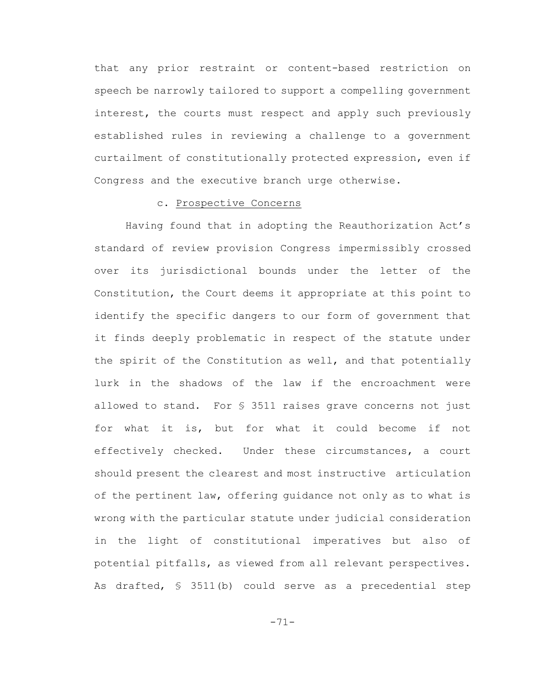that any prior restraint or content-based restriction on speech be narrowly tailored to support a compelling government interest, the courts must respect and apply such previously established rules in reviewing a challenge to a government curtailment of constitutionally protected expression, even if Congress and the executive branch urge otherwise.

#### c. Prospective Concerns

Having found that in adopting the Reauthorization Act's standard of review provision Congress impermissibly crossed over its jurisdictional bounds under the letter of the Constitution, the Court deems it appropriate at this point to identify the specific dangers to our form of government that it finds deeply problematic in respect of the statute under the spirit of the Constitution as well, and that potentially lurk in the shadows of the law if the encroachment were allowed to stand. For § 3511 raises grave concerns not just for what it is, but for what it could become if not effectively checked. Under these circumstances, a court should present the clearest and most instructive articulation of the pertinent law, offering guidance not only as to what is wrong with the particular statute under judicial consideration in the light of constitutional imperatives but also of potential pitfalls, as viewed from all relevant perspectives. As drafted, § 3511(b) could serve as a precedential step

-71-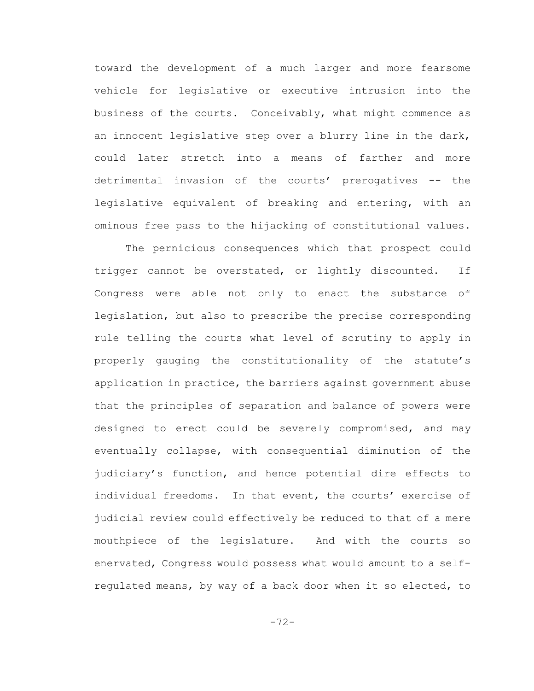toward the development of a much larger and more fearsome vehicle for legislative or executive intrusion into the business of the courts. Conceivably, what might commence as an innocent legislative step over a blurry line in the dark, could later stretch into a means of farther and more detrimental invasion of the courts' prerogatives -- the legislative equivalent of breaking and entering, with an ominous free pass to the hijacking of constitutional values.

The pernicious consequences which that prospect could trigger cannot be overstated, or lightly discounted. If Congress were able not only to enact the substance of legislation, but also to prescribe the precise corresponding rule telling the courts what level of scrutiny to apply in properly gauging the constitutionality of the statute's application in practice, the barriers against government abuse that the principles of separation and balance of powers were designed to erect could be severely compromised, and may eventually collapse, with consequential diminution of the judiciary's function, and hence potential dire effects to individual freedoms. In that event, the courts' exercise of judicial review could effectively be reduced to that of a mere mouthpiece of the legislature. And with the courts so enervated, Congress would possess what would amount to a selfregulated means, by way of a back door when it so elected, to

-72-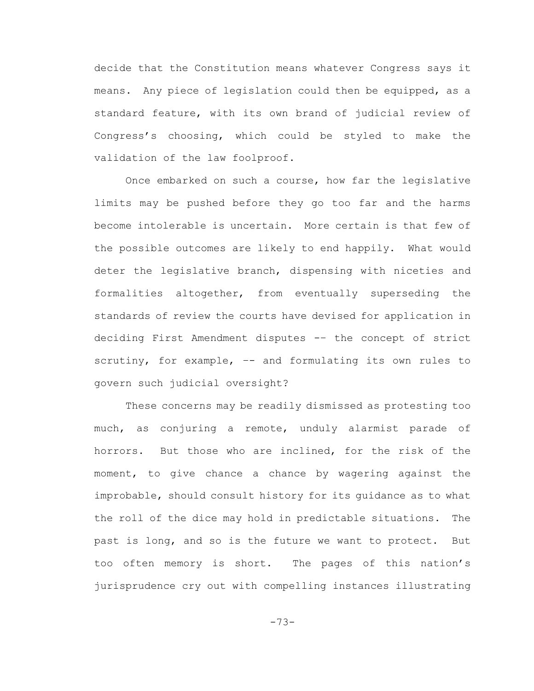decide that the Constitution means whatever Congress says it means. Any piece of legislation could then be equipped, as a standard feature, with its own brand of judicial review of Congress's choosing, which could be styled to make the validation of the law foolproof.

Once embarked on such a course, how far the legislative limits may be pushed before they go too far and the harms become intolerable is uncertain. More certain is that few of the possible outcomes are likely to end happily. What would deter the legislative branch, dispensing with niceties and formalities altogether, from eventually superseding the standards of review the courts have devised for application in deciding First Amendment disputes -– the concept of strict scrutiny, for example, -- and formulating its own rules to govern such judicial oversight?

These concerns may be readily dismissed as protesting too much, as conjuring a remote, unduly alarmist parade of horrors. But those who are inclined, for the risk of the moment, to give chance a chance by wagering against the improbable, should consult history for its guidance as to what the roll of the dice may hold in predictable situations. The past is long, and so is the future we want to protect. But too often memory is short. The pages of this nation's jurisprudence cry out with compelling instances illustrating

-73-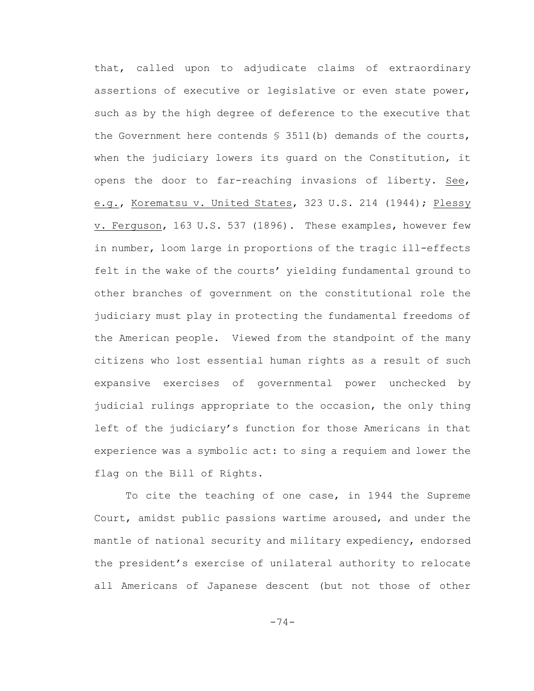that, called upon to adjudicate claims of extraordinary assertions of executive or legislative or even state power, such as by the high degree of deference to the executive that the Government here contends  $S$  3511(b) demands of the courts, when the judiciary lowers its guard on the Constitution, it opens the door to far-reaching invasions of liberty. See, e.g., Korematsu v. United States, 323 U.S. 214 (1944); Plessy v. Ferguson, 163 U.S. 537 (1896). These examples, however few in number, loom large in proportions of the tragic ill-effects felt in the wake of the courts' yielding fundamental ground to other branches of government on the constitutional role the judiciary must play in protecting the fundamental freedoms of the American people. Viewed from the standpoint of the many citizens who lost essential human rights as a result of such expansive exercises of governmental power unchecked by judicial rulings appropriate to the occasion, the only thing left of the judiciary's function for those Americans in that experience was a symbolic act: to sing a requiem and lower the flag on the Bill of Rights.

To cite the teaching of one case, in 1944 the Supreme Court, amidst public passions wartime aroused, and under the mantle of national security and military expediency, endorsed the president's exercise of unilateral authority to relocate all Americans of Japanese descent (but not those of other

-74-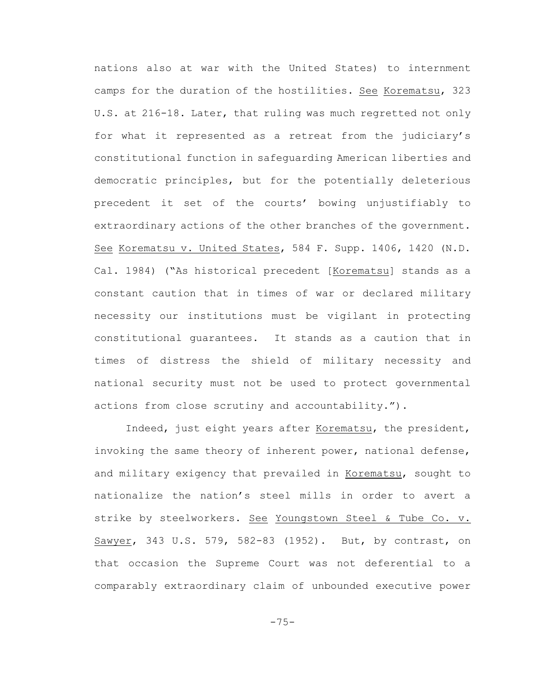nations also at war with the United States) to internment camps for the duration of the hostilities. See Korematsu, 323 U.S. at 216-18. Later, that ruling was much regretted not only for what it represented as a retreat from the judiciary's constitutional function in safeguarding American liberties and democratic principles, but for the potentially deleterious precedent it set of the courts' bowing unjustifiably to extraordinary actions of the other branches of the government. See Korematsu v. United States, 584 F. Supp. 1406, 1420 (N.D. Cal. 1984) ("As historical precedent [Korematsu] stands as a constant caution that in times of war or declared military necessity our institutions must be vigilant in protecting constitutional guarantees. It stands as a caution that in times of distress the shield of military necessity and national security must not be used to protect governmental actions from close scrutiny and accountability.").

Indeed, just eight years after Korematsu, the president, invoking the same theory of inherent power, national defense, and military exigency that prevailed in Korematsu, sought to nationalize the nation's steel mills in order to avert a strike by steelworkers. See Youngstown Steel & Tube Co. v. Sawyer, 343 U.S. 579, 582-83 (1952). But, by contrast, on that occasion the Supreme Court was not deferential to a comparably extraordinary claim of unbounded executive power

 $-75-$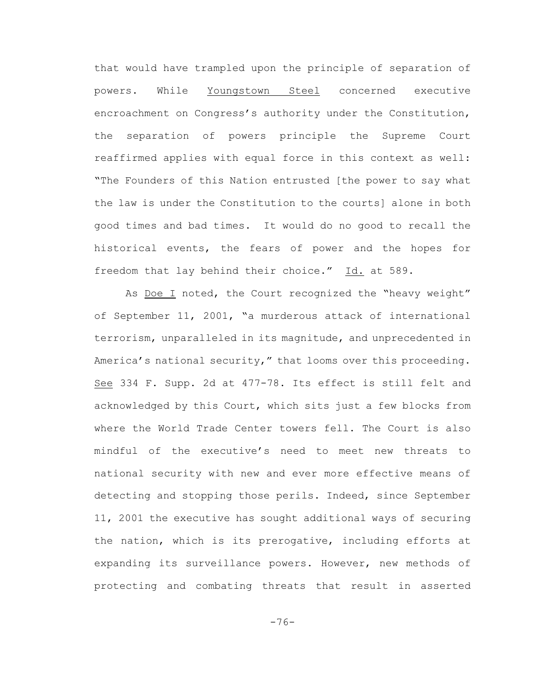that would have trampled upon the principle of separation of powers. While Youngstown Steel concerned executive encroachment on Congress's authority under the Constitution, the separation of powers principle the Supreme Court reaffirmed applies with equal force in this context as well: "The Founders of this Nation entrusted [the power to say what the law is under the Constitution to the courts] alone in both good times and bad times. It would do no good to recall the historical events, the fears of power and the hopes for freedom that lay behind their choice." Id. at 589.

As Doe I noted, the Court recognized the "heavy weight" of September 11, 2001, "a murderous attack of international terrorism, unparalleled in its magnitude, and unprecedented in America's national security," that looms over this proceeding. See 334 F. Supp. 2d at 477-78. Its effect is still felt and acknowledged by this Court, which sits just a few blocks from where the World Trade Center towers fell. The Court is also mindful of the executive's need to meet new threats to national security with new and ever more effective means of detecting and stopping those perils. Indeed, since September 11, 2001 the executive has sought additional ways of securing the nation, which is its prerogative, including efforts at expanding its surveillance powers. However, new methods of protecting and combating threats that result in asserted

-76-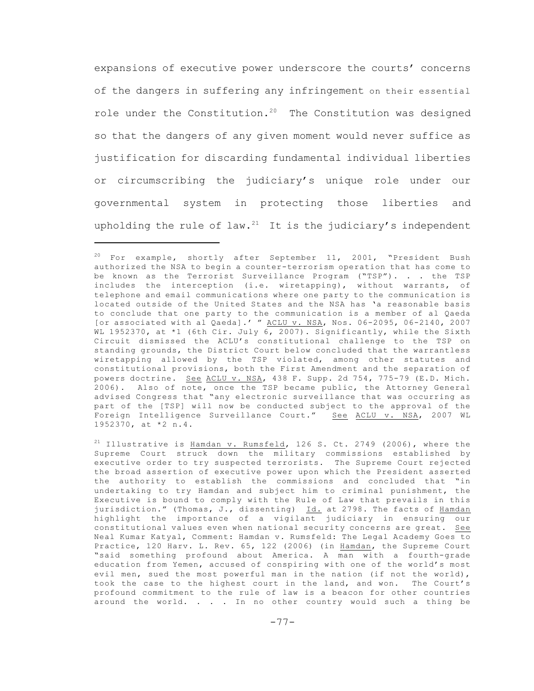expansions of executive power underscore the courts' concerns of the dangers in suffering any infringement on their essential role under the Constitution.<sup>20</sup> The Constitution was designed so that the dangers of any given moment would never suffice as justification for discarding fundamental individual liberties or circumscribing the judiciary's unique role under our governmental system in protecting those liberties and upholding the rule of law.<sup>21</sup> It is the judiciary's independent

 $20$  For example, shortly after September 11, 2001, "President Bush authorized the NSA to begin a counter-terrorism operation that has come to be known as the Terrorist Surveillance Program ("TSP"). . . the TSP includes the interception (i.e. wiretapping), without warrants, of telephone and email communications where one party to the communication is located outside of the United States and the NSA has 'a reasonable basis to conclude that one party to the communication is a member of al Qaeda [or associated with al Qaeda].' " ACLU v. NSA, Nos. 06-2095, 06-2140, 2007 WL 1952370, at \*1 (6th Cir. July 6, 2007). Significantly, while the Sixth Circuit dismissed the ACLU's constitutional challenge to the TSP on standing grounds, the District Court below concluded that the warrantless wiretapping allowed by the TSP violated, among other statutes and constitutional provisions, both the First Amendment and the separation of powers doctrine. See ACLU v. NSA, 438 F. Supp. 2d 754, 775-79 (E.D. Mich. 2006). Also of note, once the TSP became public, the Attorney General advised Congress that "any electronic surveillance that was occurring as part of the [TSP] will now be conducted subject to the approval of the Foreign Intelligence Surveillance Court." See ACLU v. NSA, 2007 WL 1952370, at \*2 n.4.

<sup>&</sup>lt;sup>21</sup> Illustrative is Hamdan v. Rumsfeld, 126 S. Ct. 2749 (2006), where the Supreme Court struck down the military commissions established by executive order to try suspected terrorists. The Supreme Court rejected the broad assertion of executive power upon which the President asserted the authority to establish the commissions and concluded that "in undertaking to try Hamdan and subject him to criminal punishment, the Executive is bound to comply with the Rule of Law that prevails in this jurisdiction." (Thomas, J., dissenting) Id. at 2798. The facts of Hamdan highlight the importance of a vigilant judiciary in ensuring our constitutional values even when national security concerns are great. See Neal Kumar Katyal, Comment: Hamdan v. Rumsfeld: The Legal Academy Goes to Practice, 120 Harv. L. Rev. 65, 122 (2006) (in Hamdan, the Supreme Court "said something profound about America. A man with a fourth-grade education from Yemen, accused of conspiring with one of the world's most evil men, sued the most powerful man in the nation (if not the world), took the case to the highest court in the land, and won. The Court's profound commitment to the rule of law is a beacon for other countries around the world. . . . In no other country would such a thing be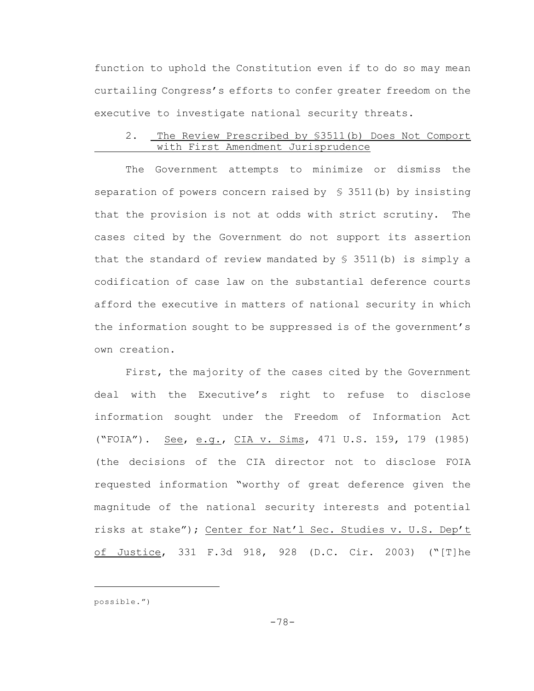function to uphold the Constitution even if to do so may mean curtailing Congress's efforts to confer greater freedom on the executive to investigate national security threats.

## 2. The Review Prescribed by §3511(b) Does Not Comport with First Amendment Jurisprudence

The Government attempts to minimize or dismiss the separation of powers concern raised by § 3511(b) by insisting that the provision is not at odds with strict scrutiny. The cases cited by the Government do not support its assertion that the standard of review mandated by § 3511(b) is simply a codification of case law on the substantial deference courts afford the executive in matters of national security in which the information sought to be suppressed is of the government's own creation.

First, the majority of the cases cited by the Government deal with the Executive's right to refuse to disclose information sought under the Freedom of Information Act ("FOIA"). See, e.g., CIA v. Sims, 471 U.S. 159, 179 (1985) (the decisions of the CIA director not to disclose FOIA requested information "worthy of great deference given the magnitude of the national security interests and potential risks at stake"); Center for Nat'l Sec. Studies v. U.S. Dep't of Justice, 331 F.3d 918, 928 (D.C. Cir. 2003) ("[T]he

possible.")

-78-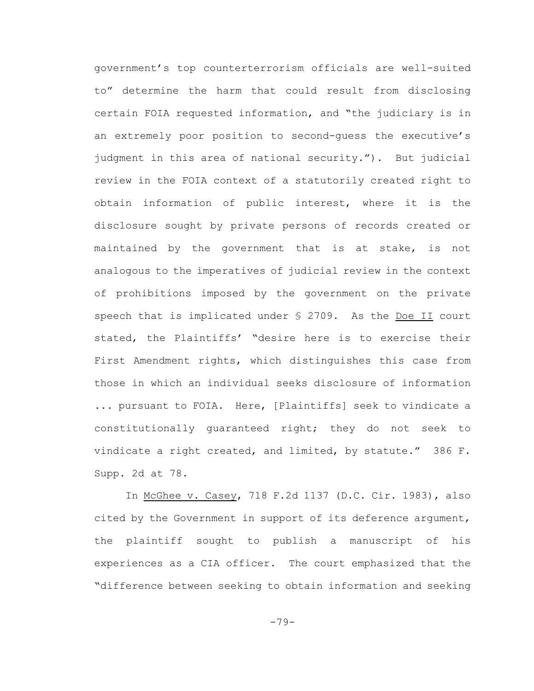government's top counterterrorism officials are well-suited to" determine the harm that could result from disclosing certain FOIA requested information, and "the judiciary is in an extremely poor position to second-guess the executive's judgment in this area of national security."). But judicial review in the FOIA context of a statutorily created right to obtain information of public interest, where it is the disclosure sought by private persons of records created or maintained by the government that is at stake, is not analogous to the imperatives of judicial review in the context of prohibitions imposed by the government on the private speech that is implicated under § 2709. As the Doe II court stated, the Plaintiffs' "desire here is to exercise their First Amendment rights, which distinguishes this case from those in which an individual seeks disclosure of information ... pursuant to FOIA. Here, [Plaintiffs] seek to vindicate a constitutionally guaranteed right; they do not seek to vindicate a right created, and limited, by statute." 386 F. Supp. 2d at 78.

In McGhee v. Casey, 718 F.2d 1137 (D.C. Cir. 1983), also cited by the Government in support of its deference argument, the plaintiff sought to publish a manuscript of his experiences as a CIA officer. The court emphasized that the "difference between seeking to obtain information and seeking

-79-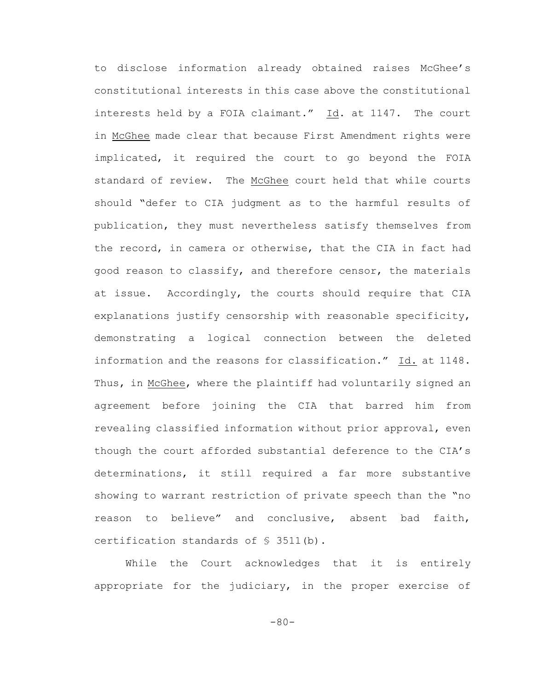to disclose information already obtained raises McGhee's constitutional interests in this case above the constitutional interests held by a FOIA claimant." Id. at 1147. The court in McGhee made clear that because First Amendment rights were implicated, it required the court to go beyond the FOIA standard of review. The McGhee court held that while courts should "defer to CIA judgment as to the harmful results of publication, they must nevertheless satisfy themselves from the record, in camera or otherwise, that the CIA in fact had good reason to classify, and therefore censor, the materials at issue. Accordingly, the courts should require that CIA explanations justify censorship with reasonable specificity, demonstrating a logical connection between the deleted information and the reasons for classification." Id. at 1148. Thus, in McGhee, where the plaintiff had voluntarily signed an agreement before joining the CIA that barred him from revealing classified information without prior approval, even though the court afforded substantial deference to the CIA's determinations, it still required a far more substantive showing to warrant restriction of private speech than the "no reason to believe" and conclusive, absent bad faith, certification standards of § 3511(b).

While the Court acknowledges that it is entirely appropriate for the judiciary, in the proper exercise of

-80-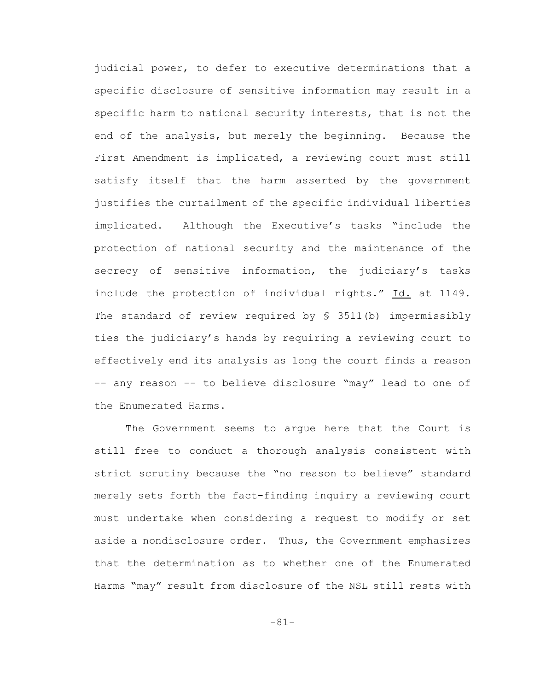judicial power, to defer to executive determinations that a specific disclosure of sensitive information may result in a specific harm to national security interests, that is not the end of the analysis, but merely the beginning. Because the First Amendment is implicated, a reviewing court must still satisfy itself that the harm asserted by the government justifies the curtailment of the specific individual liberties implicated. Although the Executive's tasks "include the protection of national security and the maintenance of the secrecy of sensitive information, the judiciary's tasks include the protection of individual rights." Id. at 1149. The standard of review required by § 3511(b) impermissibly ties the judiciary's hands by requiring a reviewing court to effectively end its analysis as long the court finds a reason -- any reason -- to believe disclosure "may" lead to one of the Enumerated Harms.

The Government seems to argue here that the Court is still free to conduct a thorough analysis consistent with strict scrutiny because the "no reason to believe" standard merely sets forth the fact-finding inquiry a reviewing court must undertake when considering a request to modify or set aside a nondisclosure order. Thus, the Government emphasizes that the determination as to whether one of the Enumerated Harms "may" result from disclosure of the NSL still rests with

-81-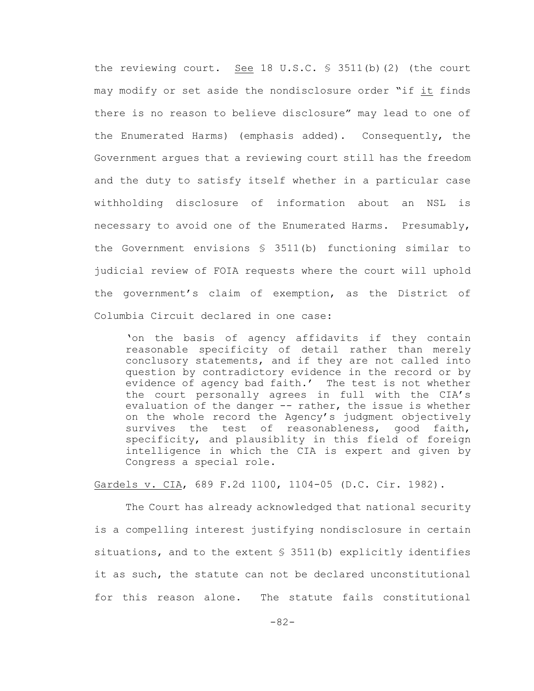the reviewing court. See 18 U.S.C. § 3511(b)(2) (the court may modify or set aside the nondisclosure order "if it finds there is no reason to believe disclosure" may lead to one of the Enumerated Harms) (emphasis added). Consequently, the Government argues that a reviewing court still has the freedom and the duty to satisfy itself whether in a particular case withholding disclosure of information about an NSL is necessary to avoid one of the Enumerated Harms. Presumably, the Government envisions  $S$  3511(b) functioning similar to judicial review of FOIA requests where the court will uphold the government's claim of exemption, as the District of Columbia Circuit declared in one case:

'on the basis of agency affidavits if they contain reasonable specificity of detail rather than merely conclusory statements, and if they are not called into question by contradictory evidence in the record or by evidence of agency bad faith.' The test is not whether the court personally agrees in full with the CIA's evaluation of the danger -- rather, the issue is whether on the whole record the Agency's judgment objectively survives the test of reasonableness, good faith, specificity, and plausiblity in this field of foreign intelligence in which the CIA is expert and given by Congress a special role.

Gardels v. CIA, 689 F.2d 1100, 1104-05 (D.C. Cir. 1982).

The Court has already acknowledged that national security is a compelling interest justifying nondisclosure in certain situations, and to the extent § 3511(b) explicitly identifies it as such, the statute can not be declared unconstitutional for this reason alone. The statute fails constitutional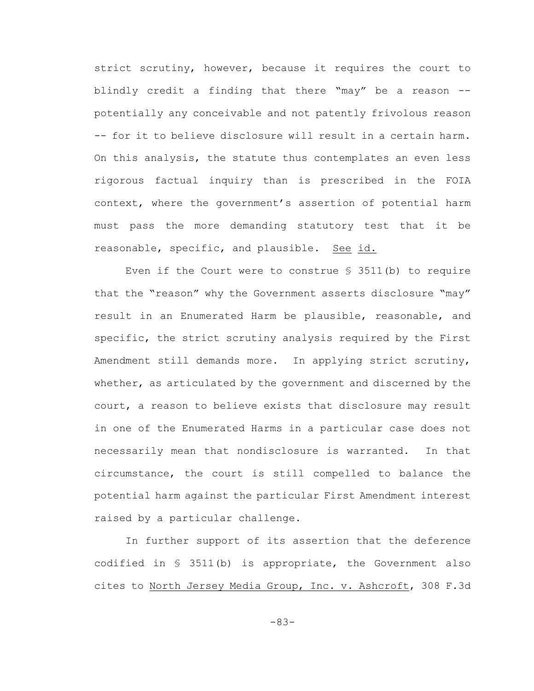strict scrutiny, however, because it requires the court to blindly credit a finding that there "may" be a reason - potentially any conceivable and not patently frivolous reason -- for it to believe disclosure will result in a certain harm. On this analysis, the statute thus contemplates an even less rigorous factual inquiry than is prescribed in the FOIA context, where the government's assertion of potential harm must pass the more demanding statutory test that it be reasonable, specific, and plausible. See id.

Even if the Court were to construe § 3511(b) to require that the "reason" why the Government asserts disclosure "may" result in an Enumerated Harm be plausible, reasonable, and specific, the strict scrutiny analysis required by the First Amendment still demands more. In applying strict scrutiny, whether, as articulated by the government and discerned by the court, a reason to believe exists that disclosure may result in one of the Enumerated Harms in a particular case does not necessarily mean that nondisclosure is warranted. In that circumstance, the court is still compelled to balance the potential harm against the particular First Amendment interest raised by a particular challenge.

In further support of its assertion that the deference codified in § 3511(b) is appropriate, the Government also cites to North Jersey Media Group, Inc. v. Ashcroft, 308 F.3d

-83-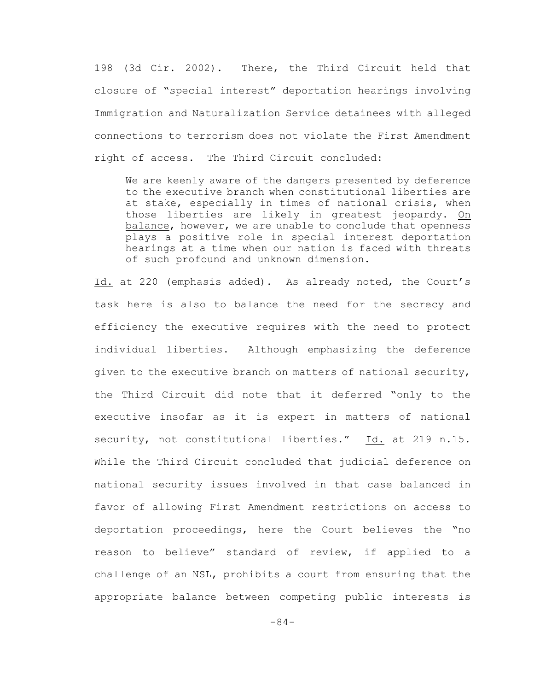198 (3d Cir. 2002). There, the Third Circuit held that closure of "special interest" deportation hearings involving Immigration and Naturalization Service detainees with alleged connections to terrorism does not violate the First Amendment right of access. The Third Circuit concluded:

We are keenly aware of the dangers presented by deference to the executive branch when constitutional liberties are at stake, especially in times of national crisis, when those liberties are likely in greatest jeopardy. On balance, however, we are unable to conclude that openness plays a positive role in special interest deportation hearings at a time when our nation is faced with threats of such profound and unknown dimension.

Id. at 220 (emphasis added). As already noted, the Court's task here is also to balance the need for the secrecy and efficiency the executive requires with the need to protect individual liberties. Although emphasizing the deference given to the executive branch on matters of national security, the Third Circuit did note that it deferred "only to the executive insofar as it is expert in matters of national security, not constitutional liberties." Id. at 219 n.15. While the Third Circuit concluded that judicial deference on national security issues involved in that case balanced in favor of allowing First Amendment restrictions on access to deportation proceedings, here the Court believes the "no reason to believe" standard of review, if applied to a challenge of an NSL, prohibits a court from ensuring that the appropriate balance between competing public interests is

-84-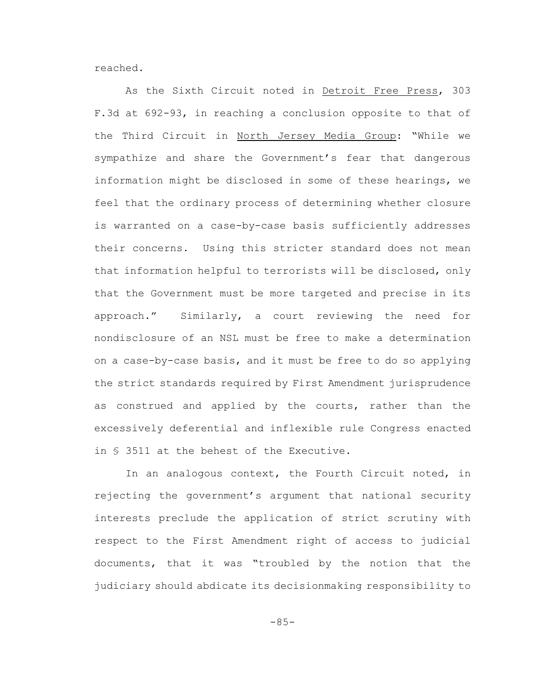reached.

As the Sixth Circuit noted in Detroit Free Press, 303 F.3d at 692-93, in reaching a conclusion opposite to that of the Third Circuit in North Jersey Media Group: "While we sympathize and share the Government's fear that dangerous information might be disclosed in some of these hearings, we feel that the ordinary process of determining whether closure is warranted on a case-by-case basis sufficiently addresses their concerns. Using this stricter standard does not mean that information helpful to terrorists will be disclosed, only that the Government must be more targeted and precise in its approach." Similarly, a court reviewing the need for nondisclosure of an NSL must be free to make a determination on a case-by-case basis, and it must be free to do so applying the strict standards required by First Amendment jurisprudence as construed and applied by the courts, rather than the excessively deferential and inflexible rule Congress enacted in § 3511 at the behest of the Executive.

In an analogous context, the Fourth Circuit noted, in rejecting the government's argument that national security interests preclude the application of strict scrutiny with respect to the First Amendment right of access to judicial documents, that it was "troubled by the notion that the judiciary should abdicate its decisionmaking responsibility to

-85-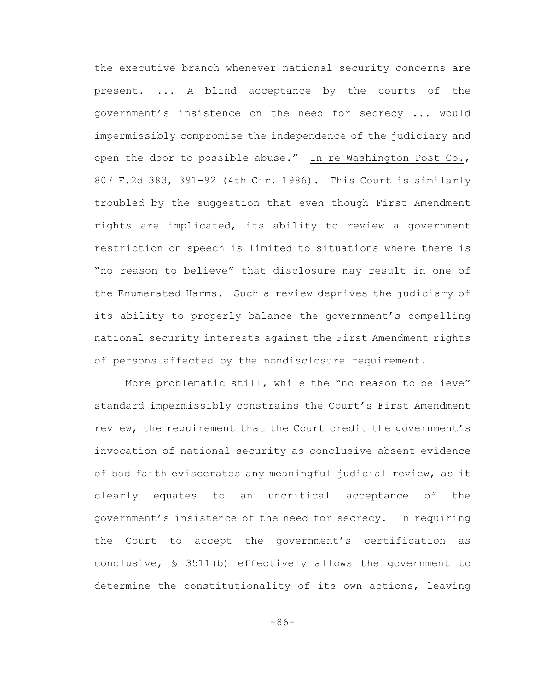the executive branch whenever national security concerns are present. ... A blind acceptance by the courts of the government's insistence on the need for secrecy ... would impermissibly compromise the independence of the judiciary and open the door to possible abuse." In re Washington Post Co., 807 F.2d 383, 391-92 (4th Cir. 1986). This Court is similarly troubled by the suggestion that even though First Amendment rights are implicated, its ability to review a government restriction on speech is limited to situations where there is "no reason to believe" that disclosure may result in one of the Enumerated Harms. Such a review deprives the judiciary of its ability to properly balance the government's compelling national security interests against the First Amendment rights of persons affected by the nondisclosure requirement.

More problematic still, while the "no reason to believe" standard impermissibly constrains the Court's First Amendment review, the requirement that the Court credit the government's invocation of national security as conclusive absent evidence of bad faith eviscerates any meaningful judicial review, as it clearly equates to an uncritical acceptance of the government's insistence of the need for secrecy. In requiring the Court to accept the government's certification as conclusive, § 3511(b) effectively allows the government to determine the constitutionality of its own actions, leaving

-86-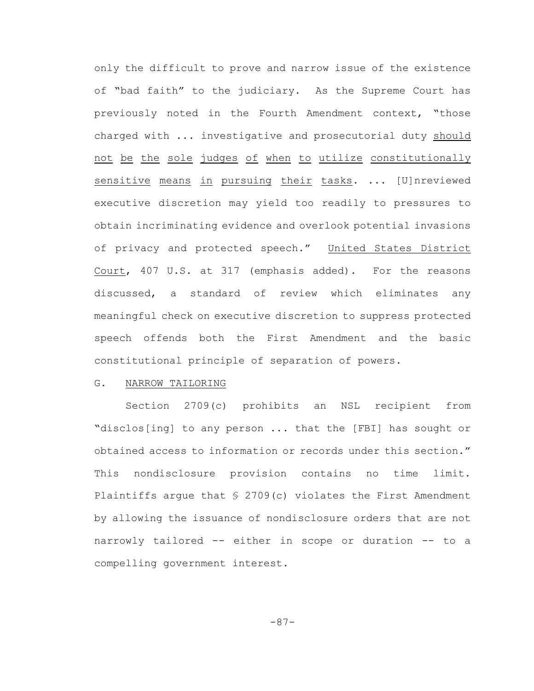only the difficult to prove and narrow issue of the existence of "bad faith" to the judiciary. As the Supreme Court has previously noted in the Fourth Amendment context, "those charged with ... investigative and prosecutorial duty should not be the sole judges of when to utilize constitutionally sensitive means in pursuing their tasks. ... [U]nreviewed executive discretion may yield too readily to pressures to obtain incriminating evidence and overlook potential invasions of privacy and protected speech." United States District Court, 407 U.S. at 317 (emphasis added). For the reasons discussed, a standard of review which eliminates any meaningful check on executive discretion to suppress protected speech offends both the First Amendment and the basic constitutional principle of separation of powers.

#### G. NARROW TAILORING

Section 2709(c) prohibits an NSL recipient from "disclos[ing] to any person ... that the [FBI] has sought or obtained access to information or records under this section." This nondisclosure provision contains no time limit. Plaintiffs argue that  $\frac{1}{2}$  2709(c) violates the First Amendment by allowing the issuance of nondisclosure orders that are not narrowly tailored -- either in scope or duration -- to a compelling government interest.

-87-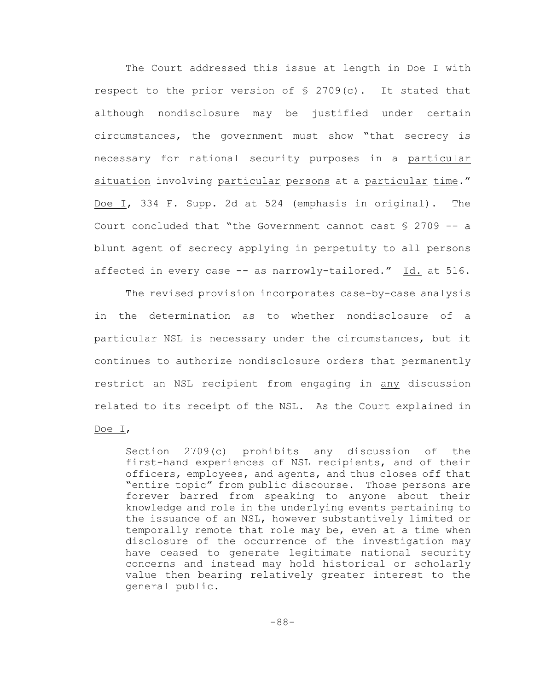The Court addressed this issue at length in Doe I with respect to the prior version of § 2709(c). It stated that although nondisclosure may be justified under certain circumstances, the government must show "that secrecy is necessary for national security purposes in a particular situation involving particular persons at a particular time." Doe I, 334 F. Supp. 2d at 524 (emphasis in original). The Court concluded that "the Government cannot cast § 2709 -- a blunt agent of secrecy applying in perpetuity to all persons affected in every case -- as narrowly-tailored." Id. at 516.

The revised provision incorporates case-by-case analysis in the determination as to whether nondisclosure of a particular NSL is necessary under the circumstances, but it continues to authorize nondisclosure orders that permanently restrict an NSL recipient from engaging in any discussion related to its receipt of the NSL. As the Court explained in

### Doe I,

Section 2709(c) prohibits any discussion of the first-hand experiences of NSL recipients, and of their officers, employees, and agents, and thus closes off that "entire topic" from public discourse. Those persons are forever barred from speaking to anyone about their knowledge and role in the underlying events pertaining to the issuance of an NSL, however substantively limited or temporally remote that role may be, even at a time when disclosure of the occurrence of the investigation may have ceased to generate legitimate national security concerns and instead may hold historical or scholarly value then bearing relatively greater interest to the general public.

-88-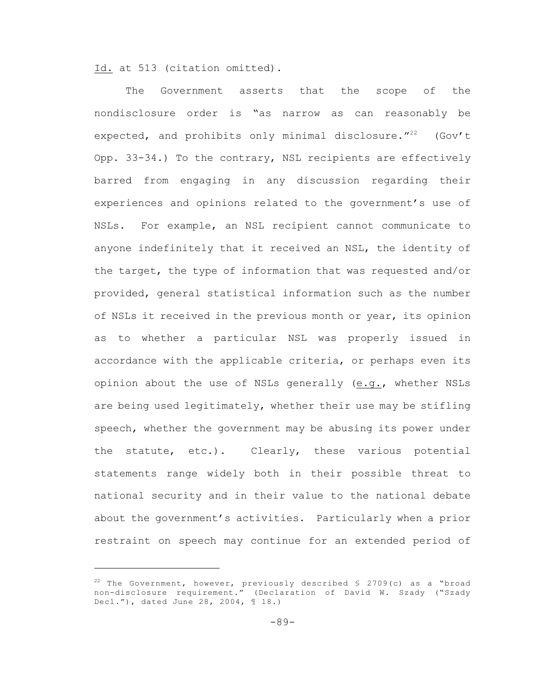Id. at 513 (citation omitted).

The Government asserts that the scope of the nondisclosure order is "as narrow as can reasonably be expected, and prohibits only minimal disclosure."<sup>22</sup> (Gov't Opp. 33-34.) To the contrary, NSL recipients are effectively barred from engaging in any discussion regarding their experiences and opinions related to the government's use of NSLs. For example, an NSL recipient cannot communicate to anyone indefinitely that it received an NSL, the identity of the target, the type of information that was requested and/or provided, general statistical information such as the number of NSLs it received in the previous month or year, its opinion as to whether a particular NSL was properly issued in accordance with the applicable criteria, or perhaps even its opinion about the use of NSLs generally (e.g., whether NSLs are being used legitimately, whether their use may be stifling speech, whether the government may be abusing its power under the statute, etc.). Clearly, these various potential statements range widely both in their possible threat to national security and in their value to the national debate about the government's activities. Particularly when a prior restraint on speech may continue for an extended period of

<sup>&</sup>lt;sup>22</sup> The Government, however, previously described  $\frac{1}{2}$  2709(c) as a "broad non-disclosure requirement." (Declaration of David W. Szady ("Szady Decl."), dated June 28, 2004, ¶ 18.)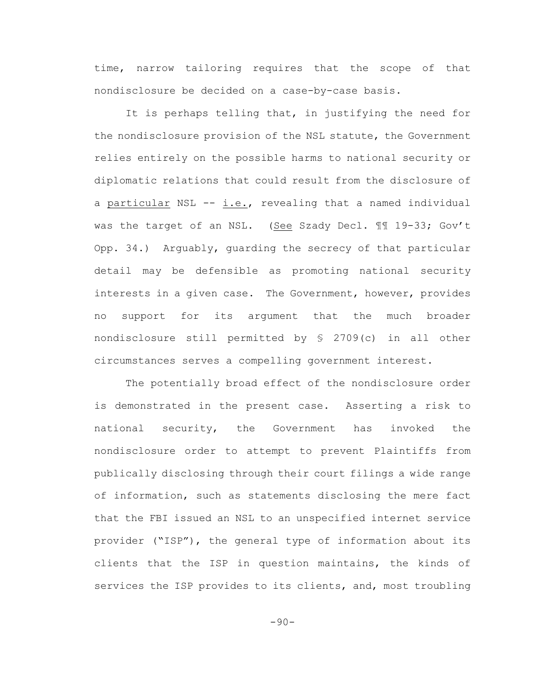time, narrow tailoring requires that the scope of that nondisclosure be decided on a case-by-case basis.

It is perhaps telling that, in justifying the need for the nondisclosure provision of the NSL statute, the Government relies entirely on the possible harms to national security or diplomatic relations that could result from the disclosure of a particular NSL -- i.e., revealing that a named individual was the target of an NSL. (See Szady Decl. 11 19-33; Gov't Opp. 34.) Arguably, guarding the secrecy of that particular detail may be defensible as promoting national security interests in a given case. The Government, however, provides no support for its argument that the much broader nondisclosure still permitted by § 2709(c) in all other circumstances serves a compelling government interest.

The potentially broad effect of the nondisclosure order is demonstrated in the present case. Asserting a risk to national security, the Government has invoked the nondisclosure order to attempt to prevent Plaintiffs from publically disclosing through their court filings a wide range of information, such as statements disclosing the mere fact that the FBI issued an NSL to an unspecified internet service provider ("ISP"), the general type of information about its clients that the ISP in question maintains, the kinds of services the ISP provides to its clients, and, most troubling

 $-90-$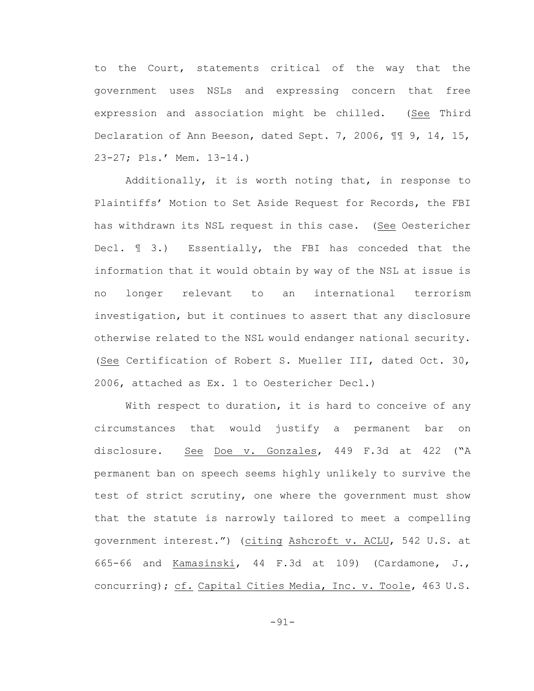to the Court, statements critical of the way that the government uses NSLs and expressing concern that free expression and association might be chilled. (See Third Declaration of Ann Beeson, dated Sept. 7, 2006, ¶¶ 9, 14, 15, 23-27; Pls.' Mem. 13-14.)

Additionally, it is worth noting that, in response to Plaintiffs' Motion to Set Aside Request for Records, the FBI has withdrawn its NSL request in this case. (See Oestericher Decl. ¶ 3.) Essentially, the FBI has conceded that the information that it would obtain by way of the NSL at issue is no longer relevant to an international terrorism investigation, but it continues to assert that any disclosure otherwise related to the NSL would endanger national security. (See Certification of Robert S. Mueller III, dated Oct. 30, 2006, attached as Ex. 1 to Oestericher Decl.)

With respect to duration, it is hard to conceive of any circumstances that would justify a permanent bar on disclosure. See Doe v. Gonzales, 449 F.3d at 422 ("A permanent ban on speech seems highly unlikely to survive the test of strict scrutiny, one where the government must show that the statute is narrowly tailored to meet a compelling government interest.") (citing Ashcroft v. ACLU, 542 U.S. at 665-66 and Kamasinski, 44 F.3d at 109) (Cardamone, J., concurring); cf. Capital Cities Media, Inc. v. Toole, 463 U.S.

-91-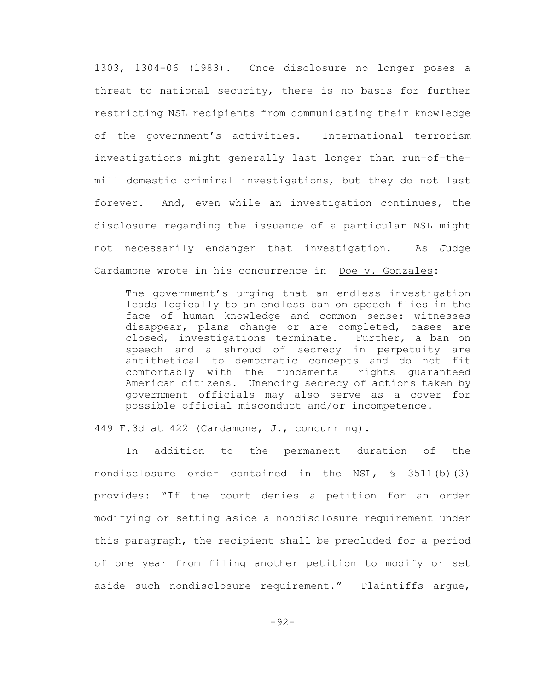1303, 1304-06 (1983). Once disclosure no longer poses a threat to national security, there is no basis for further restricting NSL recipients from communicating their knowledge of the government's activities. International terrorism investigations might generally last longer than run-of-themill domestic criminal investigations, but they do not last forever. And, even while an investigation continues, the disclosure regarding the issuance of a particular NSL might not necessarily endanger that investigation. As Judge Cardamone wrote in his concurrence in Doe v. Gonzales:

The government's urging that an endless investigation leads logically to an endless ban on speech flies in the face of human knowledge and common sense: witnesses disappear, plans change or are completed, cases are closed, investigations terminate. Further, a ban on speech and a shroud of secrecy in perpetuity are antithetical to democratic concepts and do not fit comfortably with the fundamental rights guaranteed American citizens. Unending secrecy of actions taken by government officials may also serve as a cover for possible official misconduct and/or incompetence.

449 F.3d at 422 (Cardamone, J., concurring).

In addition to the permanent duration of the nondisclosure order contained in the NSL,  $\frac{1}{5}$  3511(b)(3) provides: "If the court denies a petition for an order modifying or setting aside a nondisclosure requirement under this paragraph, the recipient shall be precluded for a period of one year from filing another petition to modify or set aside such nondisclosure requirement." Plaintiffs argue,

-92-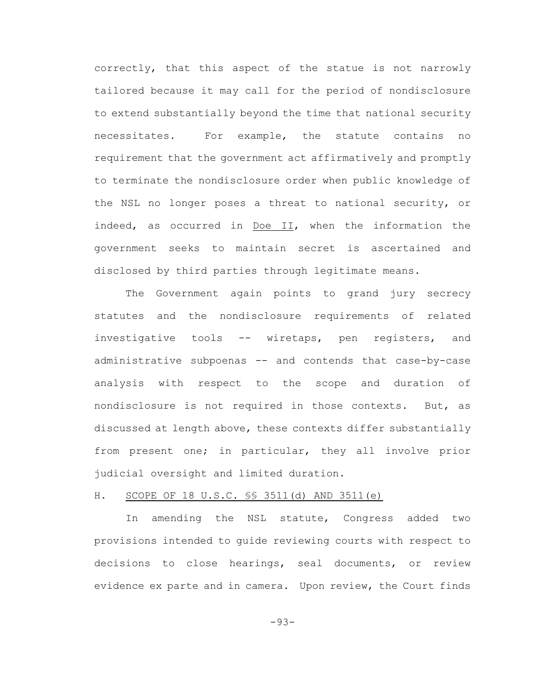correctly, that this aspect of the statue is not narrowly tailored because it may call for the period of nondisclosure to extend substantially beyond the time that national security necessitates. For example, the statute contains no requirement that the government act affirmatively and promptly to terminate the nondisclosure order when public knowledge of the NSL no longer poses a threat to national security, or indeed, as occurred in Doe II, when the information the government seeks to maintain secret is ascertained and disclosed by third parties through legitimate means.

The Government again points to grand jury secrecy statutes and the nondisclosure requirements of related investigative tools -- wiretaps, pen registers, and administrative subpoenas -- and contends that case-by-case analysis with respect to the scope and duration of nondisclosure is not required in those contexts. But, as discussed at length above, these contexts differ substantially from present one; in particular, they all involve prior judicial oversight and limited duration.

### H. SCOPE OF 18 U.S.C. §§ 3511(d) AND 3511(e)

In amending the NSL statute, Congress added two provisions intended to guide reviewing courts with respect to decisions to close hearings, seal documents, or review evidence ex parte and in camera. Upon review, the Court finds

-93-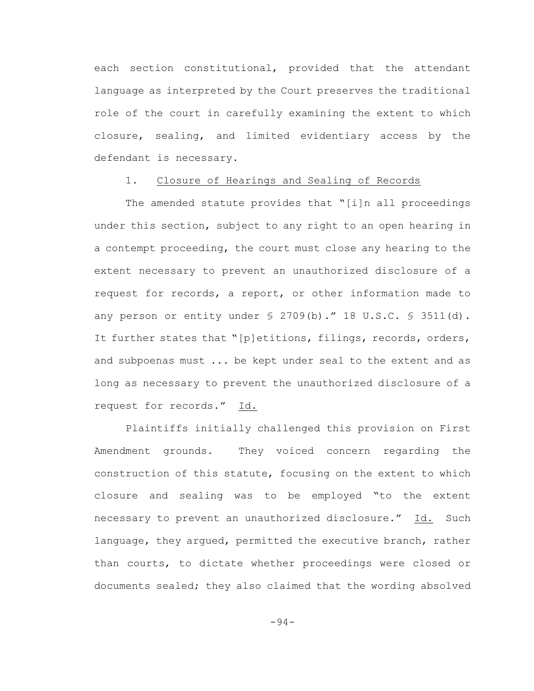each section constitutional, provided that the attendant language as interpreted by the Court preserves the traditional role of the court in carefully examining the extent to which closure, sealing, and limited evidentiary access by the defendant is necessary.

### 1. Closure of Hearings and Sealing of Records

The amended statute provides that "[i]n all proceedings under this section, subject to any right to an open hearing in a contempt proceeding, the court must close any hearing to the extent necessary to prevent an unauthorized disclosure of a request for records, a report, or other information made to any person or entity under  $\S$  2709(b)." 18 U.S.C.  $\S$  3511(d). It further states that "[p]etitions, filings, records, orders, and subpoenas must ... be kept under seal to the extent and as long as necessary to prevent the unauthorized disclosure of a request for records." Id.

Plaintiffs initially challenged this provision on First Amendment grounds. They voiced concern regarding the construction of this statute, focusing on the extent to which closure and sealing was to be employed "to the extent necessary to prevent an unauthorized disclosure." Id. Such language, they argued, permitted the executive branch, rather than courts, to dictate whether proceedings were closed or documents sealed; they also claimed that the wording absolved

-94-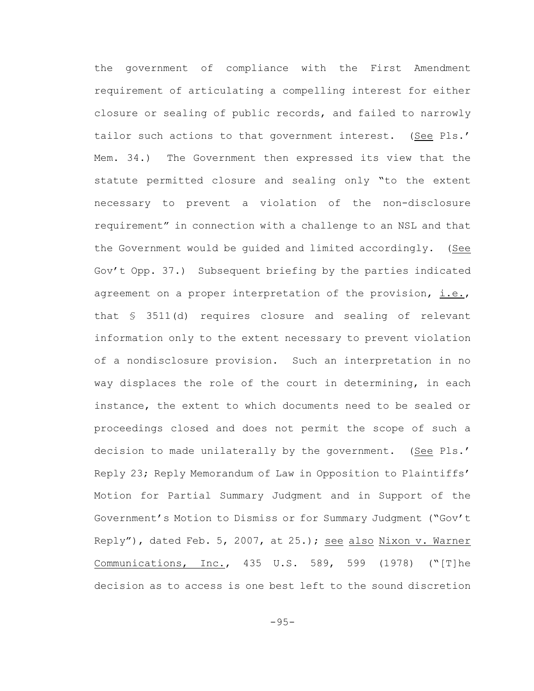the government of compliance with the First Amendment requirement of articulating a compelling interest for either closure or sealing of public records, and failed to narrowly tailor such actions to that government interest. (See Pls.' Mem. 34.) The Government then expressed its view that the statute permitted closure and sealing only "to the extent necessary to prevent a violation of the non-disclosure requirement" in connection with a challenge to an NSL and that the Government would be guided and limited accordingly. (See Gov't Opp. 37.) Subsequent briefing by the parties indicated agreement on a proper interpretation of the provision, i.e., that § 3511(d) requires closure and sealing of relevant information only to the extent necessary to prevent violation of a nondisclosure provision. Such an interpretation in no way displaces the role of the court in determining, in each instance, the extent to which documents need to be sealed or proceedings closed and does not permit the scope of such a decision to made unilaterally by the government. (See Pls.' Reply 23; Reply Memorandum of Law in Opposition to Plaintiffs' Motion for Partial Summary Judgment and in Support of the Government's Motion to Dismiss or for Summary Judgment ("Gov't Reply"), dated Feb. 5, 2007, at 25.); see also Nixon v. Warner Communications, Inc., 435 U.S. 589, 599 (1978) ("[T]he decision as to access is one best left to the sound discretion

-95-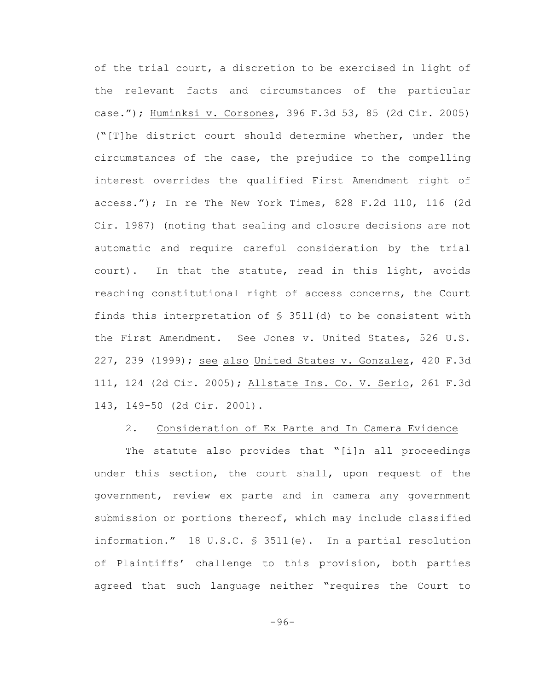of the trial court, a discretion to be exercised in light of the relevant facts and circumstances of the particular case."); Huminksi v. Corsones, 396 F.3d 53, 85 (2d Cir. 2005) ("[T]he district court should determine whether, under the circumstances of the case, the prejudice to the compelling interest overrides the qualified First Amendment right of access."); In re The New York Times, 828 F.2d 110, 116 (2d Cir. 1987) (noting that sealing and closure decisions are not automatic and require careful consideration by the trial court). In that the statute, read in this light, avoids reaching constitutional right of access concerns, the Court finds this interpretation of  $S$  3511(d) to be consistent with the First Amendment. See Jones v. United States, 526 U.S. 227, 239 (1999); see also United States v. Gonzalez, 420 F.3d 111, 124 (2d Cir. 2005); Allstate Ins. Co. V. Serio, 261 F.3d 143, 149-50 (2d Cir. 2001).

### 2. Consideration of Ex Parte and In Camera Evidence

The statute also provides that "[i]n all proceedings under this section, the court shall, upon request of the government, review ex parte and in camera any government submission or portions thereof, which may include classified information." 18 U.S.C. § 3511(e). In a partial resolution of Plaintiffs' challenge to this provision, both parties agreed that such language neither "requires the Court to

-96-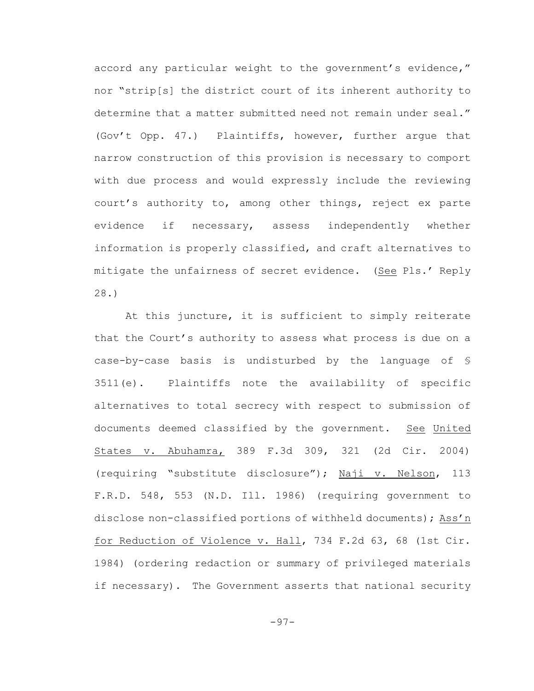accord any particular weight to the government's evidence," nor "strip[s] the district court of its inherent authority to determine that a matter submitted need not remain under seal." (Gov't Opp. 47.) Plaintiffs, however, further argue that narrow construction of this provision is necessary to comport with due process and would expressly include the reviewing court's authority to, among other things, reject ex parte evidence if necessary, assess independently whether information is properly classified, and craft alternatives to mitigate the unfairness of secret evidence. (See Pls.' Reply 28.)

At this juncture, it is sufficient to simply reiterate that the Court's authority to assess what process is due on a case-by-case basis is undisturbed by the language of § 3511(e). Plaintiffs note the availability of specific alternatives to total secrecy with respect to submission of documents deemed classified by the government. See United States v. Abuhamra, 389 F.3d 309, 321 (2d Cir. 2004) (requiring "substitute disclosure"); Naji v. Nelson, 113 F.R.D. 548, 553 (N.D. Ill. 1986) (requiring government to disclose non-classified portions of withheld documents); Ass'n for Reduction of Violence v. Hall, 734 F.2d 63, 68 (1st Cir. 1984) (ordering redaction or summary of privileged materials if necessary). The Government asserts that national security

-97-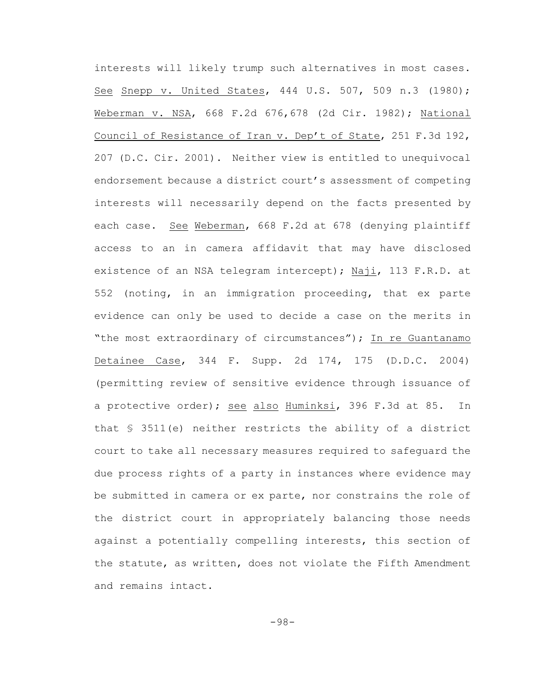interests will likely trump such alternatives in most cases. See Snepp v. United States, 444 U.S. 507, 509 n.3 (1980); Weberman v. NSA, 668 F.2d 676,678 (2d Cir. 1982); National Council of Resistance of Iran v. Dep't of State, 251 F.3d 192, 207 (D.C. Cir. 2001). Neither view is entitled to unequivocal endorsement because a district court's assessment of competing interests will necessarily depend on the facts presented by each case. See Weberman, 668 F.2d at 678 (denying plaintiff access to an in camera affidavit that may have disclosed existence of an NSA telegram intercept); Naji, 113 F.R.D. at 552 (noting, in an immigration proceeding, that ex parte evidence can only be used to decide a case on the merits in "the most extraordinary of circumstances"); In re Guantanamo Detainee Case, 344 F. Supp. 2d 174, 175 (D.D.C. 2004) (permitting review of sensitive evidence through issuance of a protective order); see also Huminksi, 396 F.3d at 85. In that § 3511(e) neither restricts the ability of a district court to take all necessary measures required to safeguard the due process rights of a party in instances where evidence may be submitted in camera or ex parte, nor constrains the role of the district court in appropriately balancing those needs against a potentially compelling interests, this section of the statute, as written, does not violate the Fifth Amendment and remains intact.

-98-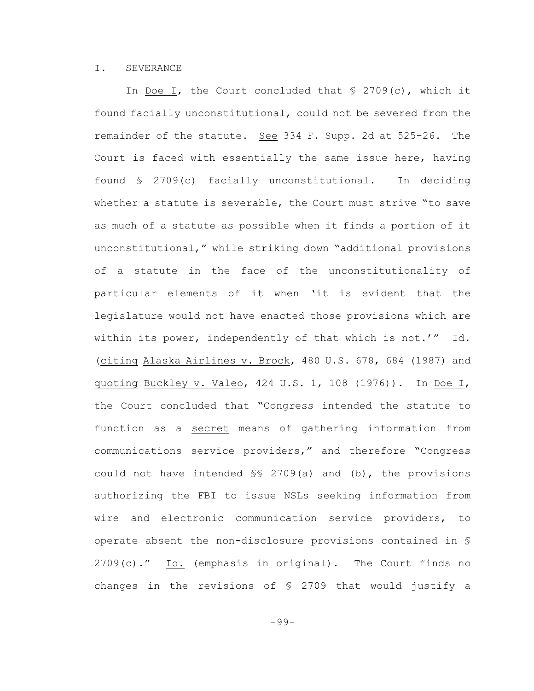#### I. SEVERANCE

In Doe I, the Court concluded that  $\frac{1}{2}$  2709(c), which it found facially unconstitutional, could not be severed from the remainder of the statute. See 334 F. Supp. 2d at 525-26. The Court is faced with essentially the same issue here, having found § 2709(c) facially unconstitutional. In deciding whether a statute is severable, the Court must strive "to save as much of a statute as possible when it finds a portion of it unconstitutional," while striking down "additional provisions of a statute in the face of the unconstitutionality of particular elements of it when 'it is evident that the legislature would not have enacted those provisions which are within its power, independently of that which is not.'" Id. (citing Alaska Airlines v. Brock, 480 U.S. 678, 684 (1987) and quoting Buckley v. Valeo, 424 U.S. 1, 108 (1976)). In Doe I, the Court concluded that "Congress intended the statute to function as a secret means of gathering information from communications service providers," and therefore "Congress could not have intended §§ 2709(a) and (b), the provisions authorizing the FBI to issue NSLs seeking information from wire and electronic communication service providers, to operate absent the non-disclosure provisions contained in § 2709(c)." Id. (emphasis in original). The Court finds no changes in the revisions of § 2709 that would justify a

-99-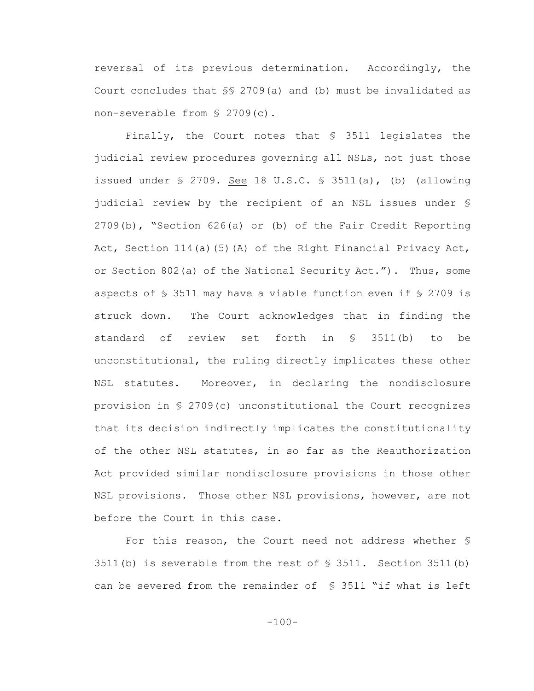reversal of its previous determination. Accordingly, the Court concludes that §§ 2709(a) and (b) must be invalidated as non-severable from § 2709(c).

Finally, the Court notes that § 3511 legislates the judicial review procedures governing all NSLs, not just those issued under  $\S$  2709. See 18 U.S.C.  $\S$  3511(a), (b) (allowing judicial review by the recipient of an NSL issues under § 2709(b), "Section 626(a) or (b) of the Fair Credit Reporting Act, Section 114(a)(5)(A) of the Right Financial Privacy Act, or Section 802(a) of the National Security Act."). Thus, some aspects of § 3511 may have a viable function even if § 2709 is struck down. The Court acknowledges that in finding the standard of review set forth in § 3511(b) to be unconstitutional, the ruling directly implicates these other NSL statutes. Moreover, in declaring the nondisclosure provision in § 2709(c) unconstitutional the Court recognizes that its decision indirectly implicates the constitutionality of the other NSL statutes, in so far as the Reauthorization Act provided similar nondisclosure provisions in those other NSL provisions. Those other NSL provisions, however, are not before the Court in this case.

For this reason, the Court need not address whether § 3511(b) is severable from the rest of § 3511. Section 3511(b) can be severed from the remainder of § 3511 "if what is left

 $-100-$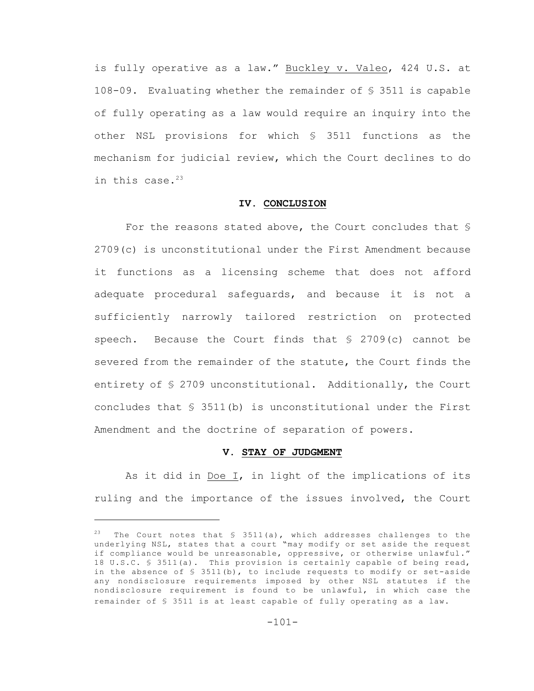is fully operative as a law." Buckley v. Valeo, 424 U.S. at 108-09. Evaluating whether the remainder of § 3511 is capable of fully operating as a law would require an inquiry into the other NSL provisions for which § 3511 functions as the mechanism for judicial review, which the Court declines to do in this case. $23$ 

# **IV. CONCLUSION**

For the reasons stated above, the Court concludes that § 2709(c) is unconstitutional under the First Amendment because it functions as a licensing scheme that does not afford adequate procedural safeguards, and because it is not a sufficiently narrowly tailored restriction on protected speech. Because the Court finds that § 2709(c) cannot be severed from the remainder of the statute, the Court finds the entirety of § 2709 unconstitutional. Additionally, the Court concludes that  $\S$  3511(b) is unconstitutional under the First Amendment and the doctrine of separation of powers.

### **V. STAY OF JUDGMENT**

As it did in Doe I, in light of the implications of its ruling and the importance of the issues involved, the Court

<sup>&</sup>lt;sup>23</sup> The Court notes that  $\frac{1}{3}$  3511(a), which addresses challenges to the underlying NSL, states that a court "may modify or set aside the request if compliance would be unreasonable, oppressive, or otherwise unlawful." 18 U.S.C. § 3511(a). This provision is certainly capable of being read, in the absence of  $S$  3511(b), to include requests to modify or set-aside any nondisclosure requirements imposed by other NSL statutes if the nondisclosure requirement is found to be unlawful, in which case the remainder of § 3511 is at least capable of fully operating as a law.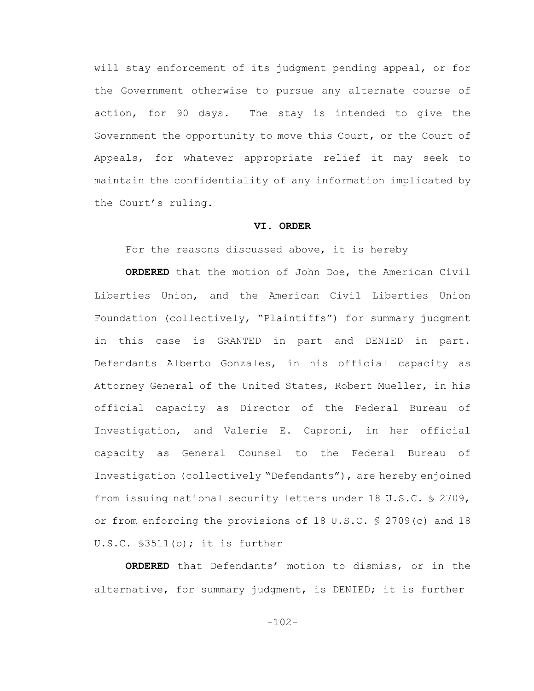will stay enforcement of its judgment pending appeal, or for the Government otherwise to pursue any alternate course of action, for 90 days. The stay is intended to give the Government the opportunity to move this Court, or the Court of Appeals, for whatever appropriate relief it may seek to maintain the confidentiality of any information implicated by the Court's ruling.

### **VI. ORDER**

For the reasons discussed above, it is hereby

**ORDERED** that the motion of John Doe, the American Civil Liberties Union, and the American Civil Liberties Union Foundation (collectively, "Plaintiffs") for summary judgment in this case is GRANTED in part and DENIED in part. Defendants Alberto Gonzales, in his official capacity as Attorney General of the United States, Robert Mueller, in his official capacity as Director of the Federal Bureau of Investigation, and Valerie E. Caproni, in her official capacity as General Counsel to the Federal Bureau of Investigation (collectively "Defendants"), are hereby enjoined from issuing national security letters under 18 U.S.C. § 2709, or from enforcing the provisions of 18 U.S.C. § 2709(c) and 18 U.S.C. §3511(b); it is further

**ORDERED** that Defendants' motion to dismiss, or in the alternative, for summary judgment, is DENIED; it is further

-102-